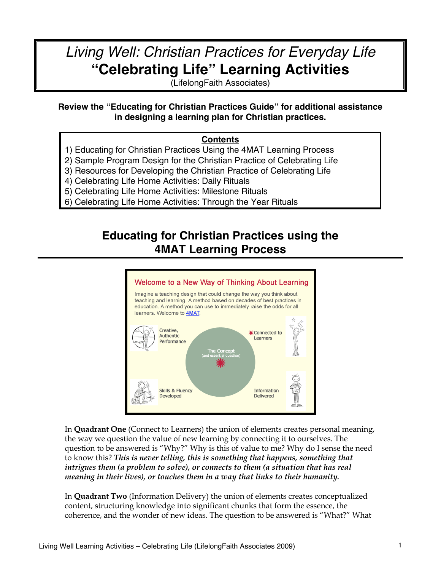# *Living Well: Christian Practices for Everyday Life* **"Celebrating Life" Learning Activities**

(LifelongFaith Associates)

### **Review the "Educating for Christian Practices Guide" for additional assistance in designing a learning plan for Christian practices.**

#### **Contents**

- 1) Educating for Christian Practices Using the 4MAT Learning Process
- 2) Sample Program Design for the Christian Practice of Celebrating Life
- 3) Resources for Developing the Christian Practice of Celebrating Life
- 4) Celebrating Life Home Activities: Daily Rituals
- 5) Celebrating Life Home Activities: Milestone Rituals
- 6) Celebrating Life Home Activities: Through the Year Rituals

## **Educating for Christian Practices using the 4MAT Learning Process**



In **Quadrant One** (Connect to Learners) the union of elements creates personal meaning, the way we question the value of new learning by connecting it to ourselves. The question to be answered is "Why?" Why is this of value to me? Why do I sense the need to know this? *This is never telling, this is something that happens, something that intrigues them (a problem to solve), or connects to them (a situation that has real meaning in their lives), or touches them in a way that links to their humanity.*

In **Quadrant Two** (Information Delivery) the union of elements creates conceptualized content, structuring knowledge into significant chunks that form the essence, the coherence, and the wonder of new ideas. The question to be answered is "What?" What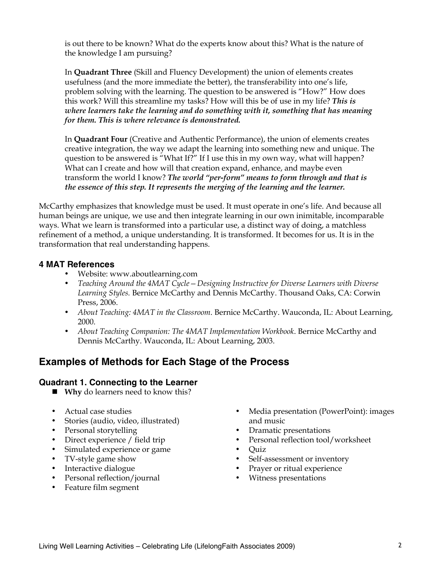is out there to be known? What do the experts know about this? What is the nature of the knowledge I am pursuing?

In **Quadrant Three** (Skill and Fluency Development) the union of elements creates usefulness (and the more immediate the better), the transferability into one's life, problem solving with the learning. The question to be answered is "How?" How does this work? Will this streamline my tasks? How will this be of use in my life? *This is where learners take the learning and do something with it, something that has meaning for them. This is where relevance is demonstrated.* 

In **Quadrant Four** (Creative and Authentic Performance), the union of elements creates creative integration, the way we adapt the learning into something new and unique. The question to be answered is "What If?" If I use this in my own way, what will happen? What can I create and how will that creation expand, enhance, and maybe even transform the world I know? *The world "per-form" means to form through and that is the essence of this step. It represents the merging of the learning and the learner.*

McCarthy emphasizes that knowledge must be used. It must operate in one's life. And because all human beings are unique, we use and then integrate learning in our own inimitable, incomparable ways. What we learn is transformed into a particular use, a distinct way of doing, a matchless refinement of a method, a unique understanding. It is transformed. It becomes for us. It is in the transformation that real understanding happens.

#### **4 MAT References**

- Website: www.aboutlearning.com
- *Teaching Around the 4MAT Cycle—Designing Instructive for Diverse Learners with Diverse Learning Styles.* Bernice McCarthy and Dennis McCarthy. Thousand Oaks, CA: Corwin Press, 2006.
- *About Teaching: 4MAT in the Classroom*. Bernice McCarthy. Wauconda, IL: About Learning, 2000.
- *About Teaching Companion: The 4MAT Implementation Workbook*. Bernice McCarthy and Dennis McCarthy. Wauconda, IL: About Learning, 2003.

## **Examples of Methods for Each Stage of the Process**

#### **Quadrant 1. Connecting to the Learner**

- **Why** do learners need to know this?
- Actual case studies
- Stories (audio, video, illustrated)
- Personal storytelling
- Direct experience / field trip
- Simulated experience or game
- TV-style game show
- Interactive dialogue
- Personal reflection/journal
- Feature film segment
- Media presentation (PowerPoint): images and music
- Dramatic presentations
- Personal reflection tool/worksheet
- Quiz
- Self-assessment or inventory
- Prayer or ritual experience
- Witness presentations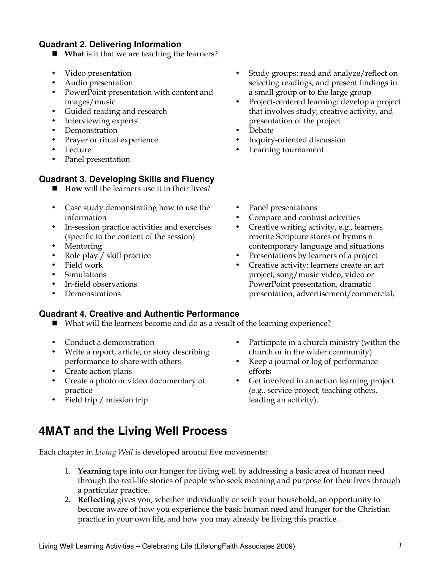### **Quadrant 2. Delivering Information**

- **What** is it that we are teaching the learners?
- Video presentation
- Audio presentation
- PowerPoint presentation with content and images/music
- Guided reading and research
- Interviewing experts
- Demonstration
- Prayer or ritual experience
- Lecture
- Panel presentation

#### **Quadrant 3. Developing Skills and Fluency**

- **How** will the learners use it in their lives?
- Case study demonstrating how to use the information
- In-session practice activities and exercises (specific to the content of the session)
- Mentoring
- Role play / skill practice
- Field work
- **Simulations**
- In-field observations
- Demonstrations

#### **Quadrant 4. Creative and Authentic Performance**

- What will the learners become and do as a result of the learning experience?
- Conduct a demonstration
- Write a report, article, or story describing performance to share with others
- Create action plans
- Create a photo or video documentary of practice
- Field trip / mission trip

#### • Study groups: read and analyze/reflect on selecting readings, and present findings in a small group or to the large group

- Project-centered learning: develop a project that involves study, creative activity, and presentation of the project
- Debate
- Inquiry-oriented discussion
- Learning tournament
- Panel presentations
- Compare and contrast activities
- Creative writing activity, e.g., learners rewrite Scripture stores or hymns n contemporary language and situations
- Presentations by learners of a project
- Creative activity: learners create an art project, song/music video, video or PowerPoint presentation, dramatic presentation, advertisement/commercial,
- Participate in a church ministry (within the church or in the wider community)
- Keep a journal or log of performance efforts
- Get involved in an action learning project (e.g., service project, teaching others, leading an activity).

## **4MAT and the Living Well Process**

Each chapter in *Living Well* is developed around five movements:

- 1. **Yearning** taps into our hunger for living well by addressing a basic area of human need through the real-life stories of people who seek meaning and purpose for their lives through a particular practice.
- 2. **Reflecting** gives you, whether individually or with your household, an opportunity to become aware of how you experience the basic human need and hunger for the Christian practice in your own life, and how you may already be living this practice.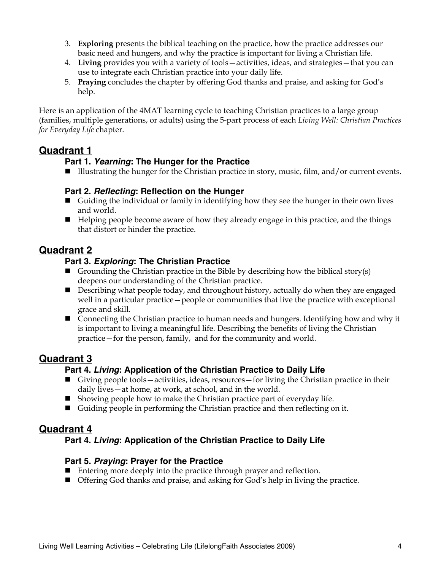- 3. **Exploring** presents the biblical teaching on the practice, how the practice addresses our basic need and hungers, and why the practice is important for living a Christian life.
- 4. **Living** provides you with a variety of tools—activities, ideas, and strategies—that you can use to integrate each Christian practice into your daily life.
- 5. **Praying** concludes the chapter by offering God thanks and praise, and asking for God's help.

Here is an application of the 4MAT learning cycle to teaching Christian practices to a large group (families, multiple generations, or adults) using the 5-part process of each *Living Well: Christian Practices for Everyday Life* chapter.

## **Quadrant 1**

### **Part 1.** *Yearning***: The Hunger for the Practice**

■ Illustrating the hunger for the Christian practice in story, music, film, and/or current events.

#### **Part 2.** *Reflecting***: Reflection on the Hunger**

- Guiding the individual or family in identifying how they see the hunger in their own lives and world.
- Helping people become aware of how they already engage in this practice, and the things that distort or hinder the practice.

## **Quadrant 2**

### **Part 3.** *Exploring***: The Christian Practice**

- Grounding the Christian practice in the Bible by describing how the biblical story(s) deepens our understanding of the Christian practice.
- **Describing what people today, and throughout history, actually do when they are engaged** well in a particular practice—people or communities that live the practice with exceptional grace and skill.
- Connecting the Christian practice to human needs and hungers. Identifying how and why it is important to living a meaningful life. Describing the benefits of living the Christian practice—for the person, family, and for the community and world.

## **Quadrant 3**

### **Part 4.** *Living***: Application of the Christian Practice to Daily Life**

- Giving people tools—activities, ideas, resources—for living the Christian practice in their daily lives—at home, at work, at school, and in the world.
- $\blacksquare$  Showing people how to make the Christian practice part of everyday life.
- Guiding people in performing the Christian practice and then reflecting on it.

## **Quadrant 4**

### **Part 4.** *Living***: Application of the Christian Practice to Daily Life**

### **Part 5.** *Praying***: Prayer for the Practice**

- Entering more deeply into the practice through prayer and reflection.
- Offering God thanks and praise, and asking for God's help in living the practice.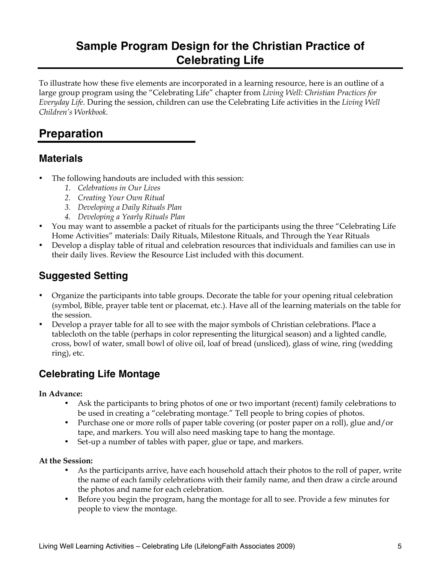## **Sample Program Design for the Christian Practice of Celebrating Life**

To illustrate how these five elements are incorporated in a learning resource, here is an outline of a large group program using the "Celebrating Life" chapter from *Living Well: Christian Practices for Everyday Life*. During the session, children can use the Celebrating Life activities in the *Living Well Children's Workbook.* 

## **Preparation**

## **Materials**

- The following handouts are included with this session:
	- *1. Celebrations in Our Lives*
	- *2. Creating Your Own Ritual*
	- *3. Developing a Daily Rituals Plan*
	- *4. Developing a Yearly Rituals Plan*
- You may want to assemble a packet of rituals for the participants using the three "Celebrating Life" Home Activities" materials: Daily Rituals, Milestone Rituals, and Through the Year Rituals
- Develop a display table of ritual and celebration resources that individuals and families can use in their daily lives. Review the Resource List included with this document.

## **Suggested Setting**

- Organize the participants into table groups. Decorate the table for your opening ritual celebration (symbol, Bible, prayer table tent or placemat, etc.). Have all of the learning materials on the table for the session.
- Develop a prayer table for all to see with the major symbols of Christian celebrations. Place a tablecloth on the table (perhaps in color representing the liturgical season) and a lighted candle, cross, bowl of water, small bowl of olive oil, loaf of bread (unsliced), glass of wine, ring (wedding ring), etc.

## **Celebrating Life Montage**

#### **In Advance:**

- Ask the participants to bring photos of one or two important (recent) family celebrations to be used in creating a "celebrating montage." Tell people to bring copies of photos.
- Purchase one or more rolls of paper table covering (or poster paper on a roll), glue and/or tape, and markers. You will also need masking tape to hang the montage.
- Set-up a number of tables with paper, glue or tape, and markers.

#### **At the Session:**

- As the participants arrive, have each household attach their photos to the roll of paper, write the name of each family celebrations with their family name, and then draw a circle around the photos and name for each celebration.
- Before you begin the program, hang the montage for all to see. Provide a few minutes for people to view the montage.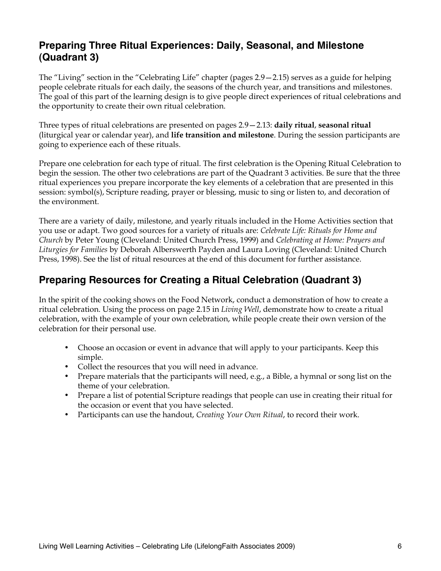## **Preparing Three Ritual Experiences: Daily, Seasonal, and Milestone (Quadrant 3)**

The "Living" section in the "Celebrating Life" chapter (pages 2.9—2.15) serves as a guide for helping people celebrate rituals for each daily, the seasons of the church year, and transitions and milestones. The goal of this part of the learning design is to give people direct experiences of ritual celebrations and the opportunity to create their own ritual celebration.

Three types of ritual celebrations are presented on pages 2.9—2.13: **daily ritual**, **seasonal ritual** (liturgical year or calendar year), and **life transition and milestone**. During the session participants are going to experience each of these rituals.

Prepare one celebration for each type of ritual. The first celebration is the Opening Ritual Celebration to begin the session. The other two celebrations are part of the Quadrant 3 activities. Be sure that the three ritual experiences you prepare incorporate the key elements of a celebration that are presented in this session: symbol(s), Scripture reading, prayer or blessing, music to sing or listen to, and decoration of the environment.

There are a variety of daily, milestone, and yearly rituals included in the Home Activities section that you use or adapt. Two good sources for a variety of rituals are: *Celebrate Life: Rituals for Home and Church* by Peter Young (Cleveland: United Church Press, 1999) and *Celebrating at Home: Prayers and Liturgies for Families* by Deborah Alberswerth Payden and Laura Loving (Cleveland: United Church Press, 1998). See the list of ritual resources at the end of this document for further assistance.

## **Preparing Resources for Creating a Ritual Celebration (Quadrant 3)**

In the spirit of the cooking shows on the Food Network, conduct a demonstration of how to create a ritual celebration. Using the process on page 2.15 in *Living Well*, demonstrate how to create a ritual celebration, with the example of your own celebration, while people create their own version of the celebration for their personal use.

- Choose an occasion or event in advance that will apply to your participants. Keep this simple.
- Collect the resources that you will need in advance.
- Prepare materials that the participants will need, e.g., a Bible, a hymnal or song list on the theme of your celebration.
- Prepare a list of potential Scripture readings that people can use in creating their ritual for the occasion or event that you have selected.
- Participants can use the handout, *Creating Your Own Ritual*, to record their work.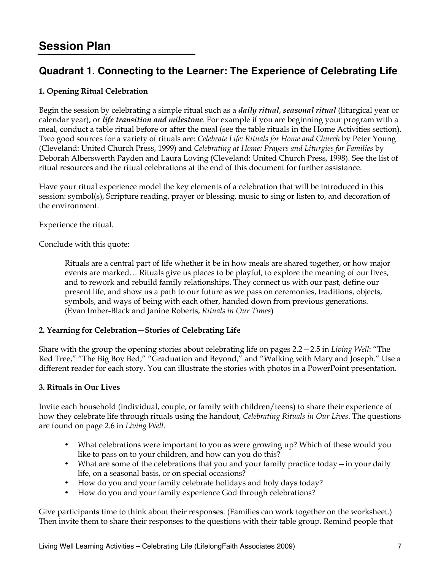## **Quadrant 1. Connecting to the Learner: The Experience of Celebrating Life**

### **1. Opening Ritual Celebration**

Begin the session by celebrating a simple ritual such as a *daily ritual*, *seasonal ritual* (liturgical year or calendar year), or *life transition and milestone*. For example if you are beginning your program with a meal, conduct a table ritual before or after the meal (see the table rituals in the Home Activities section). Two good sources for a variety of rituals are: *Celebrate Life: Rituals for Home and Church* by Peter Young (Cleveland: United Church Press, 1999) and *Celebrating at Home: Prayers and Liturgies for Families* by Deborah Alberswerth Payden and Laura Loving (Cleveland: United Church Press, 1998). See the list of ritual resources and the ritual celebrations at the end of this document for further assistance.

Have your ritual experience model the key elements of a celebration that will be introduced in this session: symbol(s), Scripture reading, prayer or blessing, music to sing or listen to, and decoration of the environment.

Experience the ritual.

Conclude with this quote:

Rituals are a central part of life whether it be in how meals are shared together, or how major events are marked… Rituals give us places to be playful, to explore the meaning of our lives, and to rework and rebuild family relationships. They connect us with our past, define our present life, and show us a path to our future as we pass on ceremonies, traditions, objects, symbols, and ways of being with each other, handed down from previous generations. (Evan Imber-Black and Janine Roberts, *Rituals in Our Times*)

#### **2. Yearning for Celebration—Stories of Celebrating Life**

Share with the group the opening stories about celebrating life on pages 2.2—2.5 in *Living Well*: "The Red Tree," "The Big Boy Bed," "Graduation and Beyond," and "Walking with Mary and Joseph." Use a different reader for each story. You can illustrate the stories with photos in a PowerPoint presentation.

#### **3. Rituals in Our Lives**

Invite each household (individual, couple, or family with children/teens) to share their experience of how they celebrate life through rituals using the handout, *Celebrating Rituals in Our Lives*. The questions are found on page 2.6 in *Living Well*.

- What celebrations were important to you as were growing up? Which of these would you like to pass on to your children, and how can you do this?
- What are some of the celebrations that you and your family practice today—in your daily life, on a seasonal basis, or on special occasions?
- How do you and your family celebrate holidays and holy days today?
- How do you and your family experience God through celebrations?

Give participants time to think about their responses. (Families can work together on the worksheet.) Then invite them to share their responses to the questions with their table group. Remind people that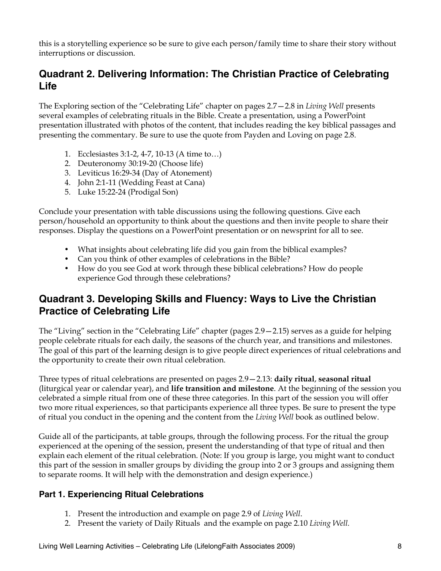this is a storytelling experience so be sure to give each person/family time to share their story without interruptions or discussion.

## **Quadrant 2. Delivering Information: The Christian Practice of Celebrating Life**

The Exploring section of the "Celebrating Life" chapter on pages 2.7—2.8 in *Living Well* presents several examples of celebrating rituals in the Bible. Create a presentation, using a PowerPoint presentation illustrated with photos of the content, that includes reading the key biblical passages and presenting the commentary. Be sure to use the quote from Payden and Loving on page 2.8.

- 1. Ecclesiastes 3:1-2, 4-7, 10-13 (A time to…)
- 2. Deuteronomy 30:19-20 (Choose life)
- 3. Leviticus 16:29-34 (Day of Atonement)
- 4. John 2:1-11 (Wedding Feast at Cana)
- 5. Luke 15:22-24 (Prodigal Son)

Conclude your presentation with table discussions using the following questions. Give each person/household an opportunity to think about the questions and then invite people to share their responses. Display the questions on a PowerPoint presentation or on newsprint for all to see.

- What insights about celebrating life did you gain from the biblical examples?
- Can you think of other examples of celebrations in the Bible?
- How do you see God at work through these biblical celebrations? How do people experience God through these celebrations?

## **Quadrant 3. Developing Skills and Fluency: Ways to Live the Christian Practice of Celebrating Life**

The "Living" section in the "Celebrating Life" chapter (pages  $2.9 - 2.15$ ) serves as a guide for helping people celebrate rituals for each daily, the seasons of the church year, and transitions and milestones. The goal of this part of the learning design is to give people direct experiences of ritual celebrations and the opportunity to create their own ritual celebration.

Three types of ritual celebrations are presented on pages 2.9—2.13: **daily ritual**, **seasonal ritual** (liturgical year or calendar year), and **life transition and milestone**. At the beginning of the session you celebrated a simple ritual from one of these three categories. In this part of the session you will offer two more ritual experiences, so that participants experience all three types. Be sure to present the type of ritual you conduct in the opening and the content from the *Living Well* book as outlined below.

Guide all of the participants, at table groups, through the following process. For the ritual the group experienced at the opening of the session, present the understanding of that type of ritual and then explain each element of the ritual celebration. (Note: If you group is large, you might want to conduct this part of the session in smaller groups by dividing the group into 2 or 3 groups and assigning them to separate rooms. It will help with the demonstration and design experience.)

### **Part 1. Experiencing Ritual Celebrations**

- 1. Present the introduction and example on page 2.9 of *Living Well*.
- 2. Present the variety of Daily Rituals and the example on page 2.10 *Living Well.*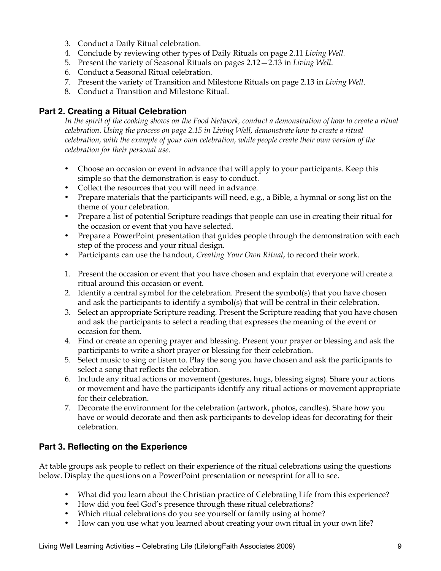- 3. Conduct a Daily Ritual celebration.
- 4. Conclude by reviewing other types of Daily Rituals on page 2.11 *Living Well.*
- 5. Present the variety of Seasonal Rituals on pages 2.12—2.13 in *Living Well*.
- 6. Conduct a Seasonal Ritual celebration.
- 7. Present the variety of Transition and Milestone Rituals on page 2.13 in *Living Well*.
- 8. Conduct a Transition and Milestone Ritual.

### **Part 2. Creating a Ritual Celebration**

*In the spirit of the cooking shows on the Food Network, conduct a demonstration of how to create a ritual celebration. Using the process on page 2.15 in Living Well, demonstrate how to create a ritual celebration, with the example of your own celebration, while people create their own version of the celebration for their personal use.* 

- Choose an occasion or event in advance that will apply to your participants. Keep this simple so that the demonstration is easy to conduct.
- Collect the resources that you will need in advance.
- Prepare materials that the participants will need, e.g., a Bible, a hymnal or song list on the theme of your celebration.
- Prepare a list of potential Scripture readings that people can use in creating their ritual for the occasion or event that you have selected.
- Prepare a PowerPoint presentation that guides people through the demonstration with each step of the process and your ritual design.
- Participants can use the handout, *Creating Your Own Ritual*, to record their work.
- 1. Present the occasion or event that you have chosen and explain that everyone will create a ritual around this occasion or event.
- 2. Identify a central symbol for the celebration. Present the symbol(s) that you have chosen and ask the participants to identify a symbol(s) that will be central in their celebration.
- 3. Select an appropriate Scripture reading. Present the Scripture reading that you have chosen and ask the participants to select a reading that expresses the meaning of the event or occasion for them.
- 4. Find or create an opening prayer and blessing. Present your prayer or blessing and ask the participants to write a short prayer or blessing for their celebration.
- 5. Select music to sing or listen to. Play the song you have chosen and ask the participants to select a song that reflects the celebration.
- 6. Include any ritual actions or movement (gestures, hugs, blessing signs). Share your actions or movement and have the participants identify any ritual actions or movement appropriate for their celebration.
- 7. Decorate the environment for the celebration (artwork, photos, candles). Share how you have or would decorate and then ask participants to develop ideas for decorating for their celebration.

### **Part 3. Reflecting on the Experience**

At table groups ask people to reflect on their experience of the ritual celebrations using the questions below. Display the questions on a PowerPoint presentation or newsprint for all to see.

- What did you learn about the Christian practice of Celebrating Life from this experience?
- How did you feel God's presence through these ritual celebrations?
- Which ritual celebrations do you see yourself or family using at home?
- How can you use what you learned about creating your own ritual in your own life?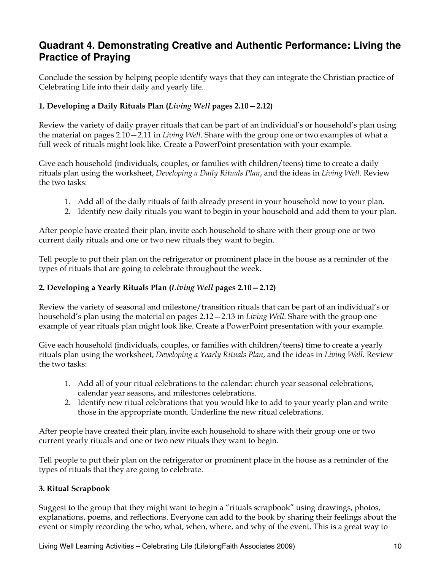## **Quadrant 4. Demonstrating Creative and Authentic Performance: Living the Practice of Praying**

Conclude the session by helping people identify ways that they can integrate the Christian practice of Celebrating Life into their daily and yearly life.

### **1. Developing a Daily Rituals Plan (***Living Well* **pages 2.10—2.12)**

Review the variety of daily prayer rituals that can be part of an individual's or household's plan using the material on pages 2.10—2.11 in *Living Well*. Share with the group one or two examples of what a full week of rituals might look like. Create a PowerPoint presentation with your example.

Give each household (individuals, couples, or families with children/teens) time to create a daily rituals plan using the worksheet, *Developing a Daily Rituals Plan*, and the ideas in *Living Well*. Review the two tasks:

- 1. Add all of the daily rituals of faith already present in your household now to your plan.
- 2. Identify new daily rituals you want to begin in your household and add them to your plan.

After people have created their plan, invite each household to share with their group one or two current daily rituals and one or two new rituals they want to begin.

Tell people to put their plan on the refrigerator or prominent place in the house as a reminder of the types of rituals that are going to celebrate throughout the week.

#### **2. Developing a Yearly Rituals Plan (***Living Well* **pages 2.10—2.12)**

Review the variety of seasonal and milestone/transition rituals that can be part of an individual's or household's plan using the material on pages 2.12—2.13 in *Living Well*. Share with the group one example of year rituals plan might look like. Create a PowerPoint presentation with your example.

Give each household (individuals, couples, or families with children/teens) time to create a yearly rituals plan using the worksheet, *Developing a Yearly Rituals Plan*, and the ideas in *Living Well*. Review the two tasks:

- 1. Add all of your ritual celebrations to the calendar: church year seasonal celebrations, calendar year seasons, and milestones celebrations.
- 2. Identify new ritual celebrations that you would like to add to your yearly plan and write those in the appropriate month. Underline the new ritual celebrations.

After people have created their plan, invite each household to share with their group one or two current yearly rituals and one or two new rituals they want to begin.

Tell people to put their plan on the refrigerator or prominent place in the house as a reminder of the types of rituals that they are going to celebrate.

#### **3. Ritual Scrapbook**

Suggest to the group that they might want to begin a "rituals scrapbook" using drawings, photos, explanations, poems, and reflections. Everyone can add to the book by sharing their feelings about the event or simply recording the who, what, when, where, and why of the event. This is a great way to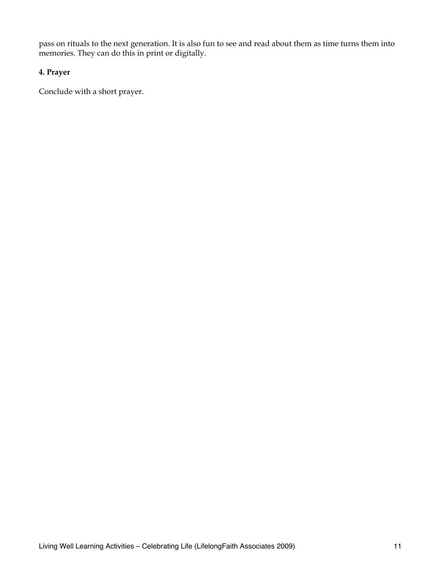pass on rituals to the next generation. It is also fun to see and read about them as time turns them into memories. They can do this in print or digitally.

#### **4. Prayer**

Conclude with a short prayer.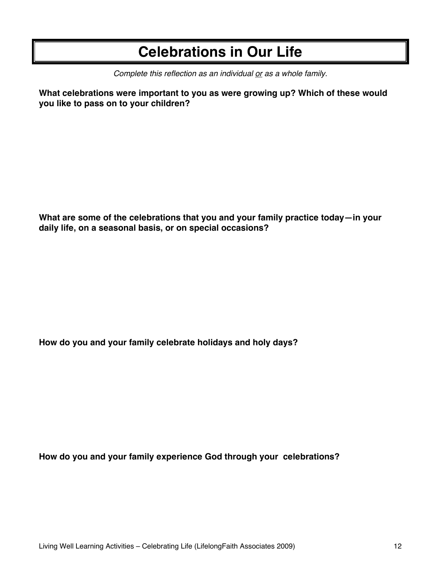# **Celebrations in Our Life**

*Complete this reflection as an individual or as a whole family.*

**What celebrations were important to you as were growing up? Which of these would you like to pass on to your children?**

**What are some of the celebrations that you and your family practice today—in your daily life, on a seasonal basis, or on special occasions?** 

**How do you and your family celebrate holidays and holy days?** 

**How do you and your family experience God through your celebrations?**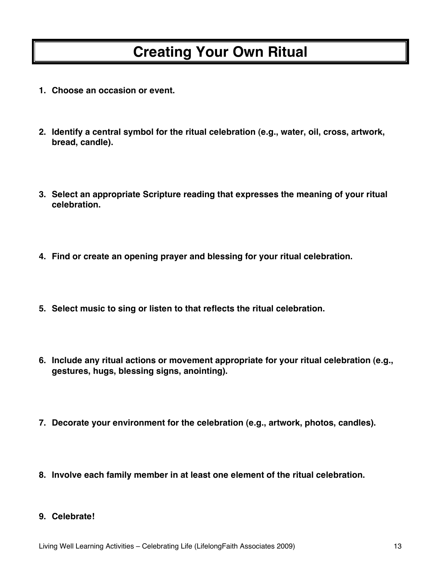# **Creating Your Own Ritual**

- **1. Choose an occasion or event.**
- **2. Identify a central symbol for the ritual celebration (e.g., water, oil, cross, artwork, bread, candle).**
- **3. Select an appropriate Scripture reading that expresses the meaning of your ritual celebration.**
- **4. Find or create an opening prayer and blessing for your ritual celebration.**
- **5. Select music to sing or listen to that reflects the ritual celebration.**
- **6. Include any ritual actions or movement appropriate for your ritual celebration (e.g., gestures, hugs, blessing signs, anointing).**
- **7. Decorate your environment for the celebration (e.g., artwork, photos, candles).**
- **8. Involve each family member in at least one element of the ritual celebration.**

#### **9. Celebrate!**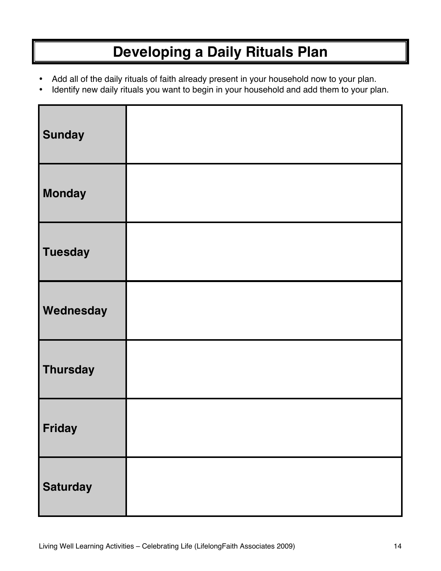# **Developing a Daily Rituals Plan**

- Add all of the daily rituals of faith already present in your household now to your plan.
- Identify new daily rituals you want to begin in your household and add them to your plan.

| <b>Sunday</b>   |  |
|-----------------|--|
| <b>Monday</b>   |  |
| <b>Tuesday</b>  |  |
| Wednesday       |  |
| <b>Thursday</b> |  |
| Friday          |  |
| <b>Saturday</b> |  |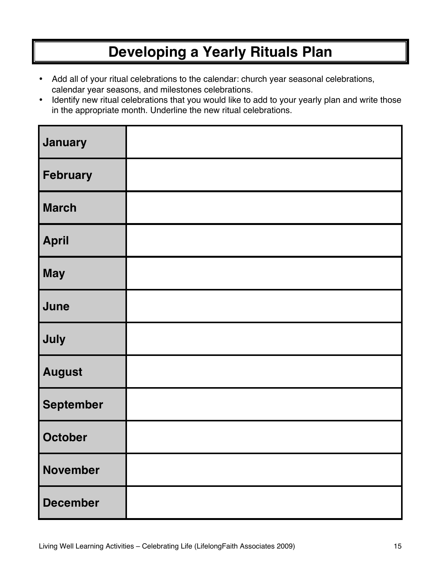# **Developing a Yearly Rituals Plan**

- Add all of your ritual celebrations to the calendar: church year seasonal celebrations, calendar year seasons, and milestones celebrations.
- Identify new ritual celebrations that you would like to add to your yearly plan and write those in the appropriate month. Underline the new ritual celebrations.

| <b>January</b>   |  |
|------------------|--|
| <b>February</b>  |  |
| <b>March</b>     |  |
| <b>April</b>     |  |
| <b>May</b>       |  |
| June             |  |
| July             |  |
| <b>August</b>    |  |
| <b>September</b> |  |
| <b>October</b>   |  |
| <b>November</b>  |  |
| <b>December</b>  |  |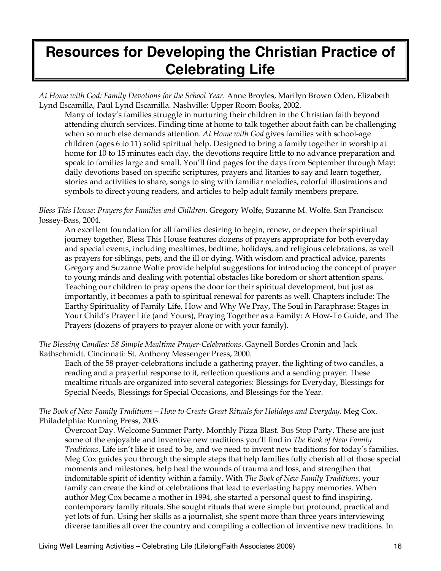# **Resources for Developing the Christian Practice of Celebrating Life**

*At Home with God: Family Devotions for the School Year.* Anne Broyles, Marilyn Brown Oden, Elizabeth Lynd Escamilla, Paul Lynd Escamilla. Nashville: Upper Room Books, 2002.

Many of today's families struggle in nurturing their children in the Christian faith beyond attending church services. Finding time at home to talk together about faith can be challenging when so much else demands attention. *At Home with God* gives families with school-age children (ages 6 to 11) solid spiritual help. Designed to bring a family together in worship at home for 10 to 15 minutes each day, the devotions require little to no advance preparation and speak to families large and small. You'll find pages for the days from September through May: daily devotions based on specific scriptures, prayers and litanies to say and learn together, stories and activities to share, songs to sing with familiar melodies, colorful illustrations and symbols to direct young readers, and articles to help adult family members prepare.

*Bless This House: Prayers for Families and Children.* Gregory Wolfe, Suzanne M. Wolfe. San Francisco: Jossey-Bass, 2004.

An excellent foundation for all families desiring to begin, renew, or deepen their spiritual journey together, Bless This House features dozens of prayers appropriate for both everyday and special events, including mealtimes, bedtime, holidays, and religious celebrations, as well as prayers for siblings, pets, and the ill or dying. With wisdom and practical advice, parents Gregory and Suzanne Wolfe provide helpful suggestions for introducing the concept of prayer to young minds and dealing with potential obstacles like boredom or short attention spans. Teaching our children to pray opens the door for their spiritual development, but just as importantly, it becomes a path to spiritual renewal for parents as well. Chapters include: The Earthy Spirituality of Family Life, How and Why We Pray, The Soul in Paraphrase: Stages in Your Child's Prayer Life (and Yours), Praying Together as a Family: A How-To Guide, and The Prayers (dozens of prayers to prayer alone or with your family).

*The Blessing Candles: 58 Simple Mealtime Prayer-Celebrations*. Gaynell Bordes Cronin and Jack Rathschmidt. Cincinnati: St. Anthony Messenger Press, 2000.

Each of the 58 prayer-celebrations include a gathering prayer, the lighting of two candles, a reading and a prayerful response to it, reflection questions and a sending prayer. These mealtime rituals are organized into several categories: Blessings for Everyday, Blessings for Special Needs, Blessings for Special Occasions, and Blessings for the Year.

#### *The Book of New Family Traditions—How to Create Great Rituals for Holidays and Everyday.* Meg Cox. Philadelphia: Running Press, 2003.

Overcoat Day. Welcome Summer Party. Monthly Pizza Blast. Bus Stop Party. These are just some of the enjoyable and inventive new traditions you'll find in *The Book of New Family Traditions*. Life isn't like it used to be, and we need to invent new traditions for today's families. Meg Cox guides you through the simple steps that help families fully cherish all of those special moments and milestones, help heal the wounds of trauma and loss, and strengthen that indomitable spirit of identity within a family. With *The Book of New Family Traditions*, your family can create the kind of celebrations that lead to everlasting happy memories. When author Meg Cox became a mother in 1994, she started a personal quest to find inspiring, contemporary family rituals. She sought rituals that were simple but profound, practical and yet lots of fun. Using her skills as a journalist, she spent more than three years interviewing diverse families all over the country and compiling a collection of inventive new traditions. In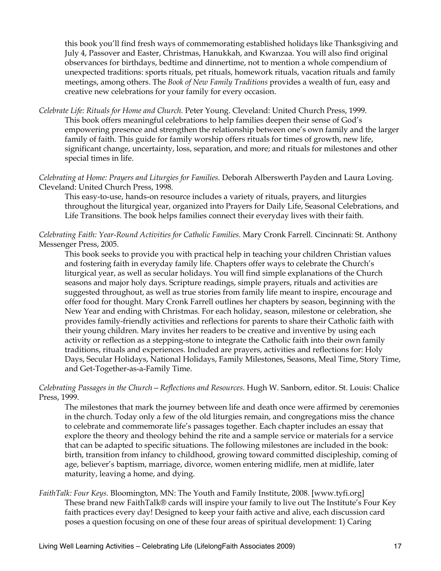this book you'll find fresh ways of commemorating established holidays like Thanksgiving and July 4, Passover and Easter, Christmas, Hanukkah, and Kwanzaa. You will also find original observances for birthdays, bedtime and dinnertime, not to mention a whole compendium of unexpected traditions: sports rituals, pet rituals, homework rituals, vacation rituals and family meetings, among others. The *Book of New Family Traditions* provides a wealth of fun, easy and creative new celebrations for your family for every occasion.

*Celebrate Life: Rituals for Home and Church.* Peter Young. Cleveland: United Church Press, 1999. This book offers meaningful celebrations to help families deepen their sense of God's empowering presence and strengthen the relationship between one's own family and the larger family of faith. This guide for family worship offers rituals for times of growth, new life, significant change, uncertainty, loss, separation, and more; and rituals for milestones and other special times in life.

*Celebrating at Home: Prayers and Liturgies for Families.* Deborah Alberswerth Payden and Laura Loving. Cleveland: United Church Press, 1998.

This easy-to-use, hands-on resource includes a variety of rituals, prayers, and liturgies throughout the liturgical year, organized into Prayers for Daily Life, Seasonal Celebrations, and Life Transitions. The book helps families connect their everyday lives with their faith.

*Celebrating Faith: Year-Round Activities for Catholic Families.* Mary Cronk Farrell. Cincinnati: St. Anthony Messenger Press, 2005.

This book seeks to provide you with practical help in teaching your children Christian values and fostering faith in everyday family life. Chapters offer ways to celebrate the Church's liturgical year, as well as secular holidays. You will find simple explanations of the Church seasons and major holy days. Scripture readings, simple prayers, rituals and activities are suggested throughout, as well as true stories from family life meant to inspire, encourage and offer food for thought. Mary Cronk Farrell outlines her chapters by season, beginning with the New Year and ending with Christmas. For each holiday, season, milestone or celebration, she provides family-friendly activities and reflections for parents to share their Catholic faith with their young children. Mary invites her readers to be creative and inventive by using each activity or reflection as a stepping-stone to integrate the Catholic faith into their own family traditions, rituals and experiences. Included are prayers, activities and reflections for: Holy Days, Secular Holidays, National Holidays, Family Milestones, Seasons, Meal Time, Story Time, and Get-Together-as-a-Family Time.

*Celebrating Passages in the Church—Reflections and Resources*. Hugh W. Sanborn, editor. St. Louis: Chalice Press, 1999.

The milestones that mark the journey between life and death once were affirmed by ceremonies in the church. Today only a few of the old liturgies remain, and congregations miss the chance to celebrate and commemorate life's passages together. Each chapter includes an essay that explore the theory and theology behind the rite and a sample service or materials for a service that can be adapted to specific situations. The following milestones are included in the book: birth, transition from infancy to childhood, growing toward committed discipleship, coming of age, believer's baptism, marriage, divorce, women entering midlife, men at midlife, later maturity, leaving a home, and dying.

*FaithTalk: Four Keys.* Bloomington, MN: The Youth and Family Institute, 2008. [www.tyfi.org] These brand new FaithTalk® cards will inspire your family to live out The Institute's Four Key faith practices every day! Designed to keep your faith active and alive, each discussion card poses a question focusing on one of these four areas of spiritual development: 1) Caring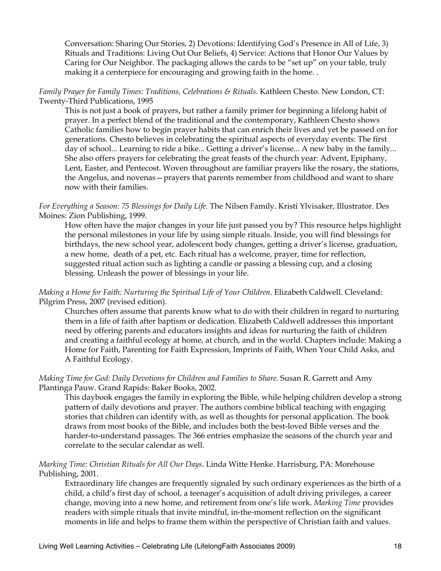Conversation: Sharing Our Stories, 2) Devotions: Identifying God's Presence in All of Life, 3) Rituals and Traditions: Living Out Our Beliefs, 4) Service: Actions that Honor Our Values by Caring for Our Neighbor. The packaging allows the cards to be "set up" on your table, truly making it a centerpiece for encouraging and growing faith in the home. .

*Family Prayer for Family Times: Traditions, Celebrations & Rituals*. Kathleen Chesto. New London, CT: Twenty-Third Publications, 1995

This is not just a book of prayers, but rather a family primer for beginning a lifelong habit of prayer. In a perfect blend of the traditional and the contemporary, Kathleen Chesto shows Catholic families how to begin prayer habits that can enrich their lives and yet be passed on for generations. Chesto believes in celebrating the spiritual aspects of everyday events: The first day of school... Learning to ride a bike... Getting a driver's license... A new baby in the family... She also offers prayers for celebrating the great feasts of the church year: Advent, Epiphany, Lent, Easter, and Pentecost. Woven throughout are familiar prayers like the rosary, the stations, the Angelus, and novenas—prayers that parents remember from childhood and want to share now with their families.

*For Everything a Season: 75 Blessings for Daily Life.* The Nilsen Family. Kristi Ylvisaker, Illustrator. Des Moines: Zion Publishing, 1999.

How often have the major changes in your life just passed you by? This resource helps highlight the personal milestones in your life by using simple rituals. Inside, you will find blessings for birthdays, the new school year, adolescent body changes, getting a driver's license, graduation, a new home, death of a pet, etc. Each ritual has a welcome, prayer, time for reflection, suggested ritual action such as lighting a candle or passing a blessing cup, and a closing blessing. Unleash the power of blessings in your life.

*Making a Home for Faith: Nurturing the Spiritual Life of Your Children*. Elizabeth Caldwell. Cleveland: Pilgrim Press, 2007 (revised edition).

Churches often assume that parents know what to do with their children in regard to nurturing them in a life of faith after baptism or dedication. Elizabeth Caldwell addresses this important need by offering parents and educators insights and ideas for nurturing the faith of children and creating a faithful ecology at home, at church, and in the world. Chapters include: Making a Home for Faith, Parenting for Faith Expression, Imprints of Faith, When Your Child Asks, and A Faithful Ecology.

*Making Time for God: Daily Devotions for Children and Families to Share.* Susan R. Garrett and Amy Plantinga Pauw. Grand Rapids: Baker Books, 2002.

This daybook engages the family in exploring the Bible, while helping children develop a strong pattern of daily devotions and prayer. The authors combine biblical teaching with engaging stories that children can identify with, as well as thoughts for personal application. The book draws from most books of the Bible, and includes both the best-loved Bible verses and the harder-to-understand passages. The 366 entries emphasize the seasons of the church year and correlate to the secular calendar as well.

*Marking Time: Christian Rituals for All Our Days*. Linda Witte Henke. Harrisburg, PA: Morehouse Publishing, 2001.

Extraordinary life changes are frequently signaled by such ordinary experiences as the birth of a child, a child's first day of school, a teenager's acquisition of adult driving privileges, a career change, moving into a new home, and retirement from one's life work. *Marking Time* provides readers with simple rituals that invite mindful, in-the-moment reflection on the significant moments in life and helps to frame them within the perspective of Christian faith and values.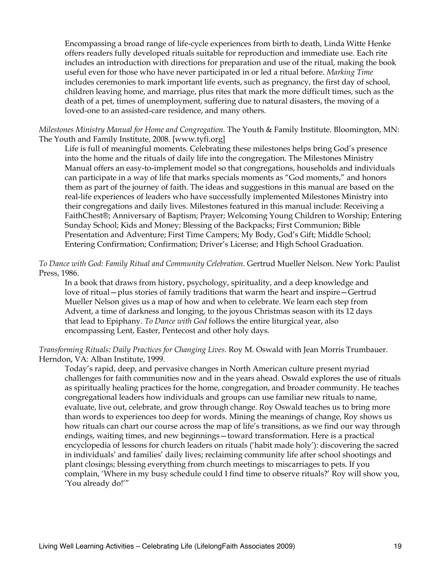Encompassing a broad range of life-cycle experiences from birth to death, Linda Witte Henke offers readers fully developed rituals suitable for reproduction and immediate use. Each rite includes an introduction with directions for preparation and use of the ritual, making the book useful even for those who have never participated in or led a ritual before. *Marking Time* includes ceremonies to mark important life events, such as pregnancy, the first day of school, children leaving home, and marriage, plus rites that mark the more difficult times, such as the death of a pet, times of unemployment, suffering due to natural disasters, the moving of a loved-one to an assisted-care residence, and many others.

*Milestones Ministry Manual for Home and Congregation.* The Youth & Family Institute. Bloomington, MN: The Youth and Family Institute, 2008. [www.tyfi.org]

Life is full of meaningful moments. Celebrating these milestones helps bring God's presence into the home and the rituals of daily life into the congregation. The Milestones Ministry Manual offers an easy-to-implement model so that congregations, households and individuals can participate in a way of life that marks specials moments as "God moments," and honors them as part of the journey of faith. The ideas and suggestions in this manual are based on the real-life experiences of leaders who have successfully implemented Milestones Ministry into their congregations and daily lives. Milestones featured in this manual include: Receiving a FaithChest®; Anniversary of Baptism; Prayer; Welcoming Young Children to Worship; Entering Sunday School; Kids and Money; Blessing of the Backpacks; First Communion; Bible Presentation and Adventure; First Time Campers; My Body, God's Gift; Middle School; Entering Confirmation; Confirmation; Driver's License; and High School Graduation.

*To Dance with God: Family Ritual and Community Celebration*. Gertrud Mueller Nelson. New York: Paulist Press, 1986.

In a book that draws from history, psychology, spirituality, and a deep knowledge and love of ritual—plus stories of family traditions that warm the heart and inspire—Gertrud Mueller Nelson gives us a map of how and when to celebrate. We learn each step from Advent, a time of darkness and longing, to the joyous Christmas season with its 12 days that lead to Epiphany. *To Dance with God* follows the entire liturgical year, also encompassing Lent, Easter, Pentecost and other holy days.

*Transforming Rituals: Daily Practices for Changing Lives.* Roy M. Oswald with Jean Morris Trumbauer. Herndon, VA: Alban Institute, 1999.

Today's rapid, deep, and pervasive changes in North American culture present myriad challenges for faith communities now and in the years ahead. Oswald explores the use of rituals as spiritually healing practices for the home, congregation, and broader community. He teaches congregational leaders how individuals and groups can use familiar new rituals to name, evaluate, live out, celebrate, and grow through change. Roy Oswald teaches us to bring more than words to experiences too deep for words. Mining the meanings of change, Roy shows us how rituals can chart our course across the map of life's transitions, as we find our way through endings, waiting times, and new beginnings—toward transformation. Here is a practical encyclopedia of lessons for church leaders on rituals ('habit made holy'): discovering the sacred in individuals' and families' daily lives; reclaiming community life after school shootings and plant closings; blessing everything from church meetings to miscarriages to pets. If you complain, 'Where in my busy schedule could I find time to observe rituals?' Roy will show you, 'You already do!'"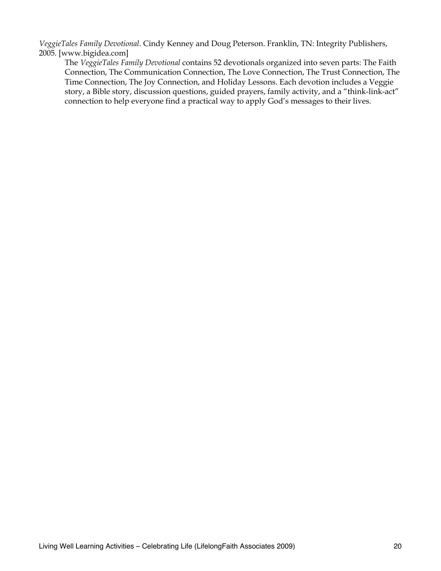*VeggieTales Family Devotional*. Cindy Kenney and Doug Peterson. Franklin, TN: Integrity Publishers, 2005. [www.bigidea.com]

The *VeggieTales Family Devotional* contains 52 devotionals organized into seven parts: The Faith Connection, The Communication Connection, The Love Connection, The Trust Connection, The Time Connection, The Joy Connection, and Holiday Lessons. Each devotion includes a Veggie story, a Bible story, discussion questions, guided prayers, family activity, and a "think-link-act" connection to help everyone find a practical way to apply God's messages to their lives.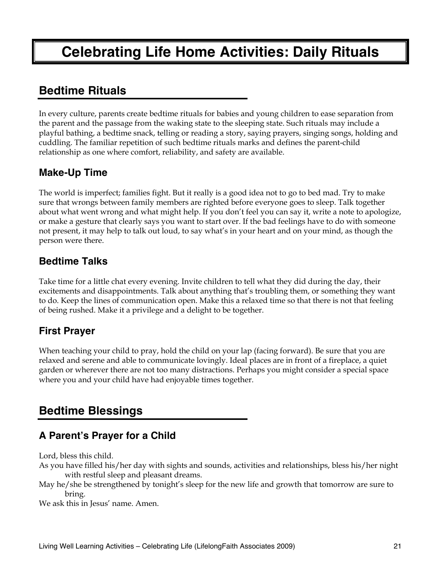# **Celebrating Life Home Activities: Daily Rituals**

## **Bedtime Rituals**

In every culture, parents create bedtime rituals for babies and young children to ease separation from the parent and the passage from the waking state to the sleeping state. Such rituals may include a playful bathing, a bedtime snack, telling or reading a story, saying prayers, singing songs, holding and cuddling. The familiar repetition of such bedtime rituals marks and defines the parent-child relationship as one where comfort, reliability, and safety are available.

## **Make-Up Time**

The world is imperfect; families fight. But it really is a good idea not to go to bed mad. Try to make sure that wrongs between family members are righted before everyone goes to sleep. Talk together about what went wrong and what might help. If you don't feel you can say it, write a note to apologize, or make a gesture that clearly says you want to start over. If the bad feelings have to do with someone not present, it may help to talk out loud, to say what's in your heart and on your mind, as though the person were there.

## **Bedtime Talks**

Take time for a little chat every evening. Invite children to tell what they did during the day, their excitements and disappointments. Talk about anything that's troubling them, or something they want to do. Keep the lines of communication open. Make this a relaxed time so that there is not that feeling of being rushed. Make it a privilege and a delight to be together.

## **First Prayer**

When teaching your child to pray, hold the child on your lap (facing forward). Be sure that you are relaxed and serene and able to communicate lovingly. Ideal places are in front of a fireplace, a quiet garden or wherever there are not too many distractions. Perhaps you might consider a special space where you and your child have had enjoyable times together.

## **Bedtime Blessings**

## **A Parent's Prayer for a Child**

Lord, bless this child.

As you have filled his/her day with sights and sounds, activities and relationships, bless his/her night with restful sleep and pleasant dreams.

May he/she be strengthened by tonight's sleep for the new life and growth that tomorrow are sure to bring.

We ask this in Jesus' name. Amen.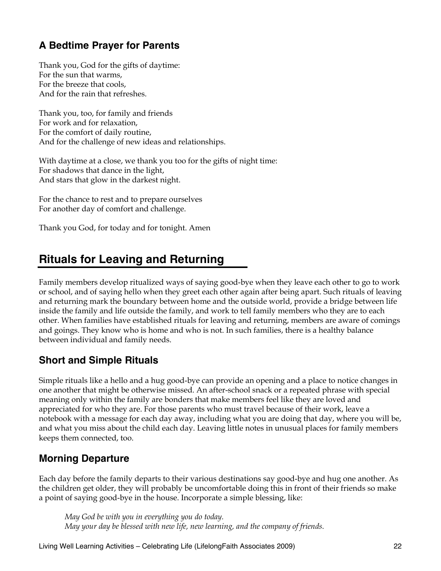## **A Bedtime Prayer for Parents**

Thank you, God for the gifts of daytime: For the sun that warms, For the breeze that cools, And for the rain that refreshes.

Thank you, too, for family and friends For work and for relaxation, For the comfort of daily routine, And for the challenge of new ideas and relationships.

With daytime at a close, we thank you too for the gifts of night time: For shadows that dance in the light, And stars that glow in the darkest night.

For the chance to rest and to prepare ourselves For another day of comfort and challenge.

Thank you God, for today and for tonight. Amen

## **Rituals for Leaving and Returning**

Family members develop ritualized ways of saying good-bye when they leave each other to go to work or school, and of saying hello when they greet each other again after being apart. Such rituals of leaving and returning mark the boundary between home and the outside world, provide a bridge between life inside the family and life outside the family, and work to tell family members who they are to each other. When families have established rituals for leaving and returning, members are aware of comings and goings. They know who is home and who is not. In such families, there is a healthy balance between individual and family needs.

## **Short and Simple Rituals**

Simple rituals like a hello and a hug good-bye can provide an opening and a place to notice changes in one another that might be otherwise missed. An after-school snack or a repeated phrase with special meaning only within the family are bonders that make members feel like they are loved and appreciated for who they are. For those parents who must travel because of their work, leave a notebook with a message for each day away, including what you are doing that day, where you will be, and what you miss about the child each day. Leaving little notes in unusual places for family members keeps them connected, too.

### **Morning Departure**

Each day before the family departs to their various destinations say good-bye and hug one another. As the children get older, they will probably be uncomfortable doing this in front of their friends so make a point of saying good-bye in the house. Incorporate a simple blessing, like:

*May God be with you in everything you do today. May your day be blessed with new life, new learning, and the company of friends.*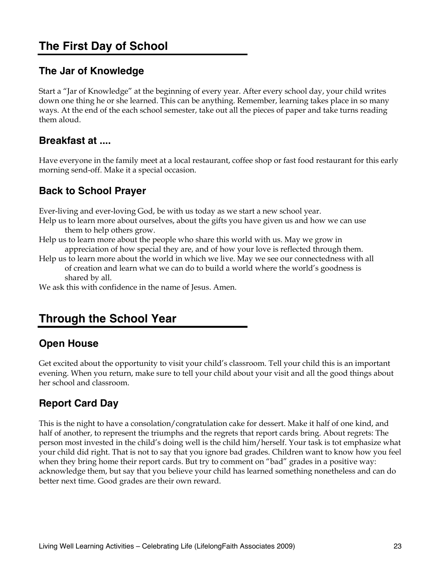## **The First Day of School**

## **The Jar of Knowledge**

Start a "Jar of Knowledge" at the beginning of every year. After every school day, your child writes down one thing he or she learned. This can be anything. Remember, learning takes place in so many ways. At the end of the each school semester, take out all the pieces of paper and take turns reading them aloud.

### **Breakfast at ....**

Have everyone in the family meet at a local restaurant, coffee shop or fast food restaurant for this early morning send-off. Make it a special occasion.

### **Back to School Prayer**

Ever-living and ever-loving God, be with us today as we start a new school year.

- Help us to learn more about ourselves, about the gifts you have given us and how we can use them to help others grow.
- Help us to learn more about the people who share this world with us. May we grow in appreciation of how special they are, and of how your love is reflected through them.
- Help us to learn more about the world in which we live. May we see our connectedness with all of creation and learn what we can do to build a world where the world's goodness is shared by all.

We ask this with confidence in the name of Jesus. Amen.

## **Through the School Year**

## **Open House**

Get excited about the opportunity to visit your child's classroom. Tell your child this is an important evening. When you return, make sure to tell your child about your visit and all the good things about her school and classroom.

## **Report Card Day**

This is the night to have a consolation/congratulation cake for dessert. Make it half of one kind, and half of another, to represent the triumphs and the regrets that report cards bring. About regrets: The person most invested in the child's doing well is the child him/herself. Your task is tot emphasize what your child did right. That is not to say that you ignore bad grades. Children want to know how you feel when they bring home their report cards. But try to comment on "bad" grades in a positive way: acknowledge them, but say that you believe your child has learned something nonetheless and can do better next time. Good grades are their own reward.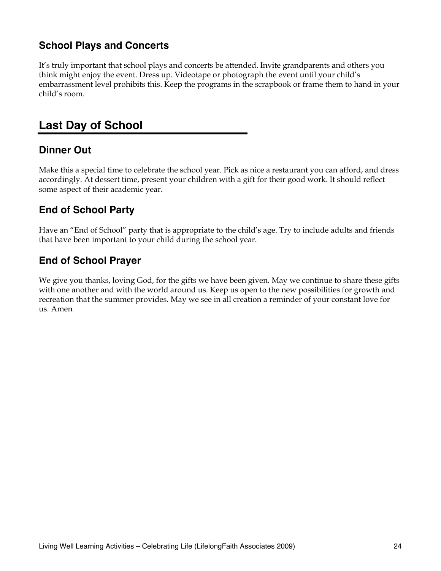## **School Plays and Concerts**

It's truly important that school plays and concerts be attended. Invite grandparents and others you think might enjoy the event. Dress up. Videotape or photograph the event until your child's embarrassment level prohibits this. Keep the programs in the scrapbook or frame them to hand in your child's room.

## **Last Day of School**

## **Dinner Out**

Make this a special time to celebrate the school year. Pick as nice a restaurant you can afford, and dress accordingly. At dessert time, present your children with a gift for their good work. It should reflect some aspect of their academic year.

## **End of School Party**

Have an "End of School" party that is appropriate to the child's age. Try to include adults and friends that have been important to your child during the school year.

## **End of School Prayer**

We give you thanks, loving God, for the gifts we have been given. May we continue to share these gifts with one another and with the world around us. Keep us open to the new possibilities for growth and recreation that the summer provides. May we see in all creation a reminder of your constant love for us. Amen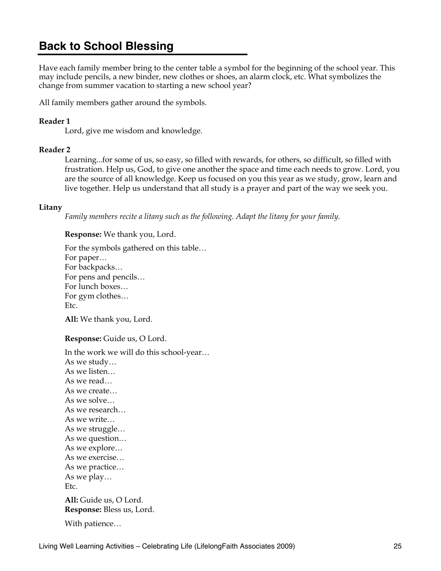## **Back to School Blessing**

Have each family member bring to the center table a symbol for the beginning of the school year. This may include pencils, a new binder, new clothes or shoes, an alarm clock, etc. What symbolizes the change from summer vacation to starting a new school year?

All family members gather around the symbols.

#### **Reader 1**

Lord, give me wisdom and knowledge.

#### **Reader 2**

Learning...for some of us, so easy, so filled with rewards, for others, so difficult, so filled with frustration. Help us, God, to give one another the space and time each needs to grow. Lord, you are the source of all knowledge. Keep us focused on you this year as we study, grow, learn and live together. Help us understand that all study is a prayer and part of the way we seek you.

#### **Litany**

*Family members recite a litany such as the following. Adapt the litany for your family.*

**Response:** We thank you, Lord.

For the symbols gathered on this table… For paper… For backpacks… For pens and pencils… For lunch boxes… For gym clothes… Etc.

**All:** We thank you, Lord.

**Response:** Guide us, O Lord.

In the work we will do this school-year… As we study… As we listen… As we read… As we create… As we solve… As we research… As we write… As we struggle… As we question… As we explore… As we exercise… As we practice… As we play… Etc. **All:** Guide us, O Lord. **Response:** Bless us, Lord.

With patience…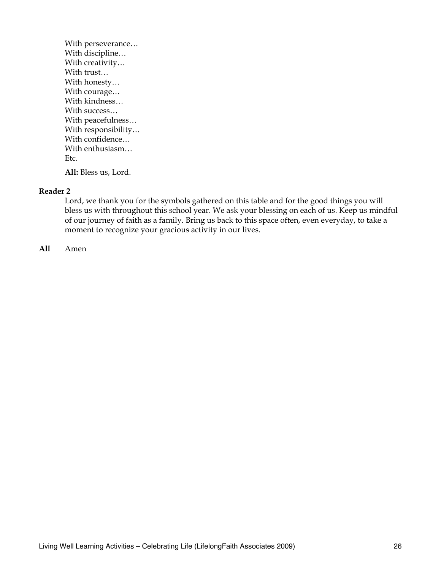With perseverance… With discipline… With creativity… With trust… With honesty… With courage… With kindness… With success... With peacefulness… With responsibility… With confidence... With enthusiasm… Etc. **All:** Bless us, Lord.

### **Reader 2**

Lord, we thank you for the symbols gathered on this table and for the good things you will bless us with throughout this school year. We ask your blessing on each of us. Keep us mindful of our journey of faith as a family. Bring us back to this space often, even everyday, to take a moment to recognize your gracious activity in our lives.

#### **All** Amen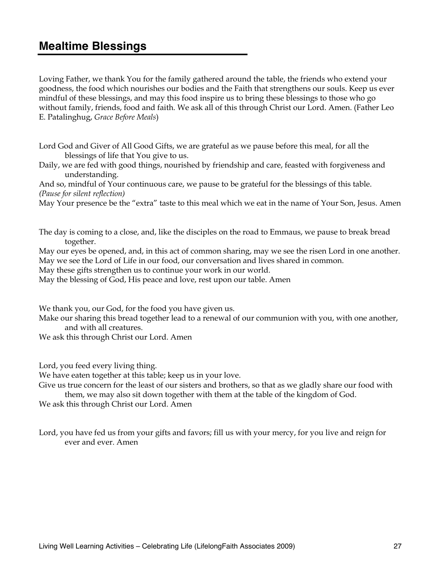## **Mealtime Blessings**

Loving Father, we thank You for the family gathered around the table, the friends who extend your goodness, the food which nourishes our bodies and the Faith that strengthens our souls. Keep us ever mindful of these blessings, and may this food inspire us to bring these blessings to those who go without family, friends, food and faith. We ask all of this through Christ our Lord. Amen. (Father Leo E. Patalinghug, *Grace Before Meals*)

Lord God and Giver of All Good Gifts, we are grateful as we pause before this meal, for all the blessings of life that You give to us.

Daily, we are fed with good things, nourished by friendship and care, feasted with forgiveness and understanding.

And so, mindful of Your continuous care, we pause to be grateful for the blessings of this table. *(Pause for silent reflection)*

May Your presence be the "extra" taste to this meal which we eat in the name of Your Son, Jesus. Amen

The day is coming to a close, and, like the disciples on the road to Emmaus, we pause to break bread together.

May our eyes be opened, and, in this act of common sharing, may we see the risen Lord in one another. May we see the Lord of Life in our food, our conversation and lives shared in common.

May these gifts strengthen us to continue your work in our world.

May the blessing of God, His peace and love, rest upon our table. Amen

We thank you, our God, for the food you have given us.

Make our sharing this bread together lead to a renewal of our communion with you, with one another, and with all creatures.

We ask this through Christ our Lord. Amen

Lord, you feed every living thing.

We have eaten together at this table; keep us in your love.

Give us true concern for the least of our sisters and brothers, so that as we gladly share our food with them, we may also sit down together with them at the table of the kingdom of God.

We ask this through Christ our Lord. Amen

Lord, you have fed us from your gifts and favors; fill us with your mercy, for you live and reign for ever and ever. Amen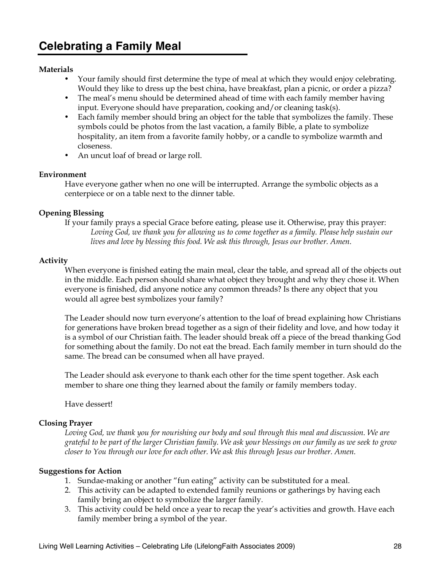## **Celebrating a Family Meal**

#### **Materials**

- Your family should first determine the type of meal at which they would enjoy celebrating. Would they like to dress up the best china, have breakfast, plan a picnic, or order a pizza?
- The meal's menu should be determined ahead of time with each family member having input. Everyone should have preparation, cooking and/or cleaning task(s).
- Each family member should bring an object for the table that symbolizes the family. These symbols could be photos from the last vacation, a family Bible, a plate to symbolize hospitality, an item from a favorite family hobby, or a candle to symbolize warmth and closeness.
- An uncut loaf of bread or large roll.

#### **Environment**

Have everyone gather when no one will be interrupted. Arrange the symbolic objects as a centerpiece or on a table next to the dinner table.

#### **Opening Blessing**

If your family prays a special Grace before eating, please use it. Otherwise, pray this prayer: *Loving God, we thank you for allowing us to come together as a family. Please help sustain our lives and love by blessing this food. We ask this through, Jesus our brother. Amen.*

#### **Activity**

When everyone is finished eating the main meal, clear the table, and spread all of the objects out in the middle. Each person should share what object they brought and why they chose it. When everyone is finished, did anyone notice any common threads? Is there any object that you would all agree best symbolizes your family?

The Leader should now turn everyone's attention to the loaf of bread explaining how Christians for generations have broken bread together as a sign of their fidelity and love, and how today it is a symbol of our Christian faith. The leader should break off a piece of the bread thanking God for something about the family. Do not eat the bread. Each family member in turn should do the same. The bread can be consumed when all have prayed.

The Leader should ask everyone to thank each other for the time spent together. Ask each member to share one thing they learned about the family or family members today.

Have dessert!

#### **Closing Prayer**

*Loving God, we thank you for nourishing our body and soul through this meal and discussion. We are grateful to be part of the larger Christian family. We ask your blessings on our family as we seek to grow closer to You through our love for each other. We ask this through Jesus our brother. Amen.*

#### **Suggestions for Action**

- 1. Sundae-making or another "fun eating" activity can be substituted for a meal.
- 2. This activity can be adapted to extended family reunions or gatherings by having each family bring an object to symbolize the larger family.
- 3. This activity could be held once a year to recap the year's activities and growth. Have each family member bring a symbol of the year.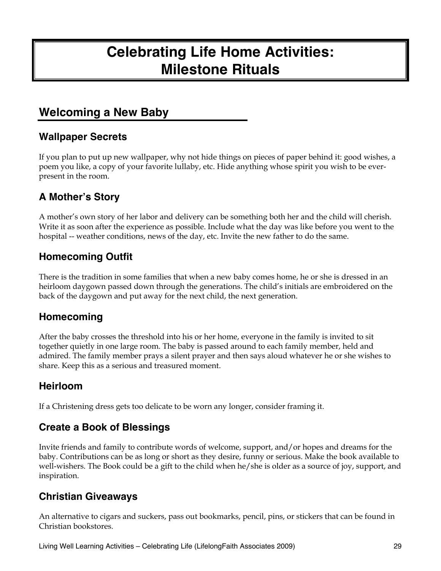# **Celebrating Life Home Activities: Milestone Rituals**

## **Welcoming a New Baby**

## **Wallpaper Secrets**

If you plan to put up new wallpaper, why not hide things on pieces of paper behind it: good wishes, a poem you like, a copy of your favorite lullaby, etc. Hide anything whose spirit you wish to be everpresent in the room.

## **A Mother's Story**

A mother's own story of her labor and delivery can be something both her and the child will cherish. Write it as soon after the experience as possible. Include what the day was like before you went to the hospital -- weather conditions, news of the day, etc. Invite the new father to do the same.

## **Homecoming Outfit**

There is the tradition in some families that when a new baby comes home, he or she is dressed in an heirloom daygown passed down through the generations. The child's initials are embroidered on the back of the daygown and put away for the next child, the next generation.

## **Homecoming**

After the baby crosses the threshold into his or her home, everyone in the family is invited to sit together quietly in one large room. The baby is passed around to each family member, held and admired. The family member prays a silent prayer and then says aloud whatever he or she wishes to share. Keep this as a serious and treasured moment.

## **Heirloom**

If a Christening dress gets too delicate to be worn any longer, consider framing it.

## **Create a Book of Blessings**

Invite friends and family to contribute words of welcome, support, and/or hopes and dreams for the baby. Contributions can be as long or short as they desire, funny or serious. Make the book available to well-wishers. The Book could be a gift to the child when he/she is older as a source of joy, support, and inspiration.

## **Christian Giveaways**

An alternative to cigars and suckers, pass out bookmarks, pencil, pins, or stickers that can be found in Christian bookstores.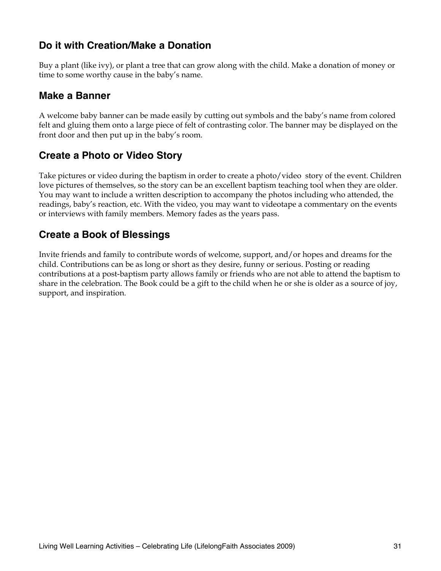## **Do it with Creation/Make a Donation**

Buy a plant (like ivy), or plant a tree that can grow along with the child. Make a donation of money or time to some worthy cause in the baby's name.

### **Make a Banner**

A welcome baby banner can be made easily by cutting out symbols and the baby's name from colored felt and gluing them onto a large piece of felt of contrasting color. The banner may be displayed on the front door and then put up in the baby's room.

## **Create a Photo or Video Story**

Take pictures or video during the baptism in order to create a photo/video story of the event. Children love pictures of themselves, so the story can be an excellent baptism teaching tool when they are older. You may want to include a written description to accompany the photos including who attended, the readings, baby's reaction, etc. With the video, you may want to videotape a commentary on the events or interviews with family members. Memory fades as the years pass.

## **Create a Book of Blessings**

Invite friends and family to contribute words of welcome, support, and/or hopes and dreams for the child. Contributions can be as long or short as they desire, funny or serious. Posting or reading contributions at a post-baptism party allows family or friends who are not able to attend the baptism to share in the celebration. The Book could be a gift to the child when he or she is older as a source of joy, support, and inspiration.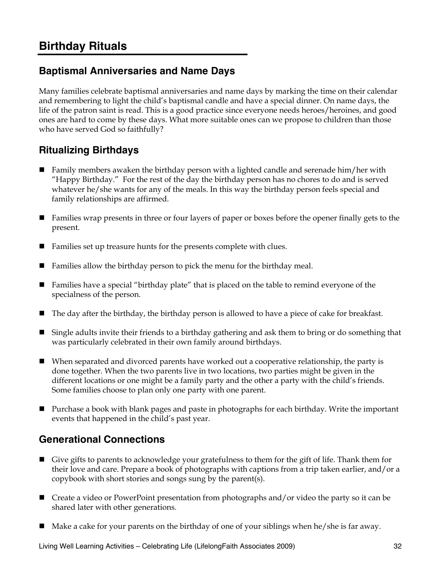## **Baptismal Anniversaries and Name Days**

Many families celebrate baptismal anniversaries and name days by marking the time on their calendar and remembering to light the child's baptismal candle and have a special dinner. On name days, the life of the patron saint is read. This is a good practice since everyone needs heroes/heroines, and good ones are hard to come by these days. What more suitable ones can we propose to children than those who have served God so faithfully?

## **Ritualizing Birthdays**

- Family members awaken the birthday person with a lighted candle and serenade him/her with "Happy Birthday." For the rest of the day the birthday person has no chores to do and is served whatever he/she wants for any of the meals. In this way the birthday person feels special and family relationships are affirmed.
- Families wrap presents in three or four layers of paper or boxes before the opener finally gets to the present.
- Families set up treasure hunts for the presents complete with clues.
- Families allow the birthday person to pick the menu for the birthday meal.
- Families have a special "birthday plate" that is placed on the table to remind everyone of the specialness of the person.
- The day after the birthday, the birthday person is allowed to have a piece of cake for breakfast.
- Single adults invite their friends to a birthday gathering and ask them to bring or do something that was particularly celebrated in their own family around birthdays.
- When separated and divorced parents have worked out a cooperative relationship, the party is done together. When the two parents live in two locations, two parties might be given in the different locations or one might be a family party and the other a party with the child's friends. Some families choose to plan only one party with one parent.
- Purchase a book with blank pages and paste in photographs for each birthday. Write the important events that happened in the child's past year.

## **Generational Connections**

- Give gifts to parents to acknowledge your gratefulness to them for the gift of life. Thank them for their love and care. Prepare a book of photographs with captions from a trip taken earlier, and/or a copybook with short stories and songs sung by the parent(s).
- Create a video or PowerPoint presentation from photographs and/or video the party so it can be shared later with other generations.
- Make a cake for your parents on the birthday of one of your siblings when he/she is far away.

Living Well Learning Activities – Celebrating Life (LifelongFaith Associates 2009) 32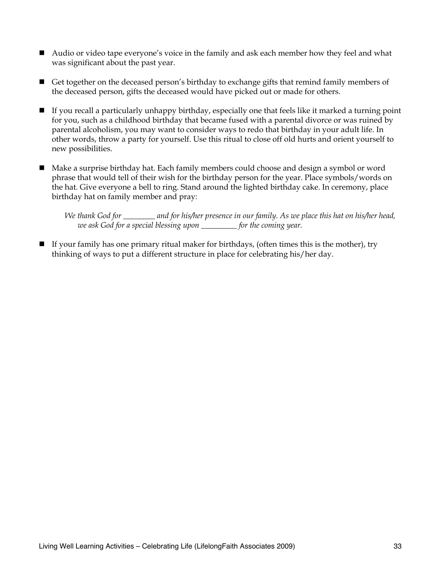- Audio or video tape everyone's voice in the family and ask each member how they feel and what was significant about the past year.
- Get together on the deceased person's birthday to exchange gifts that remind family members of the deceased person, gifts the deceased would have picked out or made for others.
- If you recall a particularly unhappy birthday, especially one that feels like it marked a turning point for you, such as a childhood birthday that became fused with a parental divorce or was ruined by parental alcoholism, you may want to consider ways to redo that birthday in your adult life. In other words, throw a party for yourself. Use this ritual to close off old hurts and orient yourself to new possibilities.
- Make a surprise birthday hat. Each family members could choose and design a symbol or word phrase that would tell of their wish for the birthday person for the year. Place symbols/words on the hat. Give everyone a bell to ring. Stand around the lighted birthday cake. In ceremony, place birthday hat on family member and pray:

*We thank God for \_\_\_\_\_\_\_\_ and for his/her presence in our family. As we place this hat on his/her head, we ask God for a special blessing upon \_\_\_\_\_\_\_\_\_ for the coming year.* 

If your family has one primary ritual maker for birthdays, (often times this is the mother), try thinking of ways to put a different structure in place for celebrating his/her day.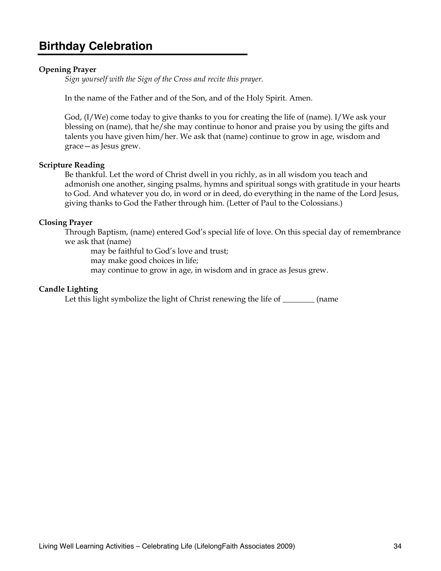## **Birthday Celebration**

#### **Opening Prayer**

*Sign yourself with the Sign of the Cross and recite this prayer.*

In the name of the Father and of the Son, and of the Holy Spirit. Amen.

God, (I/We) come today to give thanks to you for creating the life of (name). I/We ask your blessing on (name), that he/she may continue to honor and praise you by using the gifts and talents you have given him/her. We ask that (name) continue to grow in age, wisdom and grace—as Jesus grew.

#### **Scripture Reading**

Be thankful. Let the word of Christ dwell in you richly, as in all wisdom you teach and admonish one another, singing psalms, hymns and spiritual songs with gratitude in your hearts to God. And whatever you do, in word or in deed, do everything in the name of the Lord Jesus, giving thanks to God the Father through him. (Letter of Paul to the Colossians.)

#### **Closing Prayer**

Through Baptism, (name) entered God's special life of love. On this special day of remembrance we ask that (name)

may be faithful to God's love and trust;

may make good choices in life;

may continue to grow in age, in wisdom and in grace as Jesus grew.

#### **Candle Lighting**

Let this light symbolize the light of Christ renewing the life of \_\_\_\_\_\_\_\_\_\_ (name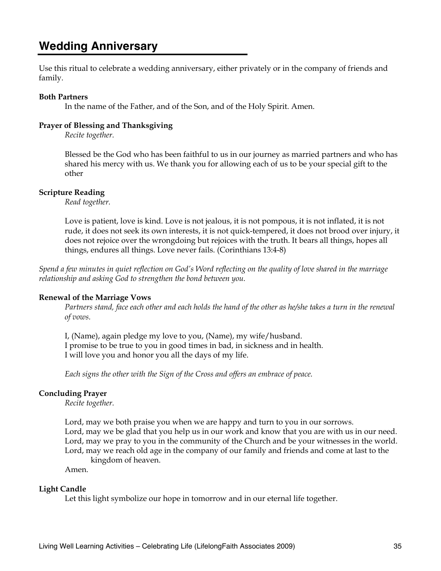## **Wedding Anniversary**

Use this ritual to celebrate a wedding anniversary, either privately or in the company of friends and family.

#### **Both Partners**

In the name of the Father, and of the Son, and of the Holy Spirit. Amen.

#### **Prayer of Blessing and Thanksgiving**

*Recite together.* 

Blessed be the God who has been faithful to us in our journey as married partners and who has shared his mercy with us. We thank you for allowing each of us to be your special gift to the other

#### **Scripture Reading**

*Read together.* 

Love is patient, love is kind. Love is not jealous, it is not pompous, it is not inflated, it is not rude, it does not seek its own interests, it is not quick-tempered, it does not brood over injury, it does not rejoice over the wrongdoing but rejoices with the truth. It bears all things, hopes all things, endures all things. Love never fails. (Corinthians 13:4-8)

*Spend a few minutes in quiet reflection on God's Word reflecting on the quality of love shared in the marriage relationship and asking God to strengthen the bond between you.*

#### **Renewal of the Marriage Vows**

*Partners stand, face each other and each holds the hand of the other as he/she takes a turn in the renewal of vows.*

I, (Name), again pledge my love to you, (Name), my wife/husband. I promise to be true to you in good times in bad, in sickness and in health. I will love you and honor you all the days of my life.

*Each signs the other with the Sign of the Cross and offers an embrace of peace.*

#### **Concluding Prayer**

*Recite together.* 

Lord, may we both praise you when we are happy and turn to you in our sorrows. Lord, may we be glad that you help us in our work and know that you are with us in our need. Lord, may we pray to you in the community of the Church and be your witnesses in the world. Lord, may we reach old age in the company of our family and friends and come at last to the kingdom of heaven.

Amen.

#### **Light Candle**

Let this light symbolize our hope in tomorrow and in our eternal life together.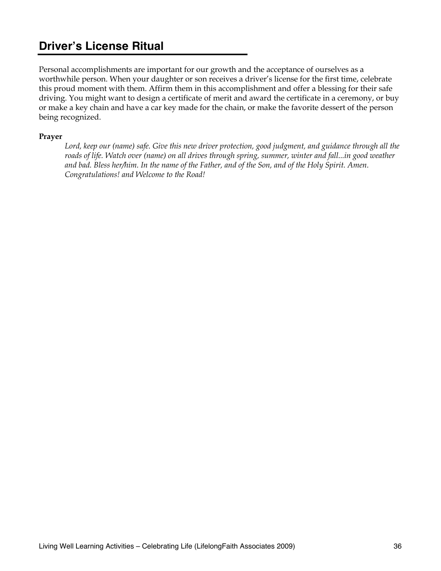## **Driver's License Ritual**

Personal accomplishments are important for our growth and the acceptance of ourselves as a worthwhile person. When your daughter or son receives a driver's license for the first time, celebrate this proud moment with them. Affirm them in this accomplishment and offer a blessing for their safe driving. You might want to design a certificate of merit and award the certificate in a ceremony, or buy or make a key chain and have a car key made for the chain, or make the favorite dessert of the person being recognized.

#### **Prayer**

*Lord, keep our (name) safe. Give this new driver protection, good judgment, and guidance through all the roads of life. Watch over (name) on all drives through spring, summer, winter and fall...in good weather and bad. Bless her/him. In the name of the Father, and of the Son, and of the Holy Spirit. Amen. Congratulations! and Welcome to the Road!*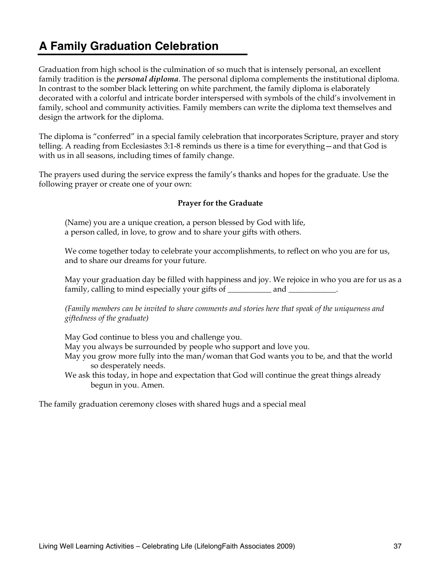# **A Family Graduation Celebration**

Graduation from high school is the culmination of so much that is intensely personal, an excellent family tradition is the *personal diploma*. The personal diploma complements the institutional diploma. In contrast to the somber black lettering on white parchment, the family diploma is elaborately decorated with a colorful and intricate border interspersed with symbols of the child's involvement in family, school and community activities. Family members can write the diploma text themselves and design the artwork for the diploma.

The diploma is "conferred" in a special family celebration that incorporates Scripture, prayer and story telling. A reading from Ecclesiastes 3:1-8 reminds us there is a time for everything—and that God is with us in all seasons, including times of family change.

The prayers used during the service express the family's thanks and hopes for the graduate. Use the following prayer or create one of your own:

## **Prayer for the Graduate**

(Name) you are a unique creation, a person blessed by God with life, a person called, in love, to grow and to share your gifts with others.

We come together today to celebrate your accomplishments, to reflect on who you are for us, and to share our dreams for your future.

May your graduation day be filled with happiness and joy. We rejoice in who you are for us as a family, calling to mind especially your gifts of \_\_\_\_\_\_\_\_\_\_ and \_\_\_\_\_\_\_\_\_\_.

*(Family members can be invited to share comments and stories here that speak of the uniqueness and giftedness of the graduate)* 

May God continue to bless you and challenge you. May you always be surrounded by people who support and love you.

- May you grow more fully into the man/woman that God wants you to be, and that the world so desperately needs.
- We ask this today, in hope and expectation that God will continue the great things already begun in you. Amen.

The family graduation ceremony closes with shared hugs and a special meal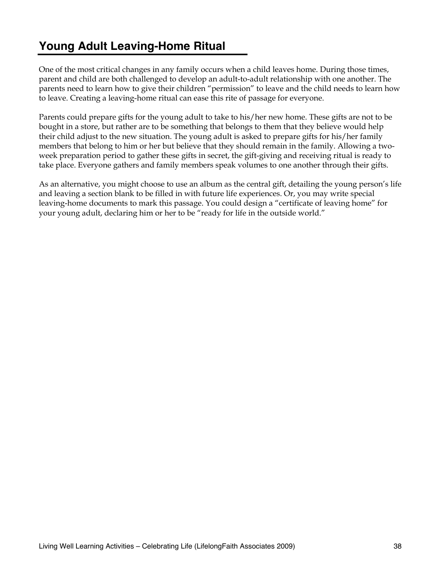# **Young Adult Leaving-Home Ritual**

One of the most critical changes in any family occurs when a child leaves home. During those times, parent and child are both challenged to develop an adult-to-adult relationship with one another. The parents need to learn how to give their children "permission" to leave and the child needs to learn how to leave. Creating a leaving-home ritual can ease this rite of passage for everyone.

Parents could prepare gifts for the young adult to take to his/her new home. These gifts are not to be bought in a store, but rather are to be something that belongs to them that they believe would help their child adjust to the new situation. The young adult is asked to prepare gifts for his/her family members that belong to him or her but believe that they should remain in the family. Allowing a twoweek preparation period to gather these gifts in secret, the gift-giving and receiving ritual is ready to take place. Everyone gathers and family members speak volumes to one another through their gifts.

As an alternative, you might choose to use an album as the central gift, detailing the young person's life and leaving a section blank to be filled in with future life experiences. Or, you may write special leaving-home documents to mark this passage. You could design a "certificate of leaving home" for your young adult, declaring him or her to be "ready for life in the outside world."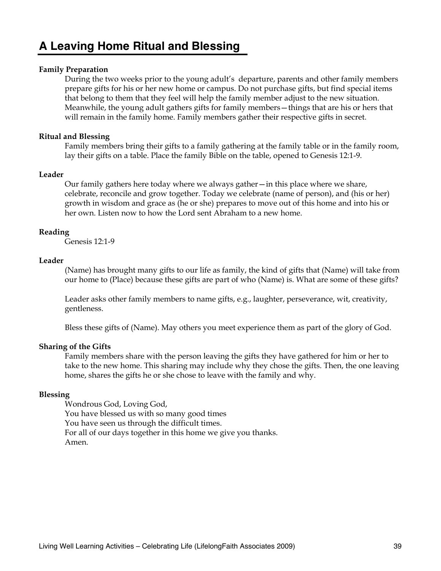# **A Leaving Home Ritual and Blessing**

## **Family Preparation**

During the two weeks prior to the young adult's departure, parents and other family members prepare gifts for his or her new home or campus. Do not purchase gifts, but find special items that belong to them that they feel will help the family member adjust to the new situation. Meanwhile, the young adult gathers gifts for family members—things that are his or hers that will remain in the family home. Family members gather their respective gifts in secret.

#### **Ritual and Blessing**

Family members bring their gifts to a family gathering at the family table or in the family room, lay their gifts on a table. Place the family Bible on the table, opened to Genesis 12:1-9.

#### **Leader**

Our family gathers here today where we always gather—in this place where we share, celebrate, reconcile and grow together. Today we celebrate (name of person), and (his or her) growth in wisdom and grace as (he or she) prepares to move out of this home and into his or her own. Listen now to how the Lord sent Abraham to a new home.

## **Reading**

Genesis 12:1-9

## **Leader**

(Name) has brought many gifts to our life as family, the kind of gifts that (Name) will take from our home to (Place) because these gifts are part of who (Name) is. What are some of these gifts?

Leader asks other family members to name gifts, e.g., laughter, perseverance, wit, creativity, gentleness.

Bless these gifts of (Name). May others you meet experience them as part of the glory of God.

## **Sharing of the Gifts**

Family members share with the person leaving the gifts they have gathered for him or her to take to the new home. This sharing may include why they chose the gifts. Then, the one leaving home, shares the gifts he or she chose to leave with the family and why.

## **Blessing**

Wondrous God, Loving God, You have blessed us with so many good times You have seen us through the difficult times. For all of our days together in this home we give you thanks. Amen.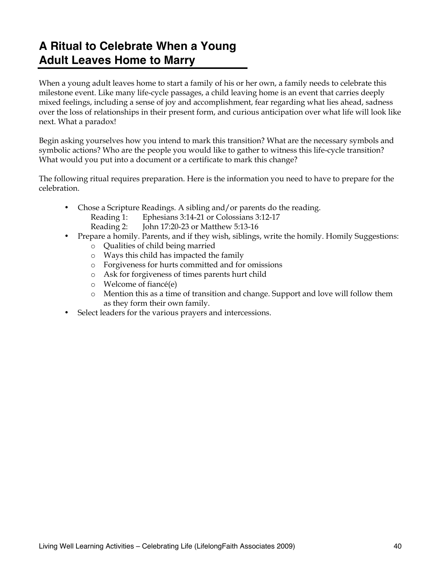# **A Ritual to Celebrate When a Young Adult Leaves Home to Marry**

When a young adult leaves home to start a family of his or her own, a family needs to celebrate this milestone event. Like many life-cycle passages, a child leaving home is an event that carries deeply mixed feelings, including a sense of joy and accomplishment, fear regarding what lies ahead, sadness over the loss of relationships in their present form, and curious anticipation over what life will look like next. What a paradox!

Begin asking yourselves how you intend to mark this transition? What are the necessary symbols and symbolic actions? Who are the people you would like to gather to witness this life-cycle transition? What would you put into a document or a certificate to mark this change?

The following ritual requires preparation. Here is the information you need to have to prepare for the celebration.

- Chose a Scripture Readings. A sibling and/or parents do the reading.
	- Reading 1: Ephesians 3:14-21 or Colossians 3:12-17
	- Reading 2: John 17:20-23 or Matthew 5:13-16
- Prepare a homily. Parents, and if they wish, siblings, write the homily. Homily Suggestions:
	- o Qualities of child being married
	- o Ways this child has impacted the family
	- o Forgiveness for hurts committed and for omissions
	- o Ask for forgiveness of times parents hurt child
	- o Welcome of fiancé(e)
	- o Mention this as a time of transition and change. Support and love will follow them as they form their own family.
- Select leaders for the various prayers and intercessions.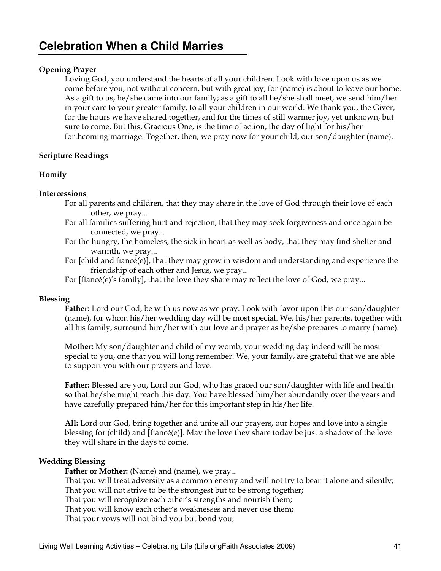# **Celebration When a Child Marries**

## **Opening Prayer**

Loving God, you understand the hearts of all your children. Look with love upon us as we come before you, not without concern, but with great joy, for (name) is about to leave our home. As a gift to us, he/she came into our family; as a gift to all he/she shall meet, we send him/her in your care to your greater family, to all your children in our world. We thank you, the Giver, for the hours we have shared together, and for the times of still warmer joy, yet unknown, but sure to come. But this, Gracious One, is the time of action, the day of light for his/her forthcoming marriage. Together, then, we pray now for your child, our son/daughter (name).

## **Scripture Readings**

#### **Homily**

#### **Intercessions**

- For all parents and children, that they may share in the love of God through their love of each other, we pray...
- For all families suffering hurt and rejection, that they may seek forgiveness and once again be connected, we pray...
- For the hungry, the homeless, the sick in heart as well as body, that they may find shelter and warmth, we pray...

For [child and fiancé(e)], that they may grow in wisdom and understanding and experience the friendship of each other and Jesus, we pray...

For [fiancé(e)'s family], that the love they share may reflect the love of God, we pray...

#### **Blessing**

**Father:** Lord our God, be with us now as we pray. Look with favor upon this our son/daughter (name), for whom his/her wedding day will be most special. We, his/her parents, together with all his family, surround him/her with our love and prayer as he/she prepares to marry (name).

**Mother:** My son/daughter and child of my womb, your wedding day indeed will be most special to you, one that you will long remember. We, your family, are grateful that we are able to support you with our prayers and love.

**Father:** Blessed are you, Lord our God, who has graced our son/daughter with life and health so that he/she might reach this day. You have blessed him/her abundantly over the years and have carefully prepared him/her for this important step in his/her life.

**All:** Lord our God, bring together and unite all our prayers, our hopes and love into a single blessing for (child) and [fiancé(e)]. May the love they share today be just a shadow of the love they will share in the days to come.

## **Wedding Blessing**

Father or Mother: (Name) and (name), we pray...

That you will treat adversity as a common enemy and will not try to bear it alone and silently; That you will not strive to be the strongest but to be strong together;

That you will recognize each other's strengths and nourish them;

That you will know each other's weaknesses and never use them;

That your vows will not bind you but bond you;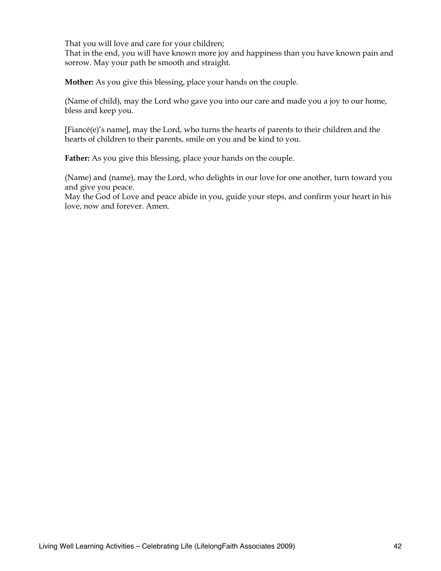That you will love and care for your children;

That in the end, you will have known more joy and happiness than you have known pain and sorrow. May your path be smooth and straight.

**Mother:** As you give this blessing, place your hands on the couple.

(Name of child), may the Lord who gave you into our care and made you a joy to our home, bless and keep you.

[Fiancé(e)'s name], may the Lord, who turns the hearts of parents to their children and the hearts of children to their parents, smile on you and be kind to you.

**Father:** As you give this blessing, place your hands on the couple.

(Name) and (name), may the Lord, who delights in our love for one another, turn toward you and give you peace.

May the God of Love and peace abide in you, guide your steps, and confirm your heart in his love, now and forever. Amen.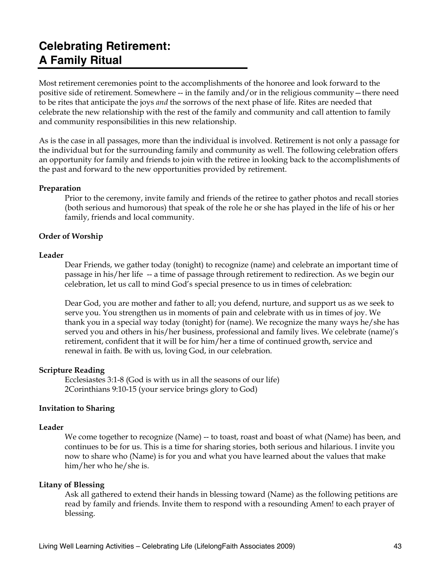# **Celebrating Retirement: A Family Ritual**

Most retirement ceremonies point to the accomplishments of the honoree and look forward to the positive side of retirement. Somewhere -- in the family and/or in the religious community—there need to be rites that anticipate the joys *and* the sorrows of the next phase of life. Rites are needed that celebrate the new relationship with the rest of the family and community and call attention to family and community responsibilities in this new relationship.

As is the case in all passages, more than the individual is involved. Retirement is not only a passage for the individual but for the surrounding family and community as well. The following celebration offers an opportunity for family and friends to join with the retiree in looking back to the accomplishments of the past and forward to the new opportunities provided by retirement.

#### **Preparation**

Prior to the ceremony, invite family and friends of the retiree to gather photos and recall stories (both serious and humorous) that speak of the role he or she has played in the life of his or her family, friends and local community.

## **Order of Worship**

#### **Leader**

Dear Friends, we gather today (tonight) to recognize (name) and celebrate an important time of passage in his/her life -- a time of passage through retirement to redirection. As we begin our celebration, let us call to mind God's special presence to us in times of celebration:

Dear God, you are mother and father to all; you defend, nurture, and support us as we seek to serve you. You strengthen us in moments of pain and celebrate with us in times of joy. We thank you in a special way today (tonight) for (name). We recognize the many ways he/she has served you and others in his/her business, professional and family lives. We celebrate (name)'s retirement, confident that it will be for him/her a time of continued growth, service and renewal in faith. Be with us, loving God, in our celebration.

#### **Scripture Reading**

Ecclesiastes 3:1-8 (God is with us in all the seasons of our life) 2Corinthians 9:10-15 (your service brings glory to God)

#### **Invitation to Sharing**

#### **Leader**

We come together to recognize (Name) -- to toast, roast and boast of what (Name) has been, and continues to be for us. This is a time for sharing stories, both serious and hilarious. I invite you now to share who (Name) is for you and what you have learned about the values that make him/her who he/she is.

#### **Litany of Blessing**

Ask all gathered to extend their hands in blessing toward (Name) as the following petitions are read by family and friends. Invite them to respond with a resounding Amen! to each prayer of blessing.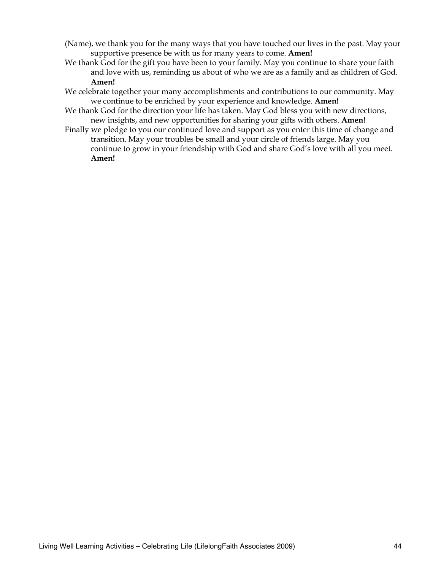- (Name), we thank you for the many ways that you have touched our lives in the past. May your supportive presence be with us for many years to come. **Amen!**
- We thank God for the gift you have been to your family. May you continue to share your faith and love with us, reminding us about of who we are as a family and as children of God. **Amen!**
- We celebrate together your many accomplishments and contributions to our community. May we continue to be enriched by your experience and knowledge. **Amen!**
- We thank God for the direction your life has taken. May God bless you with new directions, new insights, and new opportunities for sharing your gifts with others. **Amen!**
- Finally we pledge to you our continued love and support as you enter this time of change and transition. May your troubles be small and your circle of friends large. May you continue to grow in your friendship with God and share God's love with all you meet. **Amen!**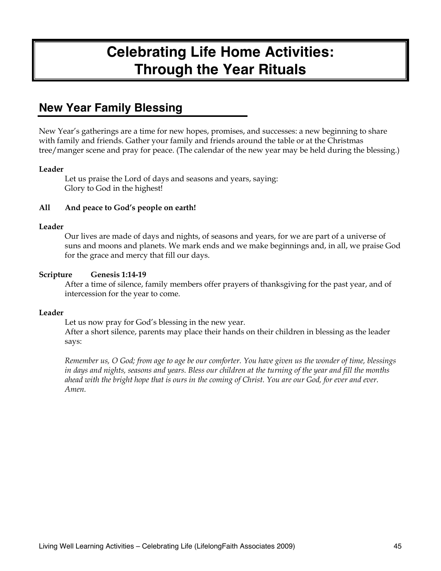# **Celebrating Life Home Activities: Through the Year Rituals**

# **New Year Family Blessing**

New Year's gatherings are a time for new hopes, promises, and successes: a new beginning to share with family and friends. Gather your family and friends around the table or at the Christmas tree/manger scene and pray for peace. (The calendar of the new year may be held during the blessing.)

## **Leader**

Let us praise the Lord of days and seasons and years, saying: Glory to God in the highest!

## **All And peace to God's people on earth!**

#### **Leader**

Our lives are made of days and nights, of seasons and years, for we are part of a universe of suns and moons and planets. We mark ends and we make beginnings and, in all, we praise God for the grace and mercy that fill our days.

## **Scripture Genesis 1:14-19**

After a time of silence, family members offer prayers of thanksgiving for the past year, and of intercession for the year to come.

#### **Leader**

Let us now pray for God's blessing in the new year.

After a short silence, parents may place their hands on their children in blessing as the leader says:

*Remember us, O God; from age to age be our comforter. You have given us the wonder of time, blessings in days and nights, seasons and years. Bless our children at the turning of the year and fill the months ahead with the bright hope that is ours in the coming of Christ. You are our God, for ever and ever. Amen.*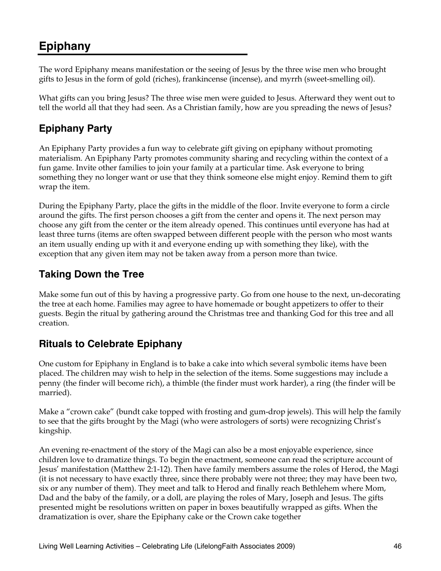# **Epiphany**

The word Epiphany means manifestation or the seeing of Jesus by the three wise men who brought gifts to Jesus in the form of gold (riches), frankincense (incense), and myrrh (sweet-smelling oil).

What gifts can you bring Jesus? The three wise men were guided to Jesus. Afterward they went out to tell the world all that they had seen. As a Christian family, how are you spreading the news of Jesus?

# **Epiphany Party**

An Epiphany Party provides a fun way to celebrate gift giving on epiphany without promoting materialism. An Epiphany Party promotes community sharing and recycling within the context of a fun game. Invite other families to join your family at a particular time. Ask everyone to bring something they no longer want or use that they think someone else might enjoy. Remind them to gift wrap the item.

During the Epiphany Party, place the gifts in the middle of the floor. Invite everyone to form a circle around the gifts. The first person chooses a gift from the center and opens it. The next person may choose any gift from the center or the item already opened. This continues until everyone has had at least three turns (items are often swapped between different people with the person who most wants an item usually ending up with it and everyone ending up with something they like), with the exception that any given item may not be taken away from a person more than twice.

# **Taking Down the Tree**

Make some fun out of this by having a progressive party. Go from one house to the next, un-decorating the tree at each home. Families may agree to have homemade or bought appetizers to offer to their guests. Begin the ritual by gathering around the Christmas tree and thanking God for this tree and all creation.

# **Rituals to Celebrate Epiphany**

One custom for Epiphany in England is to bake a cake into which several symbolic items have been placed. The children may wish to help in the selection of the items. Some suggestions may include a penny (the finder will become rich), a thimble (the finder must work harder), a ring (the finder will be married).

Make a "crown cake" (bundt cake topped with frosting and gum-drop jewels). This will help the family to see that the gifts brought by the Magi (who were astrologers of sorts) were recognizing Christ's kingship.

An evening re-enactment of the story of the Magi can also be a most enjoyable experience, since children love to dramatize things. To begin the enactment, someone can read the scripture account of Jesus' manifestation (Matthew 2:1-12). Then have family members assume the roles of Herod, the Magi (it is not necessary to have exactly three, since there probably were not three; they may have been two, six or any number of them). They meet and talk to Herod and finally reach Bethlehem where Mom, Dad and the baby of the family, or a doll, are playing the roles of Mary, Joseph and Jesus. The gifts presented might be resolutions written on paper in boxes beautifully wrapped as gifts. When the dramatization is over, share the Epiphany cake or the Crown cake together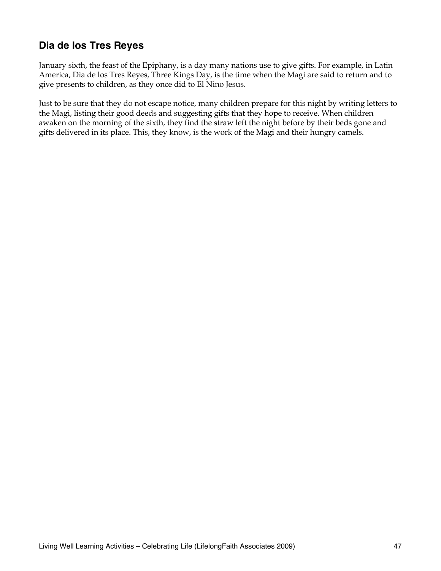# **Dia de los Tres Reyes**

January sixth, the feast of the Epiphany, is a day many nations use to give gifts. For example, in Latin America, Dia de los Tres Reyes, Three Kings Day, is the time when the Magi are said to return and to give presents to children, as they once did to El Nino Jesus.

Just to be sure that they do not escape notice, many children prepare for this night by writing letters to the Magi, listing their good deeds and suggesting gifts that they hope to receive. When children awaken on the morning of the sixth, they find the straw left the night before by their beds gone and gifts delivered in its place. This, they know, is the work of the Magi and their hungry camels.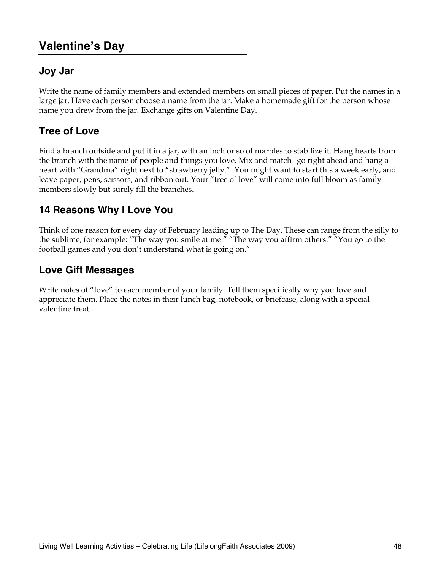# **Valentine's Day**

## **Joy Jar**

Write the name of family members and extended members on small pieces of paper. Put the names in a large jar. Have each person choose a name from the jar. Make a homemade gift for the person whose name you drew from the jar. Exchange gifts on Valentine Day.

## **Tree of Love**

Find a branch outside and put it in a jar, with an inch or so of marbles to stabilize it. Hang hearts from the branch with the name of people and things you love. Mix and match--go right ahead and hang a heart with "Grandma" right next to "strawberry jelly." You might want to start this a week early, and leave paper, pens, scissors, and ribbon out. Your "tree of love" will come into full bloom as family members slowly but surely fill the branches.

## **14 Reasons Why I Love You**

Think of one reason for every day of February leading up to The Day. These can range from the silly to the sublime, for example: "The way you smile at me." "The way you affirm others." "You go to the football games and you don't understand what is going on."

## **Love Gift Messages**

Write notes of "love" to each member of your family. Tell them specifically why you love and appreciate them. Place the notes in their lunch bag, notebook, or briefcase, along with a special valentine treat.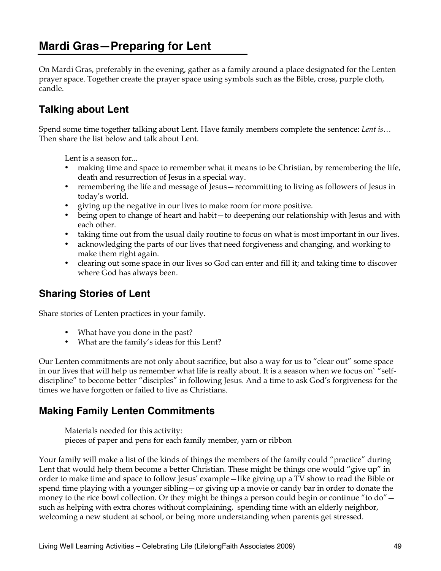# **Mardi Gras—Preparing for Lent**

On Mardi Gras, preferably in the evening, gather as a family around a place designated for the Lenten prayer space. Together create the prayer space using symbols such as the Bible, cross, purple cloth, candle.

# **Talking about Lent**

Spend some time together talking about Lent. Have family members complete the sentence: *Lent is…*  Then share the list below and talk about Lent.

Lent is a season for...

- making time and space to remember what it means to be Christian, by remembering the life, death and resurrection of Jesus in a special way.
- remembering the life and message of Jesus—recommitting to living as followers of Jesus in today's world.
- giving up the negative in our lives to make room for more positive.
- being open to change of heart and habit—to deepening our relationship with Jesus and with each other.
- taking time out from the usual daily routine to focus on what is most important in our lives.
- acknowledging the parts of our lives that need forgiveness and changing, and working to make them right again.
- clearing out some space in our lives so God can enter and fill it; and taking time to discover where God has always been.

## **Sharing Stories of Lent**

Share stories of Lenten practices in your family.

- What have you done in the past?
- What are the family's ideas for this Lent?

Our Lenten commitments are not only about sacrifice, but also a way for us to "clear out" some space in our lives that will help us remember what life is really about. It is a season when we focus on` "selfdiscipline" to become better "disciples" in following Jesus. And a time to ask God's forgiveness for the times we have forgotten or failed to live as Christians.

## **Making Family Lenten Commitments**

Materials needed for this activity: pieces of paper and pens for each family member, yarn or ribbon

Your family will make a list of the kinds of things the members of the family could "practice" during Lent that would help them become a better Christian. These might be things one would "give up" in order to make time and space to follow Jesus' example—like giving up a TV show to read the Bible or spend time playing with a younger sibling—or giving up a movie or candy bar in order to donate the money to the rice bowl collection. Or they might be things a person could begin or continue "to do" – such as helping with extra chores without complaining, spending time with an elderly neighbor, welcoming a new student at school, or being more understanding when parents get stressed.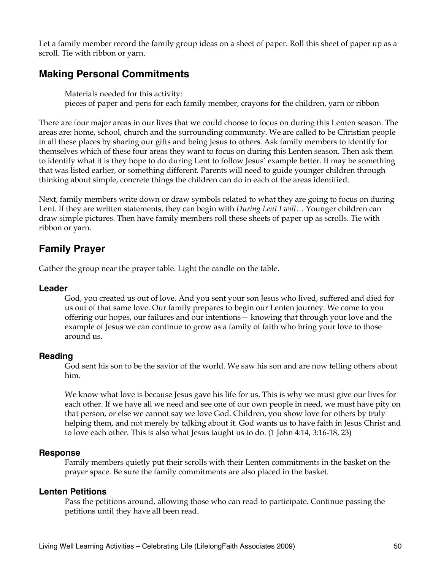Let a family member record the family group ideas on a sheet of paper. Roll this sheet of paper up as a scroll. Tie with ribbon or yarn.

## **Making Personal Commitments**

Materials needed for this activity: pieces of paper and pens for each family member, crayons for the children, yarn or ribbon

There are four major areas in our lives that we could choose to focus on during this Lenten season. The areas are: home, school, church and the surrounding community. We are called to be Christian people in all these places by sharing our gifts and being Jesus to others. Ask family members to identify for themselves which of these four areas they want to focus on during this Lenten season. Then ask them to identify what it is they hope to do during Lent to follow Jesus' example better. It may be something that was listed earlier, or something different. Parents will need to guide younger children through thinking about simple, concrete things the children can do in each of the areas identified.

Next, family members write down or draw symbols related to what they are going to focus on during Lent. If they are written statements, they can begin with *During Lent I will…* Younger children can draw simple pictures. Then have family members roll these sheets of paper up as scrolls. Tie with ribbon or yarn.

## **Family Prayer**

Gather the group near the prayer table. Light the candle on the table.

## **Leader**

God, you created us out of love. And you sent your son Jesus who lived, suffered and died for us out of that same love. Our family prepares to begin our Lenten journey. We come to you offering our hopes, our failures and our intentions— knowing that through your love and the example of Jesus we can continue to grow as a family of faith who bring your love to those around us.

## **Reading**

God sent his son to be the savior of the world. We saw his son and are now telling others about him.

We know what love is because Jesus gave his life for us. This is why we must give our lives for each other. If we have all we need and see one of our own people in need, we must have pity on that person, or else we cannot say we love God. Children, you show love for others by truly helping them, and not merely by talking about it. God wants us to have faith in Jesus Christ and to love each other. This is also what Jesus taught us to do. (1 John 4:14, 3:16-18, 23)

#### **Response**

Family members quietly put their scrolls with their Lenten commitments in the basket on the prayer space. Be sure the family commitments are also placed in the basket.

### **Lenten Petitions**

Pass the petitions around, allowing those who can read to participate. Continue passing the petitions until they have all been read.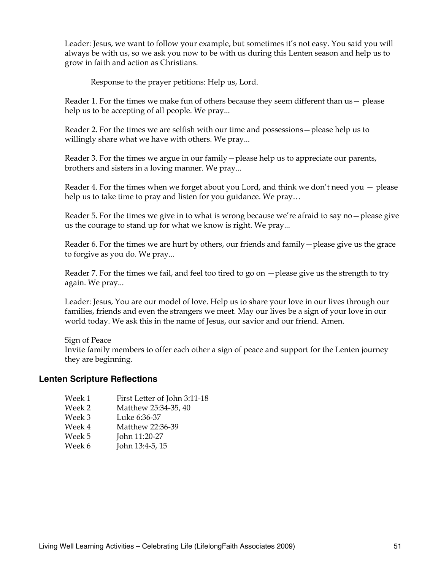Leader: Jesus, we want to follow your example, but sometimes it's not easy. You said you will always be with us, so we ask you now to be with us during this Lenten season and help us to grow in faith and action as Christians.

Response to the prayer petitions: Help us, Lord.

Reader 1. For the times we make fun of others because they seem different than us— please help us to be accepting of all people. We pray...

Reader 2. For the times we are selfish with our time and possessions—please help us to willingly share what we have with others. We pray...

Reader 3. For the times we argue in our family—please help us to appreciate our parents, brothers and sisters in a loving manner. We pray...

Reader 4. For the times when we forget about you Lord, and think we don't need you — please help us to take time to pray and listen for you guidance. We pray…

Reader 5. For the times we give in to what is wrong because we're afraid to say no—please give us the courage to stand up for what we know is right. We pray...

Reader 6. For the times we are hurt by others, our friends and family—please give us the grace to forgive as you do. We pray...

Reader 7. For the times we fail, and feel too tired to go on —please give us the strength to try again. We pray...

Leader: Jesus, You are our model of love. Help us to share your love in our lives through our families, friends and even the strangers we meet. May our lives be a sign of your love in our world today. We ask this in the name of Jesus, our savior and our friend. Amen.

Sign of Peace

Invite family members to offer each other a sign of peace and support for the Lenten journey they are beginning.

#### **Lenten Scripture Reflections**

- Week 1 First Letter of John 3:11-18
- Week 2 Matthew 25:34-35, 40
- Week 3 Luke 6:36-37
- Week 4 Matthew 22:36-39
- Week 5 **John 11:20-27**
- Week 6 **John 13:4-5, 15**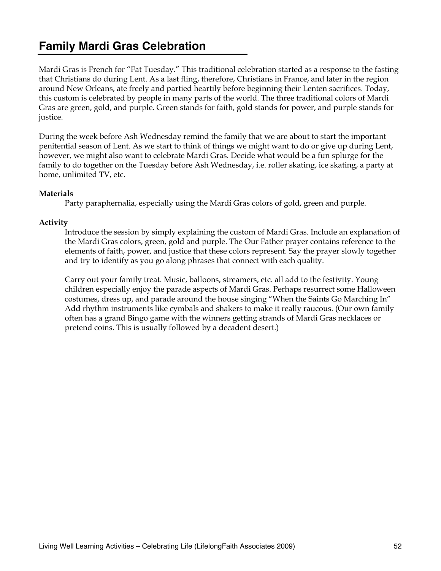# **Family Mardi Gras Celebration**

Mardi Gras is French for "Fat Tuesday." This traditional celebration started as a response to the fasting that Christians do during Lent. As a last fling, therefore, Christians in France, and later in the region around New Orleans, ate freely and partied heartily before beginning their Lenten sacrifices. Today, this custom is celebrated by people in many parts of the world. The three traditional colors of Mardi Gras are green, gold, and purple. Green stands for faith, gold stands for power, and purple stands for justice.

During the week before Ash Wednesday remind the family that we are about to start the important penitential season of Lent. As we start to think of things we might want to do or give up during Lent, however, we might also want to celebrate Mardi Gras. Decide what would be a fun splurge for the family to do together on the Tuesday before Ash Wednesday, i.e. roller skating, ice skating, a party at home, unlimited TV, etc.

## **Materials**

Party paraphernalia, especially using the Mardi Gras colors of gold, green and purple.

## **Activity**

Introduce the session by simply explaining the custom of Mardi Gras. Include an explanation of the Mardi Gras colors, green, gold and purple. The Our Father prayer contains reference to the elements of faith, power, and justice that these colors represent. Say the prayer slowly together and try to identify as you go along phrases that connect with each quality.

Carry out your family treat. Music, balloons, streamers, etc. all add to the festivity. Young children especially enjoy the parade aspects of Mardi Gras. Perhaps resurrect some Halloween costumes, dress up, and parade around the house singing "When the Saints Go Marching In" Add rhythm instruments like cymbals and shakers to make it really raucous. (Our own family often has a grand Bingo game with the winners getting strands of Mardi Gras necklaces or pretend coins. This is usually followed by a decadent desert.)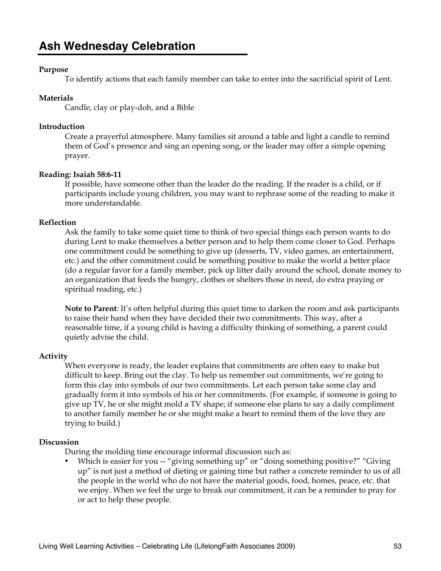# **Ash Wednesday Celebration**

### **Purpose**

To identify actions that each family member can take to enter into the sacrificial spirit of Lent.

### **Materials**

Candle, clay or play-doh, and a Bible

## **Introduction**

Create a prayerful atmosphere. Many families sit around a table and light a candle to remind them of God's presence and sing an opening song, or the leader may offer a simple opening prayer.

## **Reading: Isaiah 58:6-11**

If possible, have someone other than the leader do the reading. If the reader is a child, or if participants include young children, you may want to rephrase some of the reading to make it more understandable.

## **Reflection**

Ask the family to take some quiet time to think of two special things each person wants to do during Lent to make themselves a better person and to help them come closer to God. Perhaps one commitment could be something to give up (desserts, TV, video games, an entertainment, etc.) and the other commitment could be something positive to make the world a better place (do a regular favor for a family member, pick up litter daily around the school, donate money to an organization that feeds the hungry, clothes or shelters those in need, do extra praying or spiritual reading, etc.)

**Note to Parent**: It's often helpful during this quiet time to darken the room and ask participants to raise their hand when they have decided their two commitments. This way, after a reasonable time, if a young child is having a difficulty thinking of something, a parent could quietly advise the child.

## **Activity**

When everyone is ready, the leader explains that commitments are often easy to make but difficult to keep. Bring out the clay. To help us remember out commitments, we're going to form this clay into symbols of our two commitments. Let each person take some clay and gradually form it into symbols of his or her commitments. (For example, if someone is going to give up TV, he or she might mold a TV shape; if someone else plans to say a daily compliment to another family member he or she might make a heart to remind them of the love they are trying to build.)

## **Discussion**

During the molding time encourage informal discussion such as:

• Which is easier for you -- "giving something up" or "doing something positive?" "Giving up" is not just a method of dieting or gaining time but rather a concrete reminder to us of all the people in the world who do not have the material goods, food, homes, peace, etc. that we enjoy. When we feel the urge to break our commitment, it can be a reminder to pray for or act to help these people.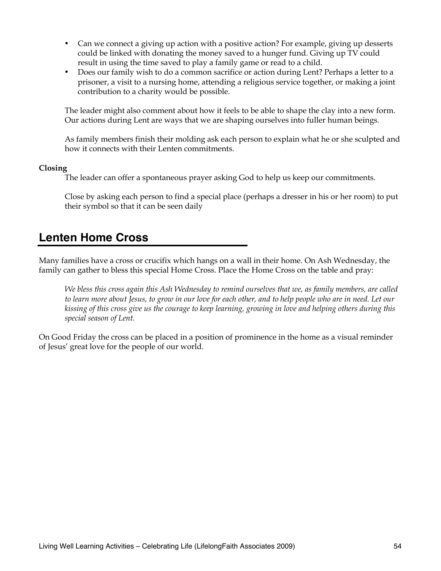- Can we connect a giving up action with a positive action? For example, giving up desserts could be linked with donating the money saved to a hunger fund. Giving up TV could result in using the time saved to play a family game or read to a child.
- Does our family wish to do a common sacrifice or action during Lent? Perhaps a letter to a prisoner, a visit to a nursing home, attending a religious service together, or making a joint contribution to a charity would be possible.

The leader might also comment about how it feels to be able to shape the clay into a new form. Our actions during Lent are ways that we are shaping ourselves into fuller human beings.

As family members finish their molding ask each person to explain what he or she sculpted and how it connects with their Lenten commitments.

## **Closing**

The leader can offer a spontaneous prayer asking God to help us keep our commitments.

Close by asking each person to find a special place (perhaps a dresser in his or her room) to put their symbol so that it can be seen daily

# **Lenten Home Cross**

Many families have a cross or crucifix which hangs on a wall in their home. On Ash Wednesday, the family can gather to bless this special Home Cross. Place the Home Cross on the table and pray:

*We bless this cross again this Ash Wednesday to remind ourselves that we, as family members, are called to learn more about Jesus, to grow in our love for each other, and to help people who are in need. Let our kissing of this cross give us the courage to keep learning, growing in love and helping others during this special season of Lent.*

On Good Friday the cross can be placed in a position of prominence in the home as a visual reminder of Jesus' great love for the people of our world.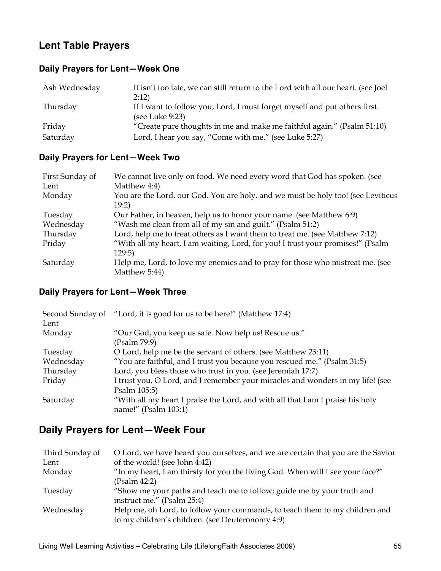# **Lent Table Prayers**

## **Daily Prayers for Lent—Week One**

| Ash Wednesday | It isn't too late, we can still return to the Lord with all our heart. (see Joel<br>2:12)    |
|---------------|----------------------------------------------------------------------------------------------|
| Thursday      | If I want to follow you, Lord, I must forget myself and put others first.<br>(see Luke 9:23) |
| Friday        | "Create pure thoughts in me and make me faithful again." (Psalm 51:10)                       |
| Saturday      | Lord, I hear you say, "Come with me." (see Luke 5:27)                                        |

## **Daily Prayers for Lent—Week Two**

| First Sunday of | We cannot live only on food. We need every word that God has spoken. (see                 |
|-----------------|-------------------------------------------------------------------------------------------|
| Lent            | Matthew 4:4)                                                                              |
| Monday          | You are the Lord, our God. You are holy, and we must be holy too! (see Leviticus<br>19:2) |
| Tuesday         | Our Father, in heaven, help us to honor your name. (see Matthew 6:9)                      |
| Wednesday       | "Wash me clean from all of my sin and guilt." (Psalm 51:2)                                |
| Thursday        | Lord, help me to treat others as I want them to treat me. (see Matthew 7:12)              |
| Friday          | "With all my heart, I am waiting, Lord, for you! I trust your promises!" (Psalm<br>129:5) |
| Saturday        | Help me, Lord, to love my enemies and to pray for those who mistreat me. (see             |
|                 | Matthew 5:44)                                                                             |

## **Daily Prayers for Lent—Week Three**

|           | Second Sunday of "Lord, it is good for us to be here!" (Matthew 17:4)          |
|-----------|--------------------------------------------------------------------------------|
| Lent      |                                                                                |
| Monday    | "Our God, you keep us safe. Now help us! Rescue us."                           |
|           | (Psalm 79:9)                                                                   |
| Tuesday   | O Lord, help me be the servant of others. (see Matthew 23:11)                  |
| Wednesday | "You are faithful, and I trust you because you rescued me." (Psalm 31:5)       |
| Thursday  | Lord, you bless those who trust in you. (see Jeremiah 17:7)                    |
| Friday    | I trust you, O Lord, and I remember your miracles and wonders in my life! (see |
|           | Psalm 105:5)                                                                   |
| Saturday  | "With all my heart I praise the Lord, and with all that I am I praise his holy |
|           | name!" (Psalm 103:1)                                                           |

# **Daily Prayers for Lent—Week Four**

| Third Sunday of | O Lord, we have heard you ourselves, and we are certain that you are the Savior |
|-----------------|---------------------------------------------------------------------------------|
| Lent            | of the world! (see John 4:42)                                                   |
| Monday          | "In my heart, I am thirsty for you the living God. When will I see your face?"  |
|                 | (Psalm 42:2)                                                                    |
| Tuesday         | "Show me your paths and teach me to follow; guide me by your truth and          |
|                 | instruct me." (Psalm 25:4)                                                      |
| Wednesday       | Help me, oh Lord, to follow your commands, to teach them to my children and     |
|                 | to my children's children. (see Deuteronomy 4:9)                                |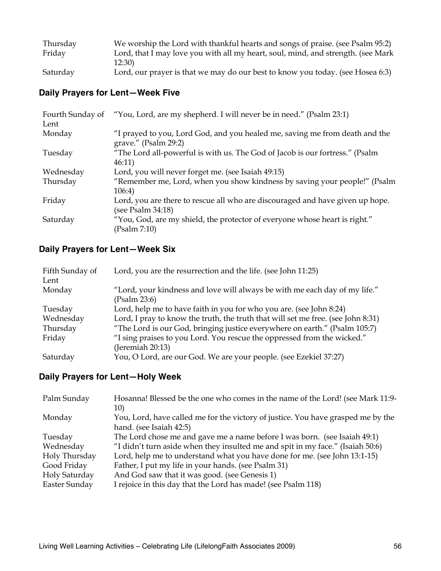| Thursday                        | We worship the Lord with thankful hearts and songs of praise. (see Psalm 95:2)                      |
|---------------------------------|-----------------------------------------------------------------------------------------------------|
| Friday                          | Lord, that I may love you with all my heart, soul, mind, and strength. (see Mark                    |
|                                 | 12:30)                                                                                              |
| $C2$ is a set of $\overline{C}$ | Load, and consequently that we green do any least to linear wear to day, (see Hoose $(\vartheta)$ ) |

# Saturday Lord, our prayer is that we may do our best to know you today. (see Hosea 6:3)

## **Daily Prayers for Lent—Week Five**

| Fourth Sunday of | "You, Lord, are my shepherd. I will never be in need." (Psalm 23:1)                                 |
|------------------|-----------------------------------------------------------------------------------------------------|
| Lent             |                                                                                                     |
| Monday           | "I prayed to you, Lord God, and you healed me, saving me from death and the<br>grave." (Psalm 29:2) |
| Tuesday          | "The Lord all-powerful is with us. The God of Jacob is our fortress." (Psalm<br>46:11)              |
| Wednesday        | Lord, you will never forget me. (see Isaiah 49:15)                                                  |
| Thursday         | "Remember me, Lord, when you show kindness by saving your people!" (Psalm<br>106:4)                 |
| Friday           | Lord, you are there to rescue all who are discouraged and have given up hope.<br>(see Psalm 34:18)  |
| Saturday         | "You, God, are my shield, the protector of everyone whose heart is right."<br>(Psalm 7:10)          |

## **Daily Prayers for Lent—Week Six**

| Fifth Sunday of | Lord, you are the resurrection and the life. (see John 11:25)                    |
|-----------------|----------------------------------------------------------------------------------|
| Lent            |                                                                                  |
| Monday          | "Lord, your kindness and love will always be with me each day of my life."       |
|                 | (Psalm 23:6)                                                                     |
| Tuesday         | Lord, help me to have faith in you for who you are. (see John 8:24)              |
| Wednesday       | Lord, I pray to know the truth, the truth that will set me free. (see John 8:31) |
| Thursday        | "The Lord is our God, bringing justice everywhere on earth." (Psalm 105:7)       |
| Friday          | "I sing praises to you Lord. You rescue the oppressed from the wicked."          |
|                 | (Jeremiah 20:13)                                                                 |
| Saturday        | You, O Lord, are our God. We are your people. (see Ezekiel 37:27)                |

## **Daily Prayers for Lent—Holy Week**

| Hosanna! Blessed be the one who comes in the name of the Lord! (see Mark 11:9-<br>10)                       |
|-------------------------------------------------------------------------------------------------------------|
| You, Lord, have called me for the victory of justice. You have grasped me by the<br>hand. (see Isaiah 42:5) |
| The Lord chose me and gave me a name before I was born. (see Isaiah 49:1)                                   |
| "I didn't turn aside when they insulted me and spit in my face." (Isaiah 50:6)                              |
| Lord, help me to understand what you have done for me. (see John 13:1-15)                                   |
| Father, I put my life in your hands. (see Psalm 31)                                                         |
| And God saw that it was good. (see Genesis 1)                                                               |
| I rejoice in this day that the Lord has made! (see Psalm 118)                                               |
|                                                                                                             |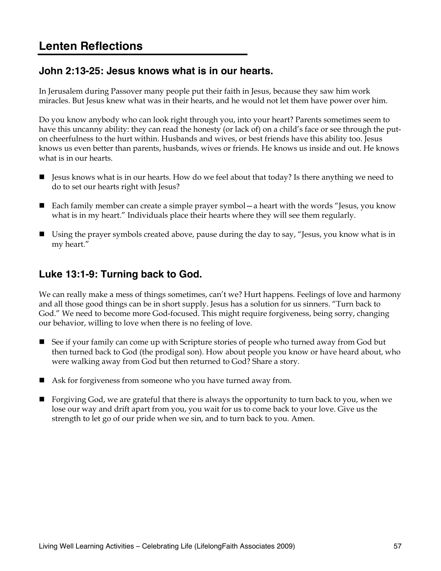# **Lenten Reflections**

## **John 2:13-25: Jesus knows what is in our hearts.**

In Jerusalem during Passover many people put their faith in Jesus, because they saw him work miracles. But Jesus knew what was in their hearts, and he would not let them have power over him.

Do you know anybody who can look right through you, into your heart? Parents sometimes seem to have this uncanny ability: they can read the honesty (or lack of) on a child's face or see through the puton cheerfulness to the hurt within. Husbands and wives, or best friends have this ability too. Jesus knows us even better than parents, husbands, wives or friends. He knows us inside and out. He knows what is in our hearts.

- $\blacksquare$  Jesus knows what is in our hearts. How do we feel about that today? Is there anything we need to do to set our hearts right with Jesus?
- Each family member can create a simple prayer symbol a heart with the words "Jesus, you know what is in my heart." Individuals place their hearts where they will see them regularly.
- Using the prayer symbols created above, pause during the day to say, "Jesus, you know what is in my heart."

# **Luke 13:1-9: Turning back to God.**

We can really make a mess of things sometimes, can't we? Hurt happens. Feelings of love and harmony and all those good things can be in short supply. Jesus has a solution for us sinners. "Turn back to God." We need to become more God-focused. This might require forgiveness, being sorry, changing our behavior, willing to love when there is no feeling of love.

- See if your family can come up with Scripture stories of people who turned away from God but then turned back to God (the prodigal son). How about people you know or have heard about, who were walking away from God but then returned to God? Share a story.
- Ask for forgiveness from someone who you have turned away from.
- **F** Forgiving God, we are grateful that there is always the opportunity to turn back to you, when we lose our way and drift apart from you, you wait for us to come back to your love. Give us the strength to let go of our pride when we sin, and to turn back to you. Amen.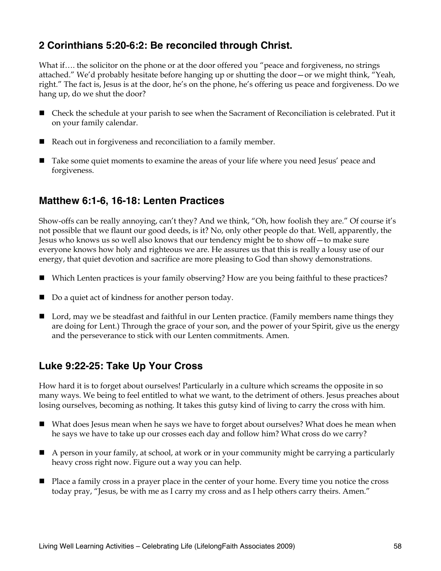# **2 Corinthians 5:20-6:2: Be reconciled through Christ.**

What if…. the solicitor on the phone or at the door offered you "peace and forgiveness, no strings attached." We'd probably hesitate before hanging up or shutting the door—or we might think, "Yeah, right." The fact is, Jesus is at the door, he's on the phone, he's offering us peace and forgiveness. Do we hang up, do we shut the door?

- Check the schedule at your parish to see when the Sacrament of Reconciliation is celebrated. Put it on your family calendar.
- Reach out in forgiveness and reconciliation to a family member.
- Take some quiet moments to examine the areas of your life where you need Jesus' peace and forgiveness.

## **Matthew 6:1-6, 16-18: Lenten Practices**

Show-offs can be really annoying, can't they? And we think, "Oh, how foolish they are." Of course it's not possible that we flaunt our good deeds, is it? No, only other people do that. Well, apparently, the Jesus who knows us so well also knows that our tendency might be to show off—to make sure everyone knows how holy and righteous we are. He assures us that this is really a lousy use of our energy, that quiet devotion and sacrifice are more pleasing to God than showy demonstrations.

- Which Lenten practices is your family observing? How are you being faithful to these practices?
- Do a quiet act of kindness for another person today.
- Lord, may we be steadfast and faithful in our Lenten practice. (Family members name things they are doing for Lent.) Through the grace of your son, and the power of your Spirit, give us the energy and the perseverance to stick with our Lenten commitments. Amen.

# **Luke 9:22-25: Take Up Your Cross**

How hard it is to forget about ourselves! Particularly in a culture which screams the opposite in so many ways. We being to feel entitled to what we want, to the detriment of others. Jesus preaches about losing ourselves, becoming as nothing. It takes this gutsy kind of living to carry the cross with him.

- What does Jesus mean when he says we have to forget about ourselves? What does he mean when he says we have to take up our crosses each day and follow him? What cross do we carry?
- A person in your family, at school, at work or in your community might be carrying a particularly heavy cross right now. Figure out a way you can help.
- Place a family cross in a prayer place in the center of your home. Every time you notice the cross today pray, "Jesus, be with me as I carry my cross and as I help others carry theirs. Amen."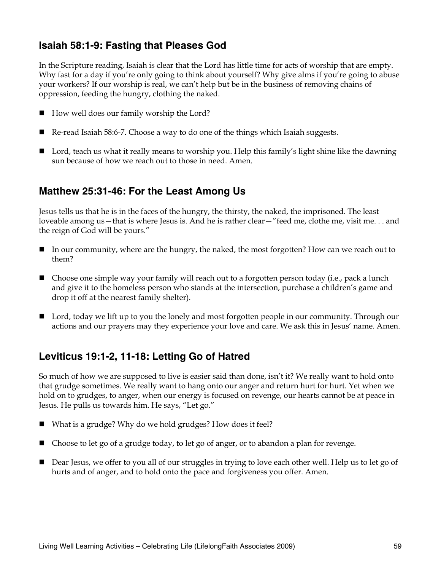# **Isaiah 58:1-9: Fasting that Pleases God**

In the Scripture reading, Isaiah is clear that the Lord has little time for acts of worship that are empty. Why fast for a day if you're only going to think about yourself? Why give alms if you're going to abuse your workers? If our worship is real, we can't help but be in the business of removing chains of oppression, feeding the hungry, clothing the naked.

- How well does our family worship the Lord?
- Re-read Isaiah 58:6-7. Choose a way to do one of the things which Isaiah suggests.
- Lord, teach us what it really means to worship you. Help this family's light shine like the dawning sun because of how we reach out to those in need. Amen.

## **Matthew 25:31-46: For the Least Among Us**

Jesus tells us that he is in the faces of the hungry, the thirsty, the naked, the imprisoned. The least loveable among us—that is where Jesus is. And he is rather clear—"feed me, clothe me, visit me. . . and the reign of God will be yours."

- In our community, where are the hungry, the naked, the most forgotten? How can we reach out to them?
- Choose one simple way your family will reach out to a forgotten person today (i.e., pack a lunch and give it to the homeless person who stands at the intersection, purchase a children's game and drop it off at the nearest family shelter).
- Lord, today we lift up to you the lonely and most forgotten people in our community. Through our actions and our prayers may they experience your love and care. We ask this in Jesus' name. Amen.

## **Leviticus 19:1-2, 11-18: Letting Go of Hatred**

So much of how we are supposed to live is easier said than done, isn't it? We really want to hold onto that grudge sometimes. We really want to hang onto our anger and return hurt for hurt. Yet when we hold on to grudges, to anger, when our energy is focused on revenge, our hearts cannot be at peace in Jesus. He pulls us towards him. He says, "Let go."

- What is a grudge? Why do we hold grudges? How does it feel?
- Choose to let go of a grudge today, to let go of anger, or to abandon a plan for revenge.
- Dear Jesus, we offer to you all of our struggles in trying to love each other well. Help us to let go of hurts and of anger, and to hold onto the pace and forgiveness you offer. Amen.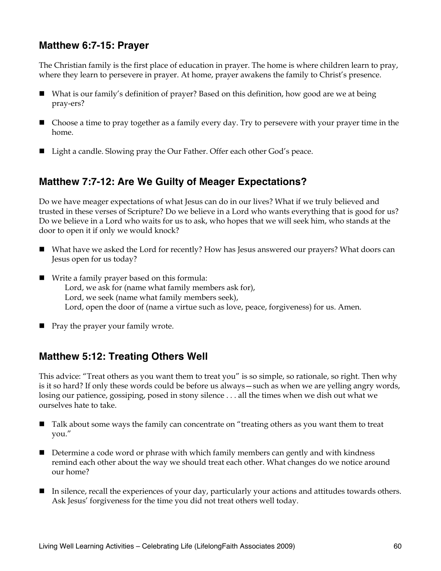## **Matthew 6:7-15: Prayer**

The Christian family is the first place of education in prayer. The home is where children learn to pray, where they learn to persevere in prayer. At home, prayer awakens the family to Christ's presence.

- What is our family's definition of prayer? Based on this definition, how good are we at being pray-ers?
- Choose a time to pray together as a family every day. Try to persevere with your prayer time in the home.
- Light a candle. Slowing pray the Our Father. Offer each other God's peace.

## **Matthew 7:7-12: Are We Guilty of Meager Expectations?**

Do we have meager expectations of what Jesus can do in our lives? What if we truly believed and trusted in these verses of Scripture? Do we believe in a Lord who wants everything that is good for us? Do we believe in a Lord who waits for us to ask, who hopes that we will seek him, who stands at the door to open it if only we would knock?

- What have we asked the Lord for recently? How has Jesus answered our prayers? What doors can Jesus open for us today?
- Write a family prayer based on this formula: Lord, we ask for (name what family members ask for), Lord, we seek (name what family members seek), Lord, open the door of (name a virtue such as love, peace, forgiveness) for us. Amen.
- $\blacksquare$  Pray the prayer your family wrote.

# **Matthew 5:12: Treating Others Well**

This advice: "Treat others as you want them to treat you" is so simple, so rationale, so right. Then why is it so hard? If only these words could be before us always—such as when we are yelling angry words, losing our patience, gossiping, posed in stony silence . . . all the times when we dish out what we ourselves hate to take.

- Talk about some ways the family can concentrate on "treating others as you want them to treat you."
- Determine a code word or phrase with which family members can gently and with kindness remind each other about the way we should treat each other. What changes do we notice around our home?
- In silence, recall the experiences of your day, particularly your actions and attitudes towards others. Ask Jesus' forgiveness for the time you did not treat others well today.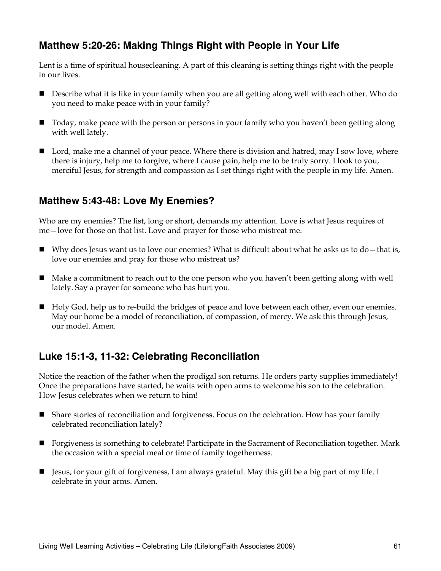# **Matthew 5:20-26: Making Things Right with People in Your Life**

Lent is a time of spiritual housecleaning. A part of this cleaning is setting things right with the people in our lives.

- **Describe what it is like in your family when you are all getting along well with each other. Who do** you need to make peace with in your family?
- $\blacksquare$  Today, make peace with the person or persons in your family who you haven't been getting along with well lately.
- Lord, make me a channel of your peace. Where there is division and hatred, may I sow love, where there is injury, help me to forgive, where I cause pain, help me to be truly sorry. I look to you, merciful Jesus, for strength and compassion as I set things right with the people in my life. Amen.

# **Matthew 5:43-48: Love My Enemies?**

Who are my enemies? The list, long or short, demands my attention. Love is what Jesus requires of me—love for those on that list. Love and prayer for those who mistreat me.

- Why does Jesus want us to love our enemies? What is difficult about what he asks us to  $d\sigma$  that is, love our enemies and pray for those who mistreat us?
- Make a commitment to reach out to the one person who you haven't been getting along with well lately. Say a prayer for someone who has hurt you.
- Holy God, help us to re-build the bridges of peace and love between each other, even our enemies. May our home be a model of reconciliation, of compassion, of mercy. We ask this through Jesus, our model. Amen.

# **Luke 15:1-3, 11-32: Celebrating Reconciliation**

Notice the reaction of the father when the prodigal son returns. He orders party supplies immediately! Once the preparations have started, he waits with open arms to welcome his son to the celebration. How Jesus celebrates when we return to him!

- **B** Share stories of reconciliation and forgiveness. Focus on the celebration. How has your family celebrated reconciliation lately?
- Forgiveness is something to celebrate! Participate in the Sacrament of Reconciliation together. Mark the occasion with a special meal or time of family togetherness.
- Jesus, for your gift of forgiveness, I am always grateful. May this gift be a big part of my life. I celebrate in your arms. Amen.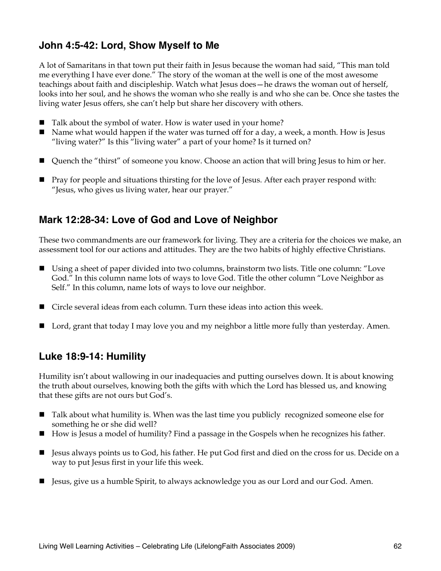# **John 4:5-42: Lord, Show Myself to Me**

A lot of Samaritans in that town put their faith in Jesus because the woman had said, "This man told me everything I have ever done." The story of the woman at the well is one of the most awesome teachings about faith and discipleship. Watch what Jesus does—he draws the woman out of herself, looks into her soul, and he shows the woman who she really is and who she can be. Once she tastes the living water Jesus offers, she can't help but share her discovery with others.

- Talk about the symbol of water. How is water used in your home?
- $\blacksquare$  Name what would happen if the water was turned off for a day, a week, a month. How is Jesus "living water?" Is this "living water" a part of your home? Is it turned on?
- Quench the "thirst" of someone you know. Choose an action that will bring Jesus to him or her.
- Pray for people and situations thirsting for the love of Jesus. After each prayer respond with: "Jesus, who gives us living water, hear our prayer."

## **Mark 12:28-34: Love of God and Love of Neighbor**

These two commandments are our framework for living. They are a criteria for the choices we make, an assessment tool for our actions and attitudes. They are the two habits of highly effective Christians.

- Using a sheet of paper divided into two columns, brainstorm two lists. Title one column: "Love God." In this column name lots of ways to love God. Title the other column "Love Neighbor as Self." In this column, name lots of ways to love our neighbor.
- Circle several ideas from each column. Turn these ideas into action this week.
- Lord, grant that today I may love you and my neighbor a little more fully than yesterday. Amen.

## **Luke 18:9-14: Humility**

Humility isn't about wallowing in our inadequacies and putting ourselves down. It is about knowing the truth about ourselves, knowing both the gifts with which the Lord has blessed us, and knowing that these gifts are not ours but God's.

- Talk about what humility is. When was the last time you publicly recognized someone else for something he or she did well?
- How is Jesus a model of humility? Find a passage in the Gospels when he recognizes his father.
- $\blacksquare$  Jesus always points us to God, his father. He put God first and died on the cross for us. Decide on a way to put Jesus first in your life this week.
- Jesus, give us a humble Spirit, to always acknowledge you as our Lord and our God. Amen.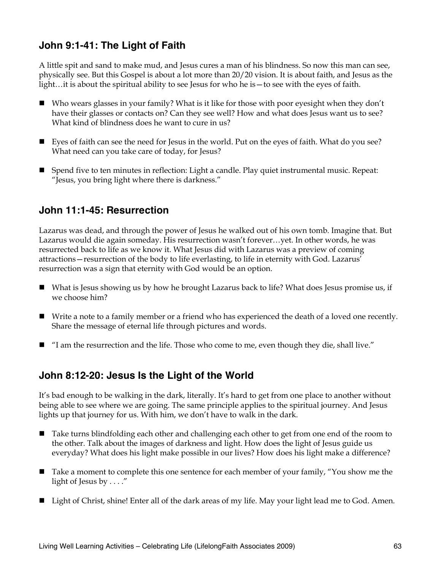# **John 9:1-41: The Light of Faith**

A little spit and sand to make mud, and Jesus cures a man of his blindness. So now this man can see, physically see. But this Gospel is about a lot more than 20/20 vision. It is about faith, and Jesus as the light…it is about the spiritual ability to see Jesus for who he is—to see with the eyes of faith.

- Who wears glasses in your family? What is it like for those with poor eyesight when they don't have their glasses or contacts on? Can they see well? How and what does Jesus want us to see? What kind of blindness does he want to cure in us?
- Eyes of faith can see the need for Jesus in the world. Put on the eyes of faith. What do you see? What need can you take care of today, for Jesus?
- Spend five to ten minutes in reflection: Light a candle. Play quiet instrumental music. Repeat: "Jesus, you bring light where there is darkness."

## **John 11:1-45: Resurrection**

Lazarus was dead, and through the power of Jesus he walked out of his own tomb. Imagine that. But Lazarus would die again someday. His resurrection wasn't forever…yet. In other words, he was resurrected back to life as we know it. What Jesus did with Lazarus was a preview of coming attractions—resurrection of the body to life everlasting, to life in eternity with God. Lazarus' resurrection was a sign that eternity with God would be an option.

- What is Jesus showing us by how he brought Lazarus back to life? What does Jesus promise us, if we choose him?
- Write a note to a family member or a friend who has experienced the death of a loved one recently. Share the message of eternal life through pictures and words.
- "I am the resurrection and the life. Those who come to me, even though they die, shall live."

## **John 8:12-20: Jesus Is the Light of the World**

It's bad enough to be walking in the dark, literally. It's hard to get from one place to another without being able to see where we are going. The same principle applies to the spiritual journey. And Jesus lights up that journey for us. With him, we don't have to walk in the dark.

- Take turns blindfolding each other and challenging each other to get from one end of the room to the other. Talk about the images of darkness and light. How does the light of Jesus guide us everyday? What does his light make possible in our lives? How does his light make a difference?
- Take a moment to complete this one sentence for each member of your family, "You show me the light of Jesus by . . . ."
- Light of Christ, shine! Enter all of the dark areas of my life. May your light lead me to God. Amen.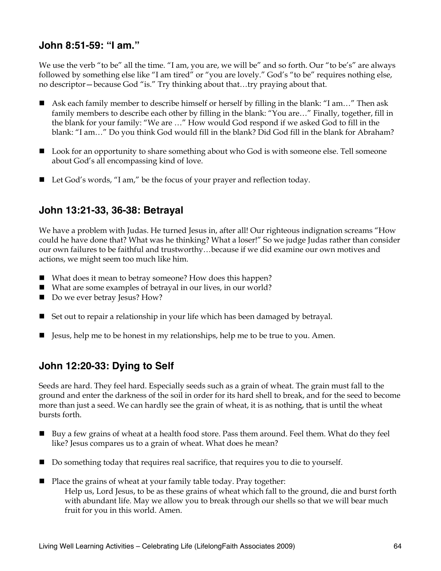## **John 8:51-59: "I am."**

We use the verb "to be" all the time. "I am, you are, we will be" and so forth. Our "to be's" are always followed by something else like "I am tired" or "you are lovely." God's "to be" requires nothing else, no descriptor—because God "is." Try thinking about that…try praying about that.

- Ask each family member to describe himself or herself by filling in the blank: "I am…" Then ask family members to describe each other by filling in the blank: "You are…" Finally, together, fill in the blank for your family: "We are …" How would God respond if we asked God to fill in the blank: "I am…" Do you think God would fill in the blank? Did God fill in the blank for Abraham?
- Look for an opportunity to share something about who God is with someone else. Tell someone about God's all encompassing kind of love.
- Let God's words, "I am," be the focus of your prayer and reflection today.

## **John 13:21-33, 36-38: Betrayal**

We have a problem with Judas. He turned Jesus in, after all! Our righteous indignation screams "How could he have done that? What was he thinking? What a loser!" So we judge Judas rather than consider our own failures to be faithful and trustworthy…because if we did examine our own motives and actions, we might seem too much like him.

- What does it mean to betray someone? How does this happen?
- What are some examples of betrayal in our lives, in our world?
- Do we ever betray Jesus? How?
- $\blacksquare$  Set out to repair a relationship in your life which has been damaged by betrayal.
- **Jesus, help me to be honest in my relationships, help me to be true to you. Amen.**

## **John 12:20-33: Dying to Self**

Seeds are hard. They feel hard. Especially seeds such as a grain of wheat. The grain must fall to the ground and enter the darkness of the soil in order for its hard shell to break, and for the seed to become more than just a seed. We can hardly see the grain of wheat, it is as nothing, that is until the wheat bursts forth.

- Buy a few grains of wheat at a health food store. Pass them around. Feel them. What do they feel like? Jesus compares us to a grain of wheat. What does he mean?
- Do something today that requires real sacrifice, that requires you to die to yourself.
- Place the grains of wheat at your family table today. Pray together: Help us, Lord Jesus, to be as these grains of wheat which fall to the ground, die and burst forth with abundant life. May we allow you to break through our shells so that we will bear much fruit for you in this world. Amen.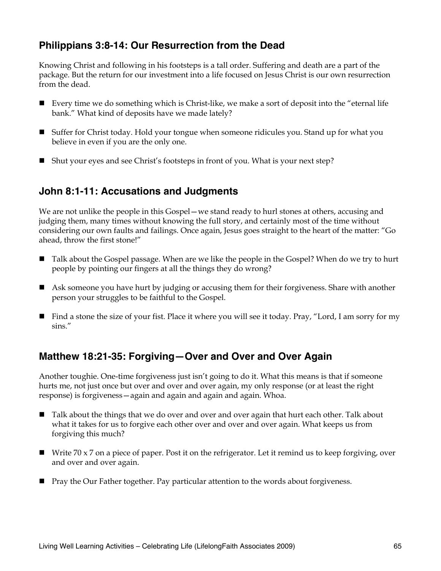# **Philippians 3:8-14: Our Resurrection from the Dead**

Knowing Christ and following in his footsteps is a tall order. Suffering and death are a part of the package. But the return for our investment into a life focused on Jesus Christ is our own resurrection from the dead.

- Every time we do something which is Christ-like, we make a sort of deposit into the "eternal life" bank." What kind of deposits have we made lately?
- Suffer for Christ today. Hold your tongue when someone ridicules you. Stand up for what you believe in even if you are the only one.
- Shut your eyes and see Christ's footsteps in front of you. What is your next step?

## **John 8:1-11: Accusations and Judgments**

We are not unlike the people in this Gospel — we stand ready to hurl stones at others, accusing and judging them, many times without knowing the full story, and certainly most of the time without considering our own faults and failings. Once again, Jesus goes straight to the heart of the matter: "Go ahead, throw the first stone!"

- Talk about the Gospel passage. When are we like the people in the Gospel? When do we try to hurt people by pointing our fingers at all the things they do wrong?
- Ask someone you have hurt by judging or accusing them for their forgiveness. Share with another person your struggles to be faithful to the Gospel.
- $\blacksquare$  Find a stone the size of your fist. Place it where you will see it today. Pray, "Lord, I am sorry for my sins."

# **Matthew 18:21-35: Forgiving—Over and Over and Over Again**

Another toughie. One-time forgiveness just isn't going to do it. What this means is that if someone hurts me, not just once but over and over and over again, my only response (or at least the right response) is forgiveness—again and again and again and again. Whoa.

- Talk about the things that we do over and over and over again that hurt each other. Talk about what it takes for us to forgive each other over and over and over again. What keeps us from forgiving this much?
- Write 70 x 7 on a piece of paper. Post it on the refrigerator. Let it remind us to keep forgiving, over and over and over again.
- Pray the Our Father together. Pay particular attention to the words about forgiveness.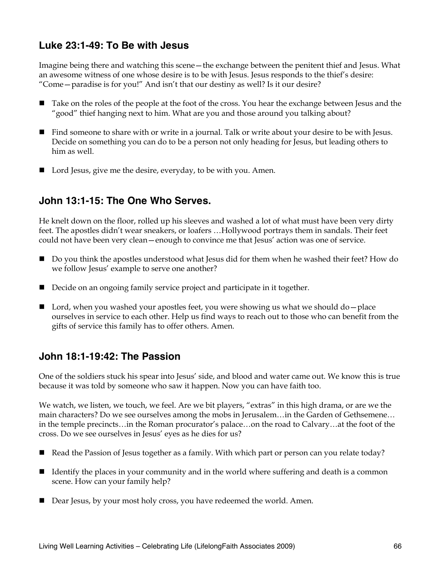# **Luke 23:1-49: To Be with Jesus**

Imagine being there and watching this scene—the exchange between the penitent thief and Jesus. What an awesome witness of one whose desire is to be with Jesus. Jesus responds to the thief's desire: "Come—paradise is for you!" And isn't that our destiny as well? Is it our desire?

- Take on the roles of the people at the foot of the cross. You hear the exchange between Jesus and the "good" thief hanging next to him. What are you and those around you talking about?
- Find someone to share with or write in a journal. Talk or write about your desire to be with Jesus. Decide on something you can do to be a person not only heading for Jesus, but leading others to him as well.
- Lord Jesus, give me the desire, everyday, to be with you. Amen.

## **John 13:1-15: The One Who Serves.**

He knelt down on the floor, rolled up his sleeves and washed a lot of what must have been very dirty feet. The apostles didn't wear sneakers, or loafers …Hollywood portrays them in sandals. Their feet could not have been very clean—enough to convince me that Jesus' action was one of service.

- Do you think the apostles understood what Jesus did for them when he washed their feet? How do we follow Jesus' example to serve one another?
- Decide on an ongoing family service project and participate in it together.
- $\blacksquare$  Lord, when you washed your apostles feet, you were showing us what we should do  $-\rho$  place ourselves in service to each other. Help us find ways to reach out to those who can benefit from the gifts of service this family has to offer others. Amen.

## **John 18:1-19:42: The Passion**

One of the soldiers stuck his spear into Jesus' side, and blood and water came out. We know this is true because it was told by someone who saw it happen. Now you can have faith too.

We watch, we listen, we touch, we feel. Are we bit players, "extras" in this high drama, or are we the main characters? Do we see ourselves among the mobs in Jerusalem…in the Garden of Gethsemene… in the temple precincts…in the Roman procurator's palace…on the road to Calvary…at the foot of the cross. Do we see ourselves in Jesus' eyes as he dies for us?

- Read the Passion of Jesus together as a family. With which part or person can you relate today?
- If Identify the places in your community and in the world where suffering and death is a common scene. How can your family help?
- Dear Jesus, by your most holy cross, you have redeemed the world. Amen.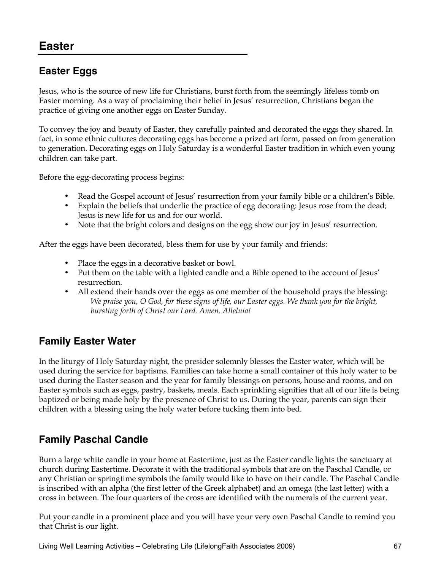# **Easter**

# **Easter Eggs**

Jesus, who is the source of new life for Christians, burst forth from the seemingly lifeless tomb on Easter morning. As a way of proclaiming their belief in Jesus' resurrection, Christians began the practice of giving one another eggs on Easter Sunday.

To convey the joy and beauty of Easter, they carefully painted and decorated the eggs they shared. In fact, in some ethnic cultures decorating eggs has become a prized art form, passed on from generation to generation. Decorating eggs on Holy Saturday is a wonderful Easter tradition in which even young children can take part.

Before the egg-decorating process begins:

- Read the Gospel account of Jesus' resurrection from your family bible or a children's Bible.
- Explain the beliefs that underlie the practice of egg decorating: Jesus rose from the dead; Jesus is new life for us and for our world.
- Note that the bright colors and designs on the egg show our joy in Jesus' resurrection.

After the eggs have been decorated, bless them for use by your family and friends:

- Place the eggs in a decorative basket or bowl.
- Put them on the table with a lighted candle and a Bible opened to the account of Jesus' resurrection.
- All extend their hands over the eggs as one member of the household prays the blessing: *We praise you, O God, for these signs of life, our Easter eggs. We thank you for the bright, bursting forth of Christ our Lord. Amen. Alleluia!*

## **Family Easter Water**

In the liturgy of Holy Saturday night, the presider solemnly blesses the Easter water, which will be used during the service for baptisms. Families can take home a small container of this holy water to be used during the Easter season and the year for family blessings on persons, house and rooms, and on Easter symbols such as eggs, pastry, baskets, meals. Each sprinkling signifies that all of our life is being baptized or being made holy by the presence of Christ to us. During the year, parents can sign their children with a blessing using the holy water before tucking them into bed.

## **Family Paschal Candle**

Burn a large white candle in your home at Eastertime, just as the Easter candle lights the sanctuary at church during Eastertime. Decorate it with the traditional symbols that are on the Paschal Candle, or any Christian or springtime symbols the family would like to have on their candle. The Paschal Candle is inscribed with an alpha (the first letter of the Greek alphabet) and an omega (the last letter) with a cross in between. The four quarters of the cross are identified with the numerals of the current year.

Put your candle in a prominent place and you will have your very own Paschal Candle to remind you that Christ is our light.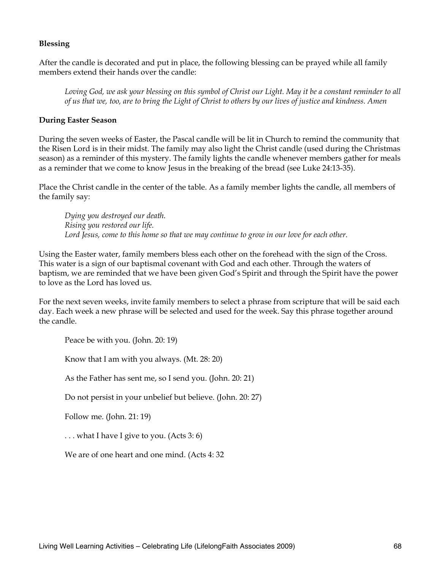## **Blessing**

After the candle is decorated and put in place, the following blessing can be prayed while all family members extend their hands over the candle:

*Loving God, we ask your blessing on this symbol of Christ our Light. May it be a constant reminder to all of us that we, too, are to bring the Light of Christ to others by our lives of justice and kindness. Amen*

### **During Easter Season**

During the seven weeks of Easter, the Pascal candle will be lit in Church to remind the community that the Risen Lord is in their midst. The family may also light the Christ candle (used during the Christmas season) as a reminder of this mystery. The family lights the candle whenever members gather for meals as a reminder that we come to know Jesus in the breaking of the bread (see Luke 24:13-35).

Place the Christ candle in the center of the table. As a family member lights the candle, all members of the family say:

*Dying you destroyed our death. Rising you restored our life. Lord Jesus, come to this home so that we may continue to grow in our love for each other.*

Using the Easter water, family members bless each other on the forehead with the sign of the Cross. This water is a sign of our baptismal covenant with God and each other. Through the waters of baptism, we are reminded that we have been given God's Spirit and through the Spirit have the power to love as the Lord has loved us.

For the next seven weeks, invite family members to select a phrase from scripture that will be said each day. Each week a new phrase will be selected and used for the week. Say this phrase together around the candle.

Peace be with you. (John. 20: 19)

Know that I am with you always. (Mt. 28: 20)

As the Father has sent me, so I send you. (John. 20: 21)

Do not persist in your unbelief but believe. (John. 20: 27)

Follow me. (John. 21: 19)

. . . what I have I give to you. (Acts 3: 6)

We are of one heart and one mind. (Acts 4: 32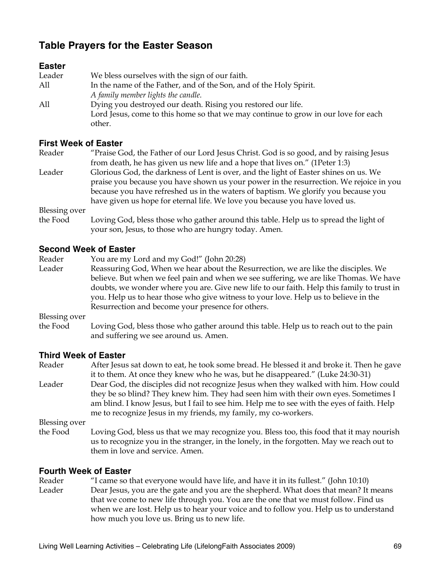# **Table Prayers for the Easter Season**

## **Easter**

| Leader | We bless ourselves with the sign of our faith.                                     |
|--------|------------------------------------------------------------------------------------|
| All    | In the name of the Father, and of the Son, and of the Holy Spirit.                 |
|        | A family member lights the candle.                                                 |
| All    | Dying you destroyed our death. Rising you restored our life.                       |
|        | Lord Jesus, come to this home so that we may continue to grow in our love for each |
|        | other.                                                                             |

## **First Week of Easter**

| Reader | "Praise God, the Father of our Lord Jesus Christ. God is so good, and by raising Jesus |
|--------|----------------------------------------------------------------------------------------|
|        | from death, he has given us new life and a hope that lives on." (1Peter 1:3)           |
| Leader | Glorious God, the darkness of Lent is over, and the light of Easter shines on us. We   |
|        | praise you because you have shown us your power in the resurrection. We rejoice in you |
|        | because you have refreshed us in the waters of baptism. We glorify you because you     |
|        | have given us hope for eternal life. We love you because you have loved us.            |

Blessing over

the Food Loving God, bless those who gather around this table. Help us to spread the light of your son, Jesus, to those who are hungry today. Amen.

## **Second Week of Easter**

Reader You are my Lord and my God!" (John 20:28)

Leader Reassuring God, When we hear about the Resurrection, we are like the disciples. We believe. But when we feel pain and when we see suffering, we are like Thomas. We have doubts, we wonder where you are. Give new life to our faith. Help this family to trust in you. Help us to hear those who give witness to your love. Help us to believe in the Resurrection and become your presence for others.

Blessing over

the Food Loving God, bless those who gather around this table. Help us to reach out to the pain and suffering we see around us. Amen.

## **Third Week of Easter**

Reader After Jesus sat down to eat, he took some bread. He blessed it and broke it. Then he gave it to them. At once they knew who he was, but he disappeared." (Luke 24:30-31) Leader Dear God, the disciples did not recognize Jesus when they walked with him. How could they be so blind? They knew him. They had seen him with their own eyes. Sometimes I am blind. I know Jesus, but I fail to see him. Help me to see with the eyes of faith. Help me to recognize Jesus in my friends, my family, my co-workers. Blessing over

the Food Loving God, bless us that we may recognize you. Bless too, this food that it may nourish us to recognize you in the stranger, in the lonely, in the forgotten. May we reach out to them in love and service. Amen.

## **Fourth Week of Easter**

Reader "I came so that everyone would have life, and have it in its fullest." (John 10:10) Leader Dear Jesus, you are the gate and you are the shepherd. What does that mean? It means that we come to new life through you. You are the one that we must follow. Find us when we are lost. Help us to hear your voice and to follow you. Help us to understand how much you love us. Bring us to new life.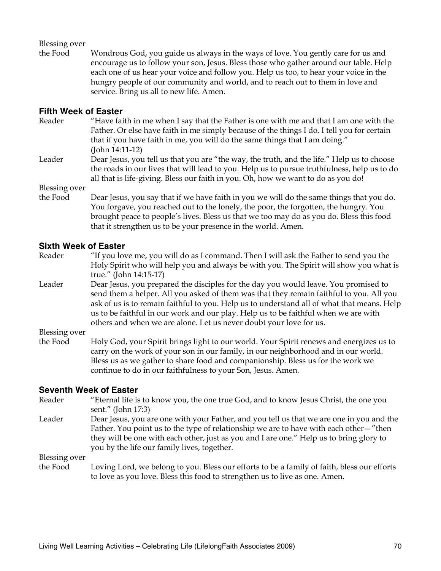## Blessing over

the Food Wondrous God, you guide us always in the ways of love. You gently care for us and encourage us to follow your son, Jesus. Bless those who gather around our table. Help each one of us hear your voice and follow you. Help us too, to hear your voice in the hungry people of our community and world, and to reach out to them in love and service. Bring us all to new life. Amen.

## **Fifth Week of Easter**

Reader "Have faith in me when I say that the Father is one with me and that I am one with the Father. Or else have faith in me simply because of the things I do. I tell you for certain that if you have faith in me, you will do the same things that I am doing." (John 14:11-12) Leader Dear Jesus, you tell us that you are "the way, the truth, and the life." Help us to choose the roads in our lives that will lead to you. Help us to pursue truthfulness, help us to do

all that is life-giving. Bless our faith in you. Oh, how we want to do as you do! Blessing over

the Food Dear Jesus, you say that if we have faith in you we will do the same things that you do. You forgave, you reached out to the lonely, the poor, the forgotten, the hungry. You brought peace to people's lives. Bless us that we too may do as you do. Bless this food that it strengthen us to be your presence in the world. Amen.

## **Sixth Week of Easter**

- Reader "If you love me, you will do as I command. Then I will ask the Father to send you the Holy Spirit who will help you and always be with you. The Spirit will show you what is true." (John 14:15-17)
- Leader Dear Jesus, you prepared the disciples for the day you would leave. You promised to send them a helper. All you asked of them was that they remain faithful to you. All you ask of us is to remain faithful to you. Help us to understand all of what that means. Help us to be faithful in our work and our play. Help us to be faithful when we are with others and when we are alone. Let us never doubt your love for us.

Blessing over

the Food Holy God, your Spirit brings light to our world. Your Spirit renews and energizes us to carry on the work of your son in our family, in our neighborhood and in our world. Bless us as we gather to share food and companionship. Bless us for the work we continue to do in our faithfulness to your Son, Jesus. Amen.

## **Seventh Week of Easter**

Reader "Eternal life is to know you, the one true God, and to know Jesus Christ, the one you sent." (John 17:3) Leader Dear Jesus, you are one with your Father, and you tell us that we are one in you and the Father. You point us to the type of relationship we are to have with each other—"then they will be one with each other, just as you and I are one." Help us to bring glory to you by the life our family lives, together.

Blessing over

the Food Loving Lord, we belong to you. Bless our efforts to be a family of faith, bless our efforts to love as you love. Bless this food to strengthen us to live as one. Amen.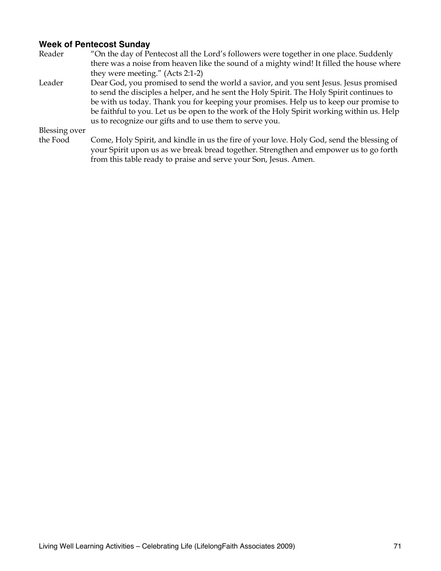## **Week of Pentecost Sunday**

- Reader "On the day of Pentecost all the Lord's followers were together in one place. Suddenly there was a noise from heaven like the sound of a mighty wind! It filled the house where they were meeting." (Acts 2:1-2) Leader Dear God, you promised to send the world a savior, and you sent Jesus. Jesus promised to send the disciples a helper, and he sent the Holy Spirit. The Holy Spirit continues to be with us today. Thank you for keeping your promises. Help us to keep our promise to be faithful to you. Let us be open to the work of the Holy Spirit working within us. Help us to recognize our gifts and to use them to serve you. Blessing over
- the Food Come, Holy Spirit, and kindle in us the fire of your love. Holy God, send the blessing of your Spirit upon us as we break bread together. Strengthen and empower us to go forth from this table ready to praise and serve your Son, Jesus. Amen.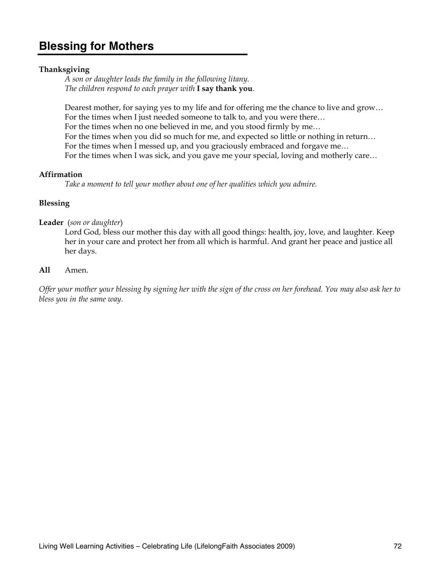# **Blessing for Mothers**

## **Thanksgiving**

*A son or daughter leads the family in the following litany. The children respond to each prayer with* **I say thank you***.*

Dearest mother, for saying yes to my life and for offering me the chance to live and grow… For the times when I just needed someone to talk to, and you were there… For the times when no one believed in me, and you stood firmly by me… For the times when you did so much for me, and expected so little or nothing in return… For the times when I messed up, and you graciously embraced and forgave me… For the times when I was sick, and you gave me your special, loving and motherly care…

## **Affirmation**

*Take a moment to tell your mother about one of her qualities which you admire.*

## **Blessing**

## **Leader** (*son or daughter*)

Lord God, bless our mother this day with all good things: health, joy, love, and laughter. Keep her in your care and protect her from all which is harmful. And grant her peace and justice all her days.

## **All** Amen.

*Offer your mother your blessing by signing her with the sign of the cross on her forehead. You may also ask her to bless you in the same way.*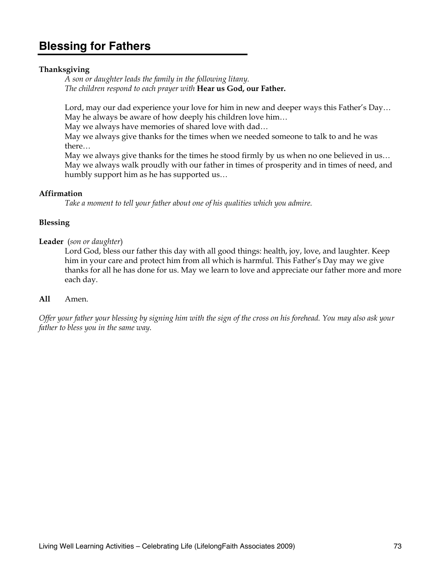### **Blessing for Fathers**

#### **Thanksgiving**

*A son or daughter leads the family in the following litany. The children respond to each prayer with* **Hear us God, our Father.**

Lord, may our dad experience your love for him in new and deeper ways this Father's Day… May he always be aware of how deeply his children love him…

May we always have memories of shared love with dad…

May we always give thanks for the times when we needed someone to talk to and he was there…

May we always give thanks for the times he stood firmly by us when no one believed in us… May we always walk proudly with our father in times of prosperity and in times of need, and humbly support him as he has supported us…

#### **Affirmation**

*Take a moment to tell your father about one of his qualities which you admire.*

#### **Blessing**

#### **Leader** (*son or daughter*)

Lord God, bless our father this day with all good things: health, joy, love, and laughter. Keep him in your care and protect him from all which is harmful. This Father's Day may we give thanks for all he has done for us. May we learn to love and appreciate our father more and more each day.

#### **All** Amen.

*Offer your father your blessing by signing him with the sign of the cross on his forehead. You may also ask your father to bless you in the same way.*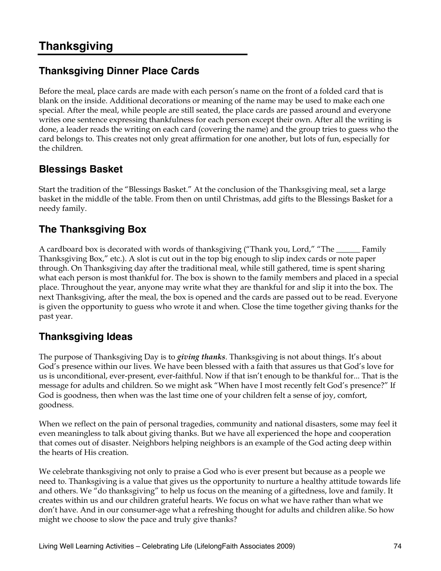### **Thanksgiving Dinner Place Cards**

Before the meal, place cards are made with each person's name on the front of a folded card that is blank on the inside. Additional decorations or meaning of the name may be used to make each one special. After the meal, while people are still seated, the place cards are passed around and everyone writes one sentence expressing thankfulness for each person except their own. After all the writing is done, a leader reads the writing on each card (covering the name) and the group tries to guess who the card belongs to. This creates not only great affirmation for one another, but lots of fun, especially for the children.

### **Blessings Basket**

Start the tradition of the "Blessings Basket." At the conclusion of the Thanksgiving meal, set a large basket in the middle of the table. From then on until Christmas, add gifts to the Blessings Basket for a needy family.

### **The Thanksgiving Box**

A cardboard box is decorated with words of thanksgiving ("Thank you, Lord," "The \_\_\_\_\_\_ Family Thanksgiving Box," etc.). A slot is cut out in the top big enough to slip index cards or note paper through. On Thanksgiving day after the traditional meal, while still gathered, time is spent sharing what each person is most thankful for. The box is shown to the family members and placed in a special place. Throughout the year, anyone may write what they are thankful for and slip it into the box. The next Thanksgiving, after the meal, the box is opened and the cards are passed out to be read. Everyone is given the opportunity to guess who wrote it and when. Close the time together giving thanks for the past year.

### **Thanksgiving Ideas**

The purpose of Thanksgiving Day is to *giving thanks*. Thanksgiving is not about things. It's about God's presence within our lives. We have been blessed with a faith that assures us that God's love for us is unconditional, ever-present, ever-faithful. Now if that isn't enough to be thankful for... That is the message for adults and children. So we might ask "When have I most recently felt God's presence?" If God is goodness, then when was the last time one of your children felt a sense of joy, comfort, goodness.

When we reflect on the pain of personal tragedies, community and national disasters, some may feel it even meaningless to talk about giving thanks. But we have all experienced the hope and cooperation that comes out of disaster. Neighbors helping neighbors is an example of the God acting deep within the hearts of His creation.

We celebrate thanksgiving not only to praise a God who is ever present but because as a people we need to. Thanksgiving is a value that gives us the opportunity to nurture a healthy attitude towards life and others. We "do thanksgiving" to help us focus on the meaning of a giftedness, love and family. It creates within us and our children grateful hearts. We focus on what we have rather than what we don't have. And in our consumer-age what a refreshing thought for adults and children alike. So how might we choose to slow the pace and truly give thanks?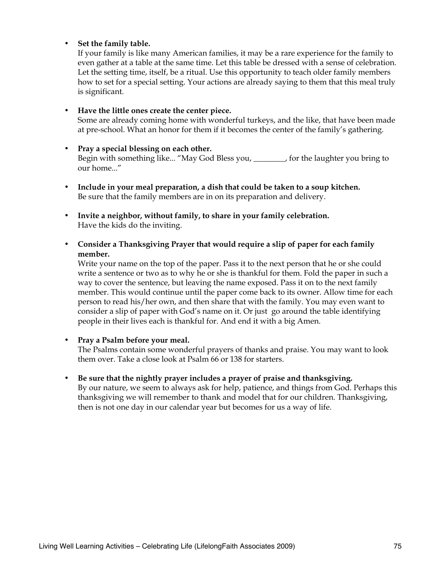#### • **Set the family table.**

If your family is like many American families, it may be a rare experience for the family to even gather at a table at the same time. Let this table be dressed with a sense of celebration. Let the setting time, itself, be a ritual. Use this opportunity to teach older family members how to set for a special setting. Your actions are already saying to them that this meal truly is significant.

#### • **Have the little ones create the center piece.**

Some are already coming home with wonderful turkeys, and the like, that have been made at pre-school. What an honor for them if it becomes the center of the family's gathering.

#### • **Pray a special blessing on each other.**

Begin with something like... "May God Bless you, \_\_\_\_\_\_\_\_, for the laughter you bring to our home..."

- **Include in your meal preparation, a dish that could be taken to a soup kitchen.**  Be sure that the family members are in on its preparation and delivery.
- **Invite a neighbor, without family, to share in your family celebration.**  Have the kids do the inviting.
- **Consider a Thanksgiving Prayer that would require a slip of paper for each family member.**

Write your name on the top of the paper. Pass it to the next person that he or she could write a sentence or two as to why he or she is thankful for them. Fold the paper in such a way to cover the sentence, but leaving the name exposed. Pass it on to the next family member. This would continue until the paper come back to its owner. Allow time for each person to read his/her own, and then share that with the family. You may even want to consider a slip of paper with God's name on it. Or just go around the table identifying people in their lives each is thankful for. And end it with a big Amen.

• **Pray a Psalm before your meal.** 

The Psalms contain some wonderful prayers of thanks and praise. You may want to look them over. Take a close look at Psalm 66 or 138 for starters.

#### • **Be sure that the nightly prayer includes a prayer of praise and thanksgiving.**

By our nature, we seem to always ask for help, patience, and things from God. Perhaps this thanksgiving we will remember to thank and model that for our children. Thanksgiving, then is not one day in our calendar year but becomes for us a way of life.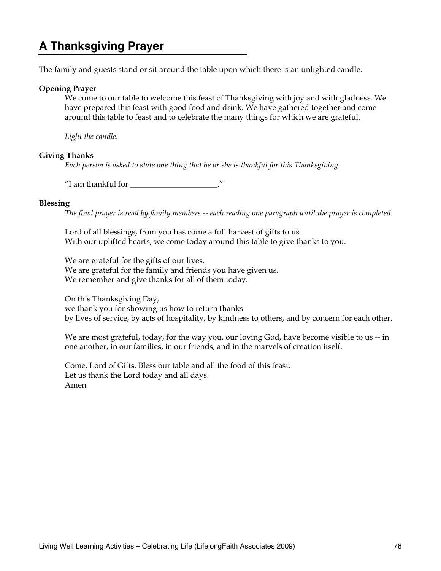## **A Thanksgiving Prayer**

The family and guests stand or sit around the table upon which there is an unlighted candle.

#### **Opening Prayer**

We come to our table to welcome this feast of Thanksgiving with joy and with gladness. We have prepared this feast with good food and drink. We have gathered together and come around this table to feast and to celebrate the many things for which we are grateful.

*Light the candle.*

#### **Giving Thanks**

*Each person is asked to state one thing that he or she is thankful for this Thanksgiving.*

"I am thankful for  $\overline{\phantom{a}}$ 

#### **Blessing**

*The final prayer is read by family members -- each reading one paragraph until the prayer is completed.*

Lord of all blessings, from you has come a full harvest of gifts to us. With our uplifted hearts, we come today around this table to give thanks to you.

We are grateful for the gifts of our lives. We are grateful for the family and friends you have given us. We remember and give thanks for all of them today.

On this Thanksgiving Day, we thank you for showing us how to return thanks by lives of service, by acts of hospitality, by kindness to others, and by concern for each other.

We are most grateful, today, for the way you, our loving God, have become visible to us -- in one another, in our families, in our friends, and in the marvels of creation itself.

Come, Lord of Gifts. Bless our table and all the food of this feast. Let us thank the Lord today and all days. Amen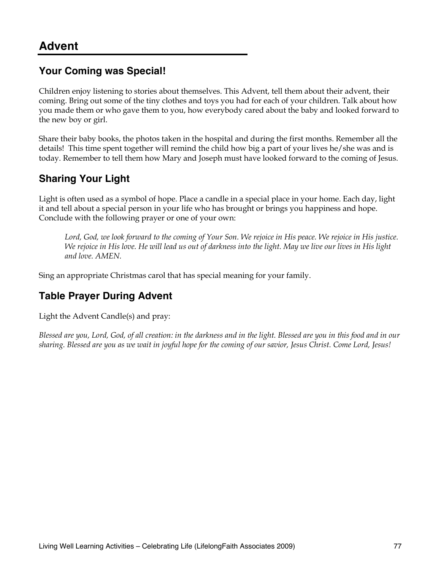### **Your Coming was Special!**

Children enjoy listening to stories about themselves. This Advent, tell them about their advent, their coming. Bring out some of the tiny clothes and toys you had for each of your children. Talk about how you made them or who gave them to you, how everybody cared about the baby and looked forward to the new boy or girl.

Share their baby books, the photos taken in the hospital and during the first months. Remember all the details! This time spent together will remind the child how big a part of your lives he/she was and is today. Remember to tell them how Mary and Joseph must have looked forward to the coming of Jesus.

### **Sharing Your Light**

Light is often used as a symbol of hope. Place a candle in a special place in your home. Each day, light it and tell about a special person in your life who has brought or brings you happiness and hope. Conclude with the following prayer or one of your own:

*Lord, God, we look forward to the coming of Your Son. We rejoice in His peace. We rejoice in His justice. We rejoice in His love. He will lead us out of darkness into the light. May we live our lives in His light and love. AMEN.*

Sing an appropriate Christmas carol that has special meaning for your family.

### **Table Prayer During Advent**

Light the Advent Candle(s) and pray:

*Blessed are you, Lord, God, of all creation: in the darkness and in the light. Blessed are you in this food and in our sharing. Blessed are you as we wait in joyful hope for the coming of our savior, Jesus Christ. Come Lord, Jesus!*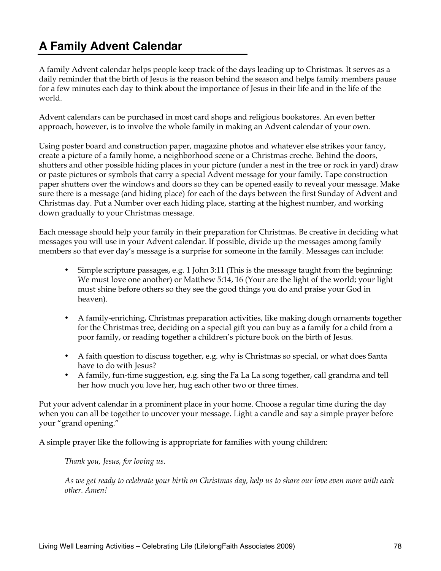## **A Family Advent Calendar**

A family Advent calendar helps people keep track of the days leading up to Christmas. It serves as a daily reminder that the birth of Jesus is the reason behind the season and helps family members pause for a few minutes each day to think about the importance of Jesus in their life and in the life of the world.

Advent calendars can be purchased in most card shops and religious bookstores. An even better approach, however, is to involve the whole family in making an Advent calendar of your own.

Using poster board and construction paper, magazine photos and whatever else strikes your fancy, create a picture of a family home, a neighborhood scene or a Christmas creche. Behind the doors, shutters and other possible hiding places in your picture (under a nest in the tree or rock in yard) draw or paste pictures or symbols that carry a special Advent message for your family. Tape construction paper shutters over the windows and doors so they can be opened easily to reveal your message. Make sure there is a message (and hiding place) for each of the days between the first Sunday of Advent and Christmas day. Put a Number over each hiding place, starting at the highest number, and working down gradually to your Christmas message.

Each message should help your family in their preparation for Christmas. Be creative in deciding what messages you will use in your Advent calendar. If possible, divide up the messages among family members so that ever day's message is a surprise for someone in the family. Messages can include:

- Simple scripture passages, e.g. 1 John 3:11 (This is the message taught from the beginning: We must love one another) or Matthew 5:14, 16 (Your are the light of the world; your light must shine before others so they see the good things you do and praise your God in heaven).
- A family-enriching, Christmas preparation activities, like making dough ornaments together for the Christmas tree, deciding on a special gift you can buy as a family for a child from a poor family, or reading together a children's picture book on the birth of Jesus.
- A faith question to discuss together, e.g. why is Christmas so special, or what does Santa have to do with Jesus?
- A family, fun-time suggestion, e.g. sing the Fa La La song together, call grandma and tell her how much you love her, hug each other two or three times.

Put your advent calendar in a prominent place in your home. Choose a regular time during the day when you can all be together to uncover your message. Light a candle and say a simple prayer before your "grand opening."

A simple prayer like the following is appropriate for families with young children:

*Thank you, Jesus, for loving us.* 

*As we get ready to celebrate your birth on Christmas day, help us to share our love even more with each other. Amen!*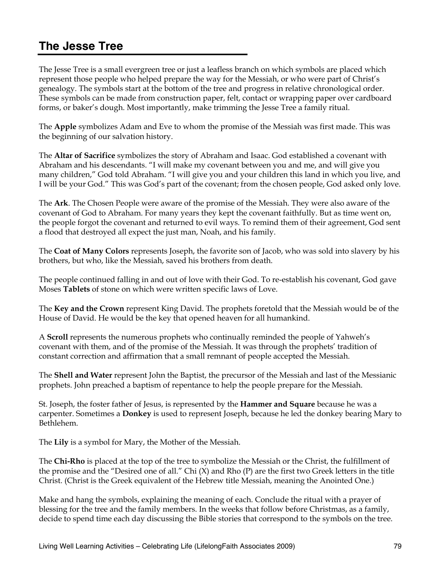## **The Jesse Tree**

The Jesse Tree is a small evergreen tree or just a leafless branch on which symbols are placed which represent those people who helped prepare the way for the Messiah, or who were part of Christ's genealogy. The symbols start at the bottom of the tree and progress in relative chronological order. These symbols can be made from construction paper, felt, contact or wrapping paper over cardboard forms, or baker's dough. Most importantly, make trimming the Jesse Tree a family ritual.

The **Apple** symbolizes Adam and Eve to whom the promise of the Messiah was first made. This was the beginning of our salvation history.

The **Altar of Sacrifice** symbolizes the story of Abraham and Isaac. God established a covenant with Abraham and his descendants. "I will make my covenant between you and me, and will give you many children," God told Abraham. "I will give you and your children this land in which you live, and I will be your God." This was God's part of the covenant; from the chosen people, God asked only love.

The **Ark**. The Chosen People were aware of the promise of the Messiah. They were also aware of the covenant of God to Abraham. For many years they kept the covenant faithfully. But as time went on, the people forgot the covenant and returned to evil ways. To remind them of their agreement, God sent a flood that destroyed all expect the just man, Noah, and his family.

The **Coat of Many Colors** represents Joseph, the favorite son of Jacob, who was sold into slavery by his brothers, but who, like the Messiah, saved his brothers from death.

The people continued falling in and out of love with their God. To re-establish his covenant, God gave Moses **Tablets** of stone on which were written specific laws of Love.

The **Key and the Crown** represent King David. The prophets foretold that the Messiah would be of the House of David. He would be the key that opened heaven for all humankind.

A **Scroll** represents the numerous prophets who continually reminded the people of Yahweh's covenant with them, and of the promise of the Messiah. It was through the prophets' tradition of constant correction and affirmation that a small remnant of people accepted the Messiah.

The **Shell and Water** represent John the Baptist, the precursor of the Messiah and last of the Messianic prophets. John preached a baptism of repentance to help the people prepare for the Messiah.

St. Joseph, the foster father of Jesus, is represented by the **Hammer and Square** because he was a carpenter. Sometimes a **Donkey** is used to represent Joseph, because he led the donkey bearing Mary to Bethlehem.

The **Lily** is a symbol for Mary, the Mother of the Messiah.

The **Chi-Rho** is placed at the top of the tree to symbolize the Messiah or the Christ, the fulfillment of the promise and the "Desired one of all." Chi  $(X)$  and Rho  $(P)$  are the first two Greek letters in the title Christ. (Christ is the Greek equivalent of the Hebrew title Messiah, meaning the Anointed One.)

Make and hang the symbols, explaining the meaning of each. Conclude the ritual with a prayer of blessing for the tree and the family members. In the weeks that follow before Christmas, as a family, decide to spend time each day discussing the Bible stories that correspond to the symbols on the tree.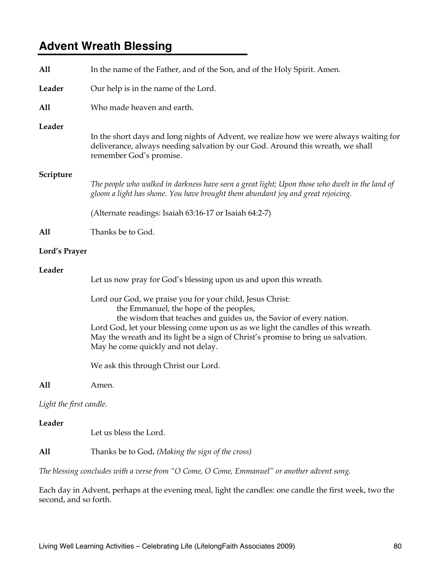## **Advent Wreath Blessing**

| All                     | In the name of the Father, and of the Son, and of the Holy Spirit. Amen.                                                                                                                                                                                                                                                                                                                                                                                                                             |
|-------------------------|------------------------------------------------------------------------------------------------------------------------------------------------------------------------------------------------------------------------------------------------------------------------------------------------------------------------------------------------------------------------------------------------------------------------------------------------------------------------------------------------------|
| Leader                  | Our help is in the name of the Lord.                                                                                                                                                                                                                                                                                                                                                                                                                                                                 |
| All                     | Who made heaven and earth.                                                                                                                                                                                                                                                                                                                                                                                                                                                                           |
| Leader                  | In the short days and long nights of Advent, we realize how we were always waiting for<br>deliverance, always needing salvation by our God. Around this wreath, we shall<br>remember God's promise.                                                                                                                                                                                                                                                                                                  |
| Scripture               | The people who walked in darkness have seen a great light; Upon those who dwelt in the land of<br>gloom a light has shone. You have brought them abundant joy and great rejoicing.                                                                                                                                                                                                                                                                                                                   |
|                         | (Alternate readings: Isaiah 63:16-17 or Isaiah 64:2-7)                                                                                                                                                                                                                                                                                                                                                                                                                                               |
| All                     | Thanks be to God.                                                                                                                                                                                                                                                                                                                                                                                                                                                                                    |
| Lord's Prayer           |                                                                                                                                                                                                                                                                                                                                                                                                                                                                                                      |
| Leader                  | Let us now pray for God's blessing upon us and upon this wreath.<br>Lord our God, we praise you for your child, Jesus Christ:<br>the Emmanuel, the hope of the peoples,<br>the wisdom that teaches and guides us, the Savior of every nation.<br>Lord God, let your blessing come upon us as we light the candles of this wreath.<br>May the wreath and its light be a sign of Christ's promise to bring us salvation.<br>May he come quickly and not delay.<br>We ask this through Christ our Lord. |
| All                     | Amen.                                                                                                                                                                                                                                                                                                                                                                                                                                                                                                |
| Light the first candle. |                                                                                                                                                                                                                                                                                                                                                                                                                                                                                                      |
| Leader                  | Let us bless the Lord.                                                                                                                                                                                                                                                                                                                                                                                                                                                                               |
| All                     | Thanks be to God. (Making the sign of the cross)                                                                                                                                                                                                                                                                                                                                                                                                                                                     |
|                         | The blessing concludes with a verse from "O Come, O Come, Emmanuel" or another advent song.                                                                                                                                                                                                                                                                                                                                                                                                          |
|                         | Each day in Advent, perhaps at the evening meal light the candles: one candle the first week, two the                                                                                                                                                                                                                                                                                                                                                                                                |

Each day in Advent, perhaps at the evening meal, light the candles: one candle the first week, two the second, and so forth.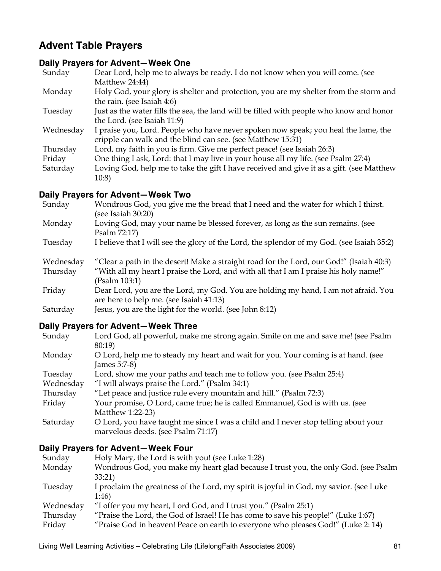### **Advent Table Prayers**

### **Daily Prayers for Advent—Week One**

| Sunday    | Dear Lord, help me to always be ready. I do not know when you will come. (see            |
|-----------|------------------------------------------------------------------------------------------|
|           | Matthew 24:44)                                                                           |
| Monday    | Holy God, your glory is shelter and protection, you are my shelter from the storm and    |
|           | the rain. (see Isaiah 4:6)                                                               |
| Tuesday   | Just as the water fills the sea, the land will be filled with people who know and honor  |
|           | the Lord. (see Isaiah 11:9)                                                              |
| Wednesday | I praise you, Lord. People who have never spoken now speak; you heal the lame, the       |
|           | cripple can walk and the blind can see. (see Matthew 15:31)                              |
| Thursday  | Lord, my faith in you is firm. Give me perfect peace! (see Isaiah 26:3)                  |
| Friday    | One thing I ask, Lord: that I may live in your house all my life. (see Psalm 27:4)       |
| Saturday  | Loving God, help me to take the gift I have received and give it as a gift. (see Matthew |
|           | 10:8                                                                                     |

### **Daily Prayers for Advent—Week Two**

| Sunday                | Wondrous God, you give me the bread that I need and the water for which I thirst.<br>(see Isaiah 30:20)                                                                                           |
|-----------------------|---------------------------------------------------------------------------------------------------------------------------------------------------------------------------------------------------|
| Monday                | Loving God, may your name be blessed forever, as long as the sun remains. (see<br>Psalm 72:17)                                                                                                    |
| Tuesday               | I believe that I will see the glory of the Lord, the splendor of my God. (see Isaiah 35:2)                                                                                                        |
| Wednesday<br>Thursday | "Clear a path in the desert! Make a straight road for the Lord, our God!" (Isaiah 40:3)<br>"With all my heart I praise the Lord, and with all that I am I praise his holy name!"<br>(Psalm 103:1) |
| Friday                | Dear Lord, you are the Lord, my God. You are holding my hand, I am not afraid. You<br>are here to help me. (see Isaiah 41:13)                                                                     |
| Saturday              | Jesus, you are the light for the world. (see John 8:12)                                                                                                                                           |

### **Daily Prayers for Advent—Week Three**

| Sunday    | Lord God, all powerful, make me strong again. Smile on me and save me! (see Psalm  |
|-----------|------------------------------------------------------------------------------------|
|           | 80:19                                                                              |
| Monday    | O Lord, help me to steady my heart and wait for you. Your coming is at hand. (see  |
|           | James 5:7-8)                                                                       |
| Tuesday   | Lord, show me your paths and teach me to follow you. (see Psalm 25:4)              |
| Wednesday | "I will always praise the Lord." (Psalm 34:1)                                      |
| Thursday  | "Let peace and justice rule every mountain and hill." (Psalm 72:3)                 |
| Friday    | Your promise, O Lord, came true; he is called Emmanuel, God is with us. (see       |
|           | Matthew 1:22-23)                                                                   |
| Saturday  | O Lord, you have taught me since I was a child and I never stop telling about your |
|           | marvelous deeds. (see Psalm 71:17)                                                 |
|           |                                                                                    |

### **Daily Prayers for Advent—Week Four**

| Sunday    | Holy Mary, the Lord is with you! (see Luke 1:28)                                       |
|-----------|----------------------------------------------------------------------------------------|
| Monday    | Wondrous God, you make my heart glad because I trust you, the only God. (see Psalm     |
|           | 33:21)                                                                                 |
| Tuesday   | I proclaim the greatness of the Lord, my spirit is joyful in God, my savior. (see Luke |
|           | 1:46                                                                                   |
| Wednesday | "I offer you my heart, Lord God, and I trust you." (Psalm 25:1)                        |
| Thursday  | "Praise the Lord, the God of Israel! He has come to save his people!" (Luke 1:67)      |
| Friday    | "Praise God in heaven! Peace on earth to everyone who pleases God!" (Luke 2: 14)       |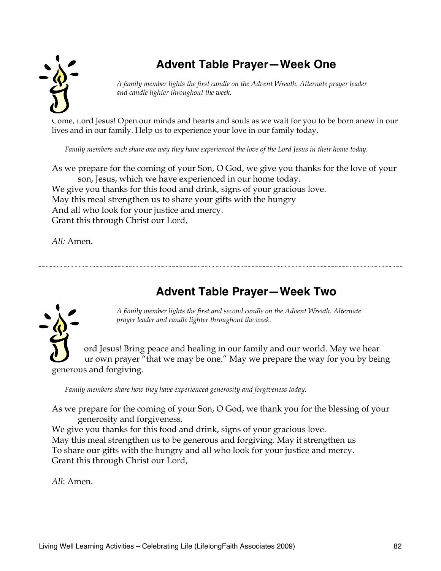

# **Advent Table Prayer—Week One**

*A family member lights the first candle on the Advent Wreath. Alternate prayer leader and candle lighter throughout the week.*

Come, Lord Jesus! Open our minds and hearts and souls as we wait for you to be born anew in our lives and in our family. Help us to experience your love in our family today.

*Family members each share one way they have experienced the love of the Lord Jesus in their home today.*

As we prepare for the coming of your Son, O God, we give you thanks for the love of your son, Jesus, which we have experienced in our home today. We give you thanks for this food and drink, signs of your gracious love. May this meal strengthen us to share your gifts with the hungry And all who look for your justice and mercy. Grant this through Christ our Lord,

*All:* Amen.

# **Advent Table Prayer—Week Two**



*A family member lights the first and second candle on the Advent Wreath. Alternate prayer leader and candle lighter throughout the week.*

ord Jesus! Bring peace and healing in our family and our world. May we hear again your own prayer "that we may be one." May we prepare the way for you by being generous and forgiving.

*Family members share how they have experienced generosity and forgiveness today.*

As we prepare for the coming of your Son, O God, we thank you for the blessing of your generosity and forgiveness.

We give you thanks for this food and drink, signs of your gracious love. May this meal strengthen us to be generous and forgiving. May it strengthen us To share our gifts with the hungry and all who look for your justice and mercy. Grant this through Christ our Lord,

*All*: Amen.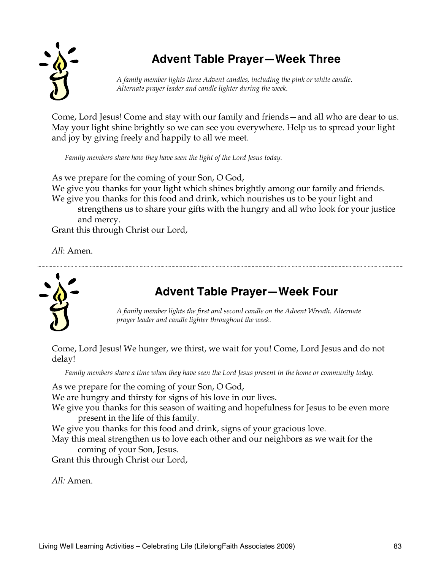

# **Advent Table Prayer—Week Three**

*A family member lights three Advent candles, including the pink or white candle. Alternate prayer leader and candle lighter during the week.*

Come, Lord Jesus! Come and stay with our family and friends—and all who are dear to us. May your light shine brightly so we can see you everywhere. Help us to spread your light and joy by giving freely and happily to all we meet.

*Family members share how they have seen the light of the Lord Jesus today.*

As we prepare for the coming of your Son, O God,

We give you thanks for your light which shines brightly among our family and friends. We give you thanks for this food and drink, which nourishes us to be your light and strengthens us to share your gifts with the hungry and all who look for your justice

and mercy.

Grant this through Christ our Lord,

*All*: Amen.



## **Advent Table Prayer—Week Four**

*A family member lights the first and second candle on the Advent Wreath. Alternate prayer leader and candle lighter throughout the week.*

Come, Lord Jesus! We hunger, we thirst, we wait for you! Come, Lord Jesus and do not delay!

*Family members share a time when they have seen the Lord Jesus present in the home or community today.*

As we prepare for the coming of your Son, O God,

We are hungry and thirsty for signs of his love in our lives.

We give you thanks for this season of waiting and hopefulness for Jesus to be even more present in the life of this family.

We give you thanks for this food and drink, signs of your gracious love.

May this meal strengthen us to love each other and our neighbors as we wait for the coming of your Son, Jesus.

Grant this through Christ our Lord,

*All:* Amen.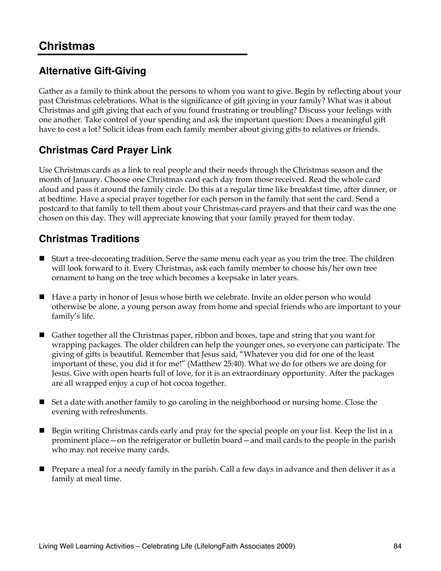### **Alternative Gift-Giving**

Gather as a family to think about the persons to whom you want to give. Begin by reflecting about your past Christmas celebrations. What is the significance of gift giving in your family? What was it about Christmas and gift giving that each of you found frustrating or troubling? Discuss your feelings with one another. Take control of your spending and ask the important question: Does a meaningful gift have to cost a lot? Solicit ideas from each family member about giving gifts to relatives or friends.

### **Christmas Card Prayer Link**

Use Christmas cards as a link to real people and their needs through the Christmas season and the month of January. Choose one Christmas card each day from those received. Read the whole card aloud and pass it around the family circle. Do this at a regular time like breakfast time, after dinner, or at bedtime. Have a special prayer together for each person in the family that sent the card. Send a postcard to that family to tell them about your Christmas-card prayers and that their card was the one chosen on this day. They will appreciate knowing that your family prayed for them today.

### **Christmas Traditions**

- Start a tree-decorating tradition. Serve the same menu each year as you trim the tree. The children will look forward to it. Every Christmas, ask each family member to choose his/her own tree ornament to hang on the tree which becomes a keepsake in later years.
- Have a party in honor of Jesus whose birth we celebrate. Invite an older person who would otherwise be alone, a young person away from home and special friends who are important to your family's life.
- Gather together all the Christmas paper, ribbon and boxes, tape and string that you want for wrapping packages. The older children can help the younger ones, so everyone can participate. The giving of gifts is beautiful. Remember that Jesus said, "Whatever you did for one of the least important of these, you did it for me!" (Matthew 25:40). What we do for others we are doing for Jesus. Give with open hearts full of love, for it is an extraordinary opportunity. After the packages are all wrapped enjoy a cup of hot cocoa together.
- Set a date with another family to go caroling in the neighborhood or nursing home. Close the evening with refreshments.
- Begin writing Christmas cards early and pray for the special people on your list. Keep the list in a prominent place—on the refrigerator or bulletin board—and mail cards to the people in the parish who may not receive many cards.
- $\blacksquare$  Prepare a meal for a needy family in the parish. Call a few days in advance and then deliver it as a family at meal time.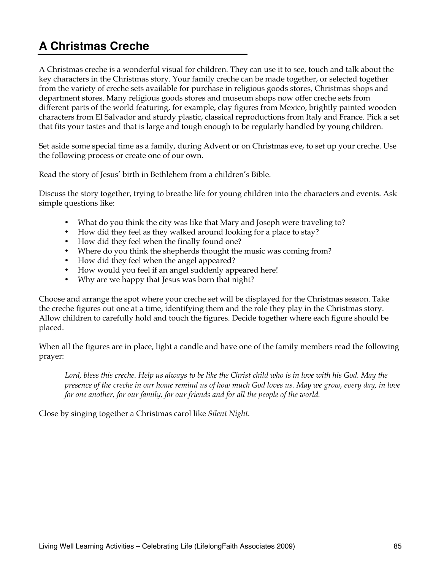## **A Christmas Creche**

A Christmas creche is a wonderful visual for children. They can use it to see, touch and talk about the key characters in the Christmas story. Your family creche can be made together, or selected together from the variety of creche sets available for purchase in religious goods stores, Christmas shops and department stores. Many religious goods stores and museum shops now offer creche sets from different parts of the world featuring, for example, clay figures from Mexico, brightly painted wooden characters from El Salvador and sturdy plastic, classical reproductions from Italy and France. Pick a set that fits your tastes and that is large and tough enough to be regularly handled by young children.

Set aside some special time as a family, during Advent or on Christmas eve, to set up your creche. Use the following process or create one of our own.

Read the story of Jesus' birth in Bethlehem from a children's Bible.

Discuss the story together, trying to breathe life for young children into the characters and events. Ask simple questions like:

- What do you think the city was like that Mary and Joseph were traveling to?
- How did they feel as they walked around looking for a place to stay?
- How did they feel when the finally found one?
- Where do you think the shepherds thought the music was coming from?
- How did they feel when the angel appeared?
- How would you feel if an angel suddenly appeared here!
- Why are we happy that Jesus was born that night?

Choose and arrange the spot where your creche set will be displayed for the Christmas season. Take the creche figures out one at a time, identifying them and the role they play in the Christmas story. Allow children to carefully hold and touch the figures. Decide together where each figure should be placed.

When all the figures are in place, light a candle and have one of the family members read the following prayer:

Lord, bless this creche. Help us always to be like the Christ child who is in love with his God. May the *presence of the creche in our home remind us of how much God loves us. May we grow, every day, in love for one another, for our family, for our friends and for all the people of the world.*

Close by singing together a Christmas carol like *Silent Night*.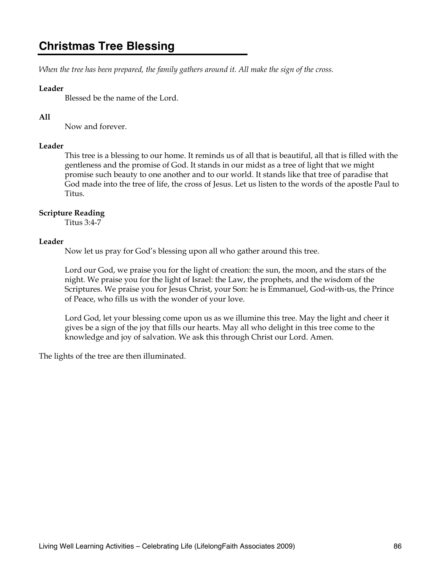### **Christmas Tree Blessing**

*When the tree has been prepared, the family gathers around it. All make the sign of the cross.*

#### **Leader**

Blessed be the name of the Lord.

#### **All**

Now and forever.

#### **Leader**

This tree is a blessing to our home. It reminds us of all that is beautiful, all that is filled with the gentleness and the promise of God. It stands in our midst as a tree of light that we might promise such beauty to one another and to our world. It stands like that tree of paradise that God made into the tree of life, the cross of Jesus. Let us listen to the words of the apostle Paul to Titus.

#### **Scripture Reading**

Titus 3:4-7

#### **Leader**

Now let us pray for God's blessing upon all who gather around this tree.

Lord our God, we praise you for the light of creation: the sun, the moon, and the stars of the night. We praise you for the light of Israel: the Law, the prophets, and the wisdom of the Scriptures. We praise you for Jesus Christ, your Son: he is Emmanuel, God-with-us, the Prince of Peace, who fills us with the wonder of your love.

Lord God, let your blessing come upon us as we illumine this tree. May the light and cheer it gives be a sign of the joy that fills our hearts. May all who delight in this tree come to the knowledge and joy of salvation. We ask this through Christ our Lord. Amen.

The lights of the tree are then illuminated.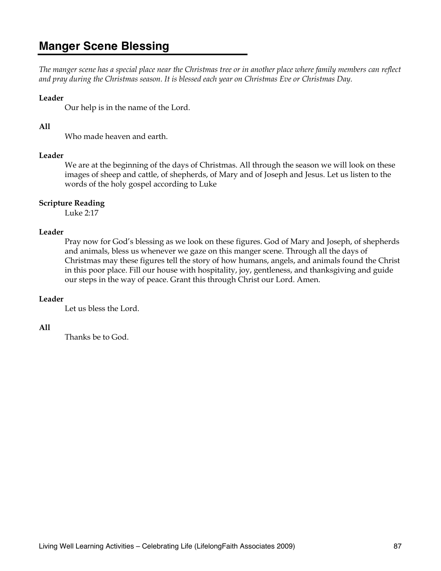### **Manger Scene Blessing**

*The manger scene has a special place near the Christmas tree or in another place where family members can reflect and pray during the Christmas season. It is blessed each year on Christmas Eve or Christmas Day.*

#### **Leader**

Our help is in the name of the Lord.

#### **All**

Who made heaven and earth.

#### **Leader**

We are at the beginning of the days of Christmas. All through the season we will look on these images of sheep and cattle, of shepherds, of Mary and of Joseph and Jesus. Let us listen to the words of the holy gospel according to Luke

#### **Scripture Reading**

Luke 2:17

#### **Leader**

Pray now for God's blessing as we look on these figures. God of Mary and Joseph, of shepherds and animals, bless us whenever we gaze on this manger scene. Through all the days of Christmas may these figures tell the story of how humans, angels, and animals found the Christ in this poor place. Fill our house with hospitality, joy, gentleness, and thanksgiving and guide our steps in the way of peace. Grant this through Christ our Lord. Amen.

#### **Leader**

Let us bless the Lord.

#### **All**

Thanks be to God.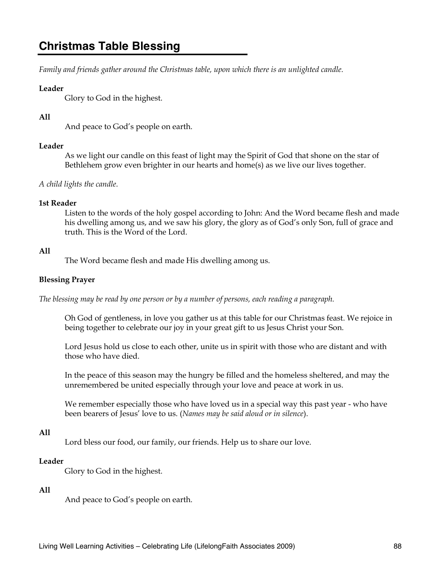### **Christmas Table Blessing**

*Family and friends gather around the Christmas table, upon which there is an unlighted candle.* 

#### **Leader**

Glory to God in the highest.

#### **All**

And peace to God's people on earth.

#### **Leader**

As we light our candle on this feast of light may the Spirit of God that shone on the star of Bethlehem grow even brighter in our hearts and home(s) as we live our lives together.

#### *A child lights the candle.*

#### **1st Reader**

Listen to the words of the holy gospel according to John: And the Word became flesh and made his dwelling among us, and we saw his glory, the glory as of God's only Son, full of grace and truth. This is the Word of the Lord.

#### **All**

The Word became flesh and made His dwelling among us.

#### **Blessing Prayer**

*The blessing may be read by one person or by a number of persons, each reading a paragraph.*

Oh God of gentleness, in love you gather us at this table for our Christmas feast. We rejoice in being together to celebrate our joy in your great gift to us Jesus Christ your Son.

Lord Jesus hold us close to each other, unite us in spirit with those who are distant and with those who have died.

In the peace of this season may the hungry be filled and the homeless sheltered, and may the unremembered be united especially through your love and peace at work in us.

We remember especially those who have loved us in a special way this past year - who have been bearers of Jesus' love to us. (*Names may be said aloud or in silence*).

#### **All**

Lord bless our food, our family, our friends. Help us to share our love.

#### **Leader**

Glory to God in the highest.

#### **All**

And peace to God's people on earth.